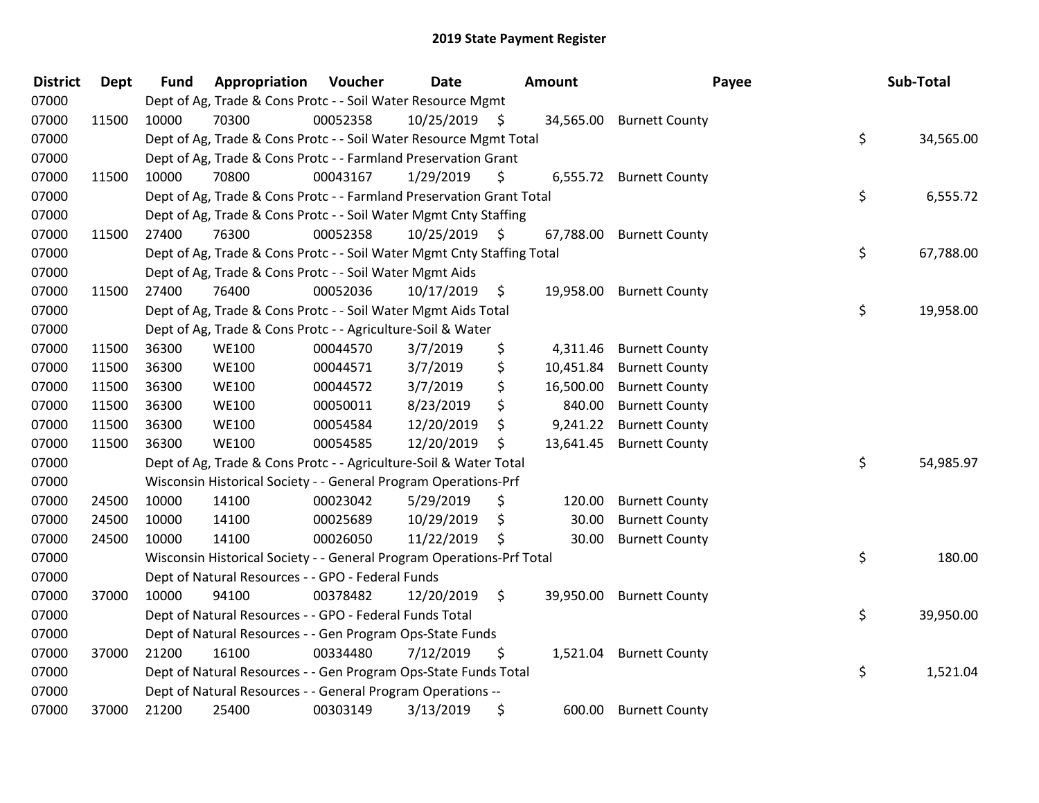| <b>District</b> | <b>Dept</b> | <b>Fund</b> | Appropriation                                                          | Voucher  | Date       |      | Amount    | Payee                   | Sub-Total       |
|-----------------|-------------|-------------|------------------------------------------------------------------------|----------|------------|------|-----------|-------------------------|-----------------|
| 07000           |             |             | Dept of Ag, Trade & Cons Protc - - Soil Water Resource Mgmt            |          |            |      |           |                         |                 |
| 07000           | 11500       | 10000       | 70300                                                                  | 00052358 | 10/25/2019 | - \$ | 34,565.00 | <b>Burnett County</b>   |                 |
| 07000           |             |             | Dept of Ag, Trade & Cons Protc - - Soil Water Resource Mgmt Total      |          |            |      |           |                         | \$<br>34,565.00 |
| 07000           |             |             | Dept of Ag, Trade & Cons Protc - - Farmland Preservation Grant         |          |            |      |           |                         |                 |
| 07000           | 11500       | 10000       | 70800                                                                  | 00043167 | 1/29/2019  | \$   |           | 6,555.72 Burnett County |                 |
| 07000           |             |             | Dept of Ag, Trade & Cons Protc - - Farmland Preservation Grant Total   |          |            |      |           |                         | \$<br>6,555.72  |
| 07000           |             |             | Dept of Ag, Trade & Cons Protc - - Soil Water Mgmt Cnty Staffing       |          |            |      |           |                         |                 |
| 07000           | 11500       | 27400       | 76300                                                                  | 00052358 | 10/25/2019 | - \$ | 67,788.00 | <b>Burnett County</b>   |                 |
| 07000           |             |             | Dept of Ag, Trade & Cons Protc - - Soil Water Mgmt Cnty Staffing Total |          |            |      |           |                         | \$<br>67,788.00 |
| 07000           |             |             | Dept of Ag, Trade & Cons Protc - - Soil Water Mgmt Aids                |          |            |      |           |                         |                 |
| 07000           | 11500       | 27400       | 76400                                                                  | 00052036 | 10/17/2019 | \$   | 19,958.00 | <b>Burnett County</b>   |                 |
| 07000           |             |             | Dept of Ag, Trade & Cons Protc - - Soil Water Mgmt Aids Total          |          |            |      |           |                         | \$<br>19,958.00 |
| 07000           |             |             | Dept of Ag, Trade & Cons Protc - - Agriculture-Soil & Water            |          |            |      |           |                         |                 |
| 07000           | 11500       | 36300       | <b>WE100</b>                                                           | 00044570 | 3/7/2019   | \$   | 4,311.46  | <b>Burnett County</b>   |                 |
| 07000           | 11500       | 36300       | <b>WE100</b>                                                           | 00044571 | 3/7/2019   | \$   | 10,451.84 | <b>Burnett County</b>   |                 |
| 07000           | 11500       | 36300       | <b>WE100</b>                                                           | 00044572 | 3/7/2019   | \$   | 16,500.00 | <b>Burnett County</b>   |                 |
| 07000           | 11500       | 36300       | <b>WE100</b>                                                           | 00050011 | 8/23/2019  | \$   | 840.00    | <b>Burnett County</b>   |                 |
| 07000           | 11500       | 36300       | <b>WE100</b>                                                           | 00054584 | 12/20/2019 | \$   | 9,241.22  | <b>Burnett County</b>   |                 |
| 07000           | 11500       | 36300       | <b>WE100</b>                                                           | 00054585 | 12/20/2019 | \$   | 13,641.45 | <b>Burnett County</b>   |                 |
| 07000           |             |             | Dept of Ag, Trade & Cons Protc - - Agriculture-Soil & Water Total      |          |            |      |           |                         | \$<br>54,985.97 |
| 07000           |             |             | Wisconsin Historical Society - - General Program Operations-Prf        |          |            |      |           |                         |                 |
| 07000           | 24500       | 10000       | 14100                                                                  | 00023042 | 5/29/2019  | \$   | 120.00    | <b>Burnett County</b>   |                 |
| 07000           | 24500       | 10000       | 14100                                                                  | 00025689 | 10/29/2019 | \$   | 30.00     | <b>Burnett County</b>   |                 |
| 07000           | 24500       | 10000       | 14100                                                                  | 00026050 | 11/22/2019 | \$   | 30.00     | <b>Burnett County</b>   |                 |
| 07000           |             |             | Wisconsin Historical Society - - General Program Operations-Prf Total  |          |            |      |           |                         | \$<br>180.00    |
| 07000           |             |             | Dept of Natural Resources - - GPO - Federal Funds                      |          |            |      |           |                         |                 |
| 07000           | 37000       | 10000       | 94100                                                                  | 00378482 | 12/20/2019 | \$   | 39,950.00 | <b>Burnett County</b>   |                 |
| 07000           |             |             | Dept of Natural Resources - - GPO - Federal Funds Total                |          |            |      |           |                         | \$<br>39,950.00 |
| 07000           |             |             | Dept of Natural Resources - - Gen Program Ops-State Funds              |          |            |      |           |                         |                 |
| 07000           | 37000       | 21200       | 16100                                                                  | 00334480 | 7/12/2019  | \$   |           | 1,521.04 Burnett County |                 |
| 07000           |             |             | Dept of Natural Resources - - Gen Program Ops-State Funds Total        |          |            |      |           |                         | \$<br>1,521.04  |
| 07000           |             |             | Dept of Natural Resources - - General Program Operations --            |          |            |      |           |                         |                 |
| 07000           | 37000       | 21200       | 25400                                                                  | 00303149 | 3/13/2019  | \$   | 600.00    | <b>Burnett County</b>   |                 |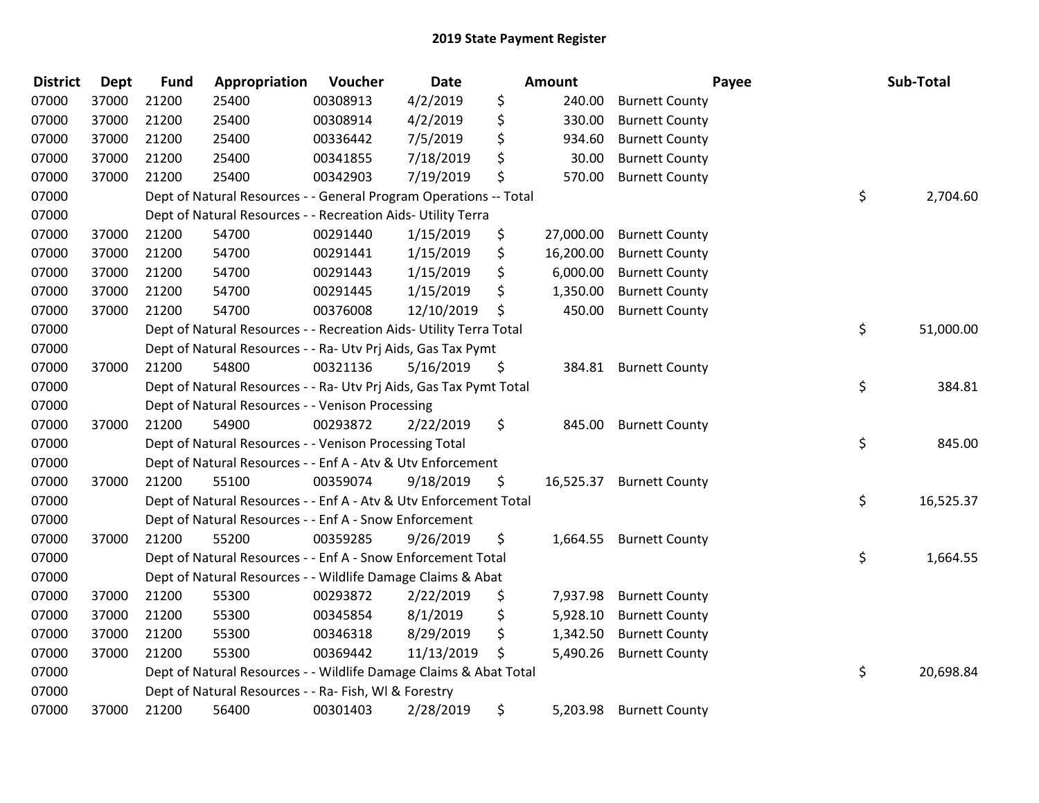| <b>District</b> | <b>Dept</b> | <b>Fund</b> | Appropriation                                                      | Voucher  | <b>Date</b> | <b>Amount</b>   |                       | Payee | Sub-Total |
|-----------------|-------------|-------------|--------------------------------------------------------------------|----------|-------------|-----------------|-----------------------|-------|-----------|
| 07000           | 37000       | 21200       | 25400                                                              | 00308913 | 4/2/2019    | \$<br>240.00    | <b>Burnett County</b> |       |           |
| 07000           | 37000       | 21200       | 25400                                                              | 00308914 | 4/2/2019    | \$<br>330.00    | <b>Burnett County</b> |       |           |
| 07000           | 37000       | 21200       | 25400                                                              | 00336442 | 7/5/2019    | \$<br>934.60    | <b>Burnett County</b> |       |           |
| 07000           | 37000       | 21200       | 25400                                                              | 00341855 | 7/18/2019   | \$<br>30.00     | <b>Burnett County</b> |       |           |
| 07000           | 37000       | 21200       | 25400                                                              | 00342903 | 7/19/2019   | \$<br>570.00    | <b>Burnett County</b> |       |           |
| 07000           |             |             | Dept of Natural Resources - - General Program Operations -- Total  |          |             |                 |                       | \$    | 2,704.60  |
| 07000           |             |             | Dept of Natural Resources - - Recreation Aids- Utility Terra       |          |             |                 |                       |       |           |
| 07000           | 37000       | 21200       | 54700                                                              | 00291440 | 1/15/2019   | \$<br>27,000.00 | <b>Burnett County</b> |       |           |
| 07000           | 37000       | 21200       | 54700                                                              | 00291441 | 1/15/2019   | \$<br>16,200.00 | <b>Burnett County</b> |       |           |
| 07000           | 37000       | 21200       | 54700                                                              | 00291443 | 1/15/2019   | \$<br>6,000.00  | <b>Burnett County</b> |       |           |
| 07000           | 37000       | 21200       | 54700                                                              | 00291445 | 1/15/2019   | \$<br>1,350.00  | <b>Burnett County</b> |       |           |
| 07000           | 37000       | 21200       | 54700                                                              | 00376008 | 12/10/2019  | \$<br>450.00    | <b>Burnett County</b> |       |           |
| 07000           |             |             | Dept of Natural Resources - - Recreation Aids- Utility Terra Total |          |             |                 |                       | \$    | 51,000.00 |
| 07000           |             |             | Dept of Natural Resources - - Ra- Utv Prj Aids, Gas Tax Pymt       |          |             |                 |                       |       |           |
| 07000           | 37000       | 21200       | 54800                                                              | 00321136 | 5/16/2019   | \$<br>384.81    | <b>Burnett County</b> |       |           |
| 07000           |             |             | Dept of Natural Resources - - Ra- Utv Prj Aids, Gas Tax Pymt Total |          |             |                 |                       | \$    | 384.81    |
| 07000           |             |             | Dept of Natural Resources - - Venison Processing                   |          |             |                 |                       |       |           |
| 07000           | 37000       | 21200       | 54900                                                              | 00293872 | 2/22/2019   | \$<br>845.00    | <b>Burnett County</b> |       |           |
| 07000           |             |             | Dept of Natural Resources - - Venison Processing Total             |          |             |                 |                       | \$    | 845.00    |
| 07000           |             |             | Dept of Natural Resources - - Enf A - Atv & Utv Enforcement        |          |             |                 |                       |       |           |
| 07000           | 37000       | 21200       | 55100                                                              | 00359074 | 9/18/2019   | \$<br>16,525.37 | <b>Burnett County</b> |       |           |
| 07000           |             |             | Dept of Natural Resources - - Enf A - Atv & Utv Enforcement Total  |          |             |                 |                       | \$    | 16,525.37 |
| 07000           |             |             | Dept of Natural Resources - - Enf A - Snow Enforcement             |          |             |                 |                       |       |           |
| 07000           | 37000       | 21200       | 55200                                                              | 00359285 | 9/26/2019   | \$<br>1,664.55  | <b>Burnett County</b> |       |           |
| 07000           |             |             | Dept of Natural Resources - - Enf A - Snow Enforcement Total       |          |             |                 |                       | \$    | 1,664.55  |
| 07000           |             |             | Dept of Natural Resources - - Wildlife Damage Claims & Abat        |          |             |                 |                       |       |           |
| 07000           | 37000       | 21200       | 55300                                                              | 00293872 | 2/22/2019   | \$<br>7,937.98  | <b>Burnett County</b> |       |           |
| 07000           | 37000       | 21200       | 55300                                                              | 00345854 | 8/1/2019    | \$<br>5,928.10  | <b>Burnett County</b> |       |           |
| 07000           | 37000       | 21200       | 55300                                                              | 00346318 | 8/29/2019   | \$<br>1,342.50  | <b>Burnett County</b> |       |           |
| 07000           | 37000       | 21200       | 55300                                                              | 00369442 | 11/13/2019  | \$<br>5,490.26  | <b>Burnett County</b> |       |           |
| 07000           |             |             | Dept of Natural Resources - - Wildlife Damage Claims & Abat Total  |          |             |                 |                       | \$    | 20,698.84 |
| 07000           |             |             | Dept of Natural Resources - - Ra- Fish, WI & Forestry              |          |             |                 |                       |       |           |
| 07000           | 37000       | 21200       | 56400                                                              | 00301403 | 2/28/2019   | \$<br>5,203.98  | <b>Burnett County</b> |       |           |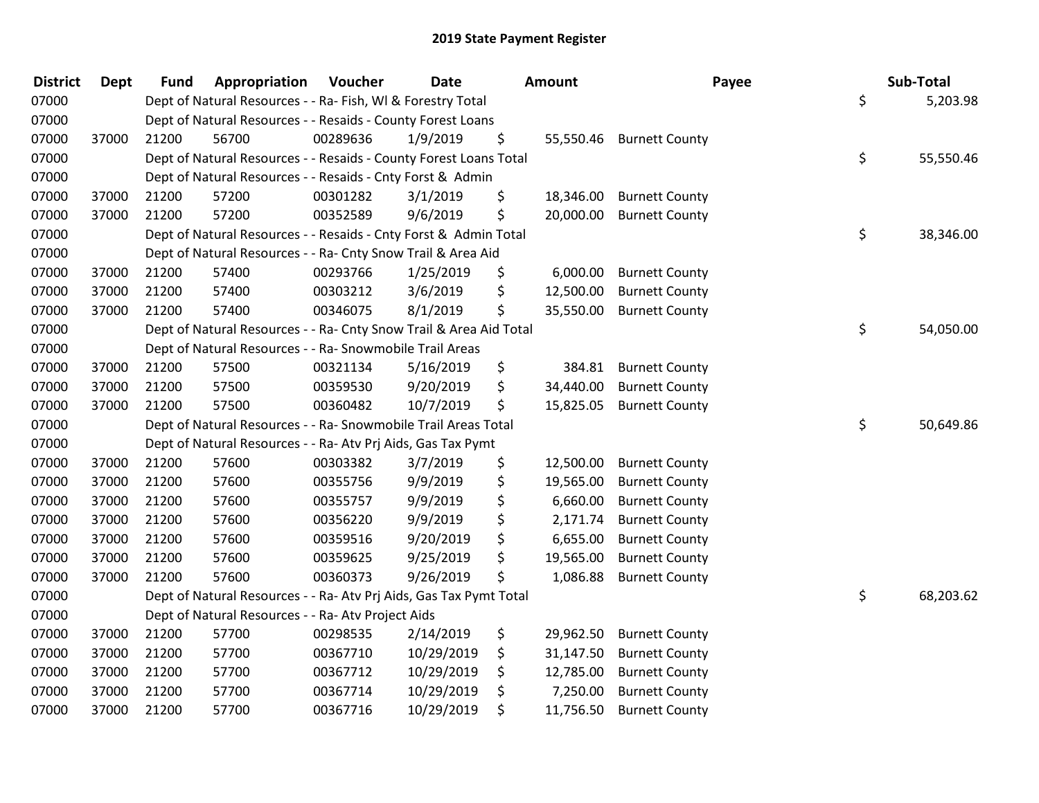| <b>District</b> | <b>Dept</b> | <b>Fund</b> | Appropriation                                                      | Voucher  | <b>Date</b> | Amount          | Payee                    | Sub-Total       |
|-----------------|-------------|-------------|--------------------------------------------------------------------|----------|-------------|-----------------|--------------------------|-----------------|
| 07000           |             |             | Dept of Natural Resources - - Ra- Fish, WI & Forestry Total        |          |             |                 |                          | \$<br>5,203.98  |
| 07000           |             |             | Dept of Natural Resources - - Resaids - County Forest Loans        |          |             |                 |                          |                 |
| 07000           | 37000       | 21200       | 56700                                                              | 00289636 | 1/9/2019    | \$              | 55,550.46 Burnett County |                 |
| 07000           |             |             | Dept of Natural Resources - - Resaids - County Forest Loans Total  |          |             |                 |                          | \$<br>55,550.46 |
| 07000           |             |             | Dept of Natural Resources - - Resaids - Cnty Forst & Admin         |          |             |                 |                          |                 |
| 07000           | 37000       | 21200       | 57200                                                              | 00301282 | 3/1/2019    | \$<br>18,346.00 | <b>Burnett County</b>    |                 |
| 07000           | 37000       | 21200       | 57200                                                              | 00352589 | 9/6/2019    | \$<br>20,000.00 | <b>Burnett County</b>    |                 |
| 07000           |             |             | Dept of Natural Resources - - Resaids - Cnty Forst & Admin Total   |          |             |                 |                          | \$<br>38,346.00 |
| 07000           |             |             | Dept of Natural Resources - - Ra- Cnty Snow Trail & Area Aid       |          |             |                 |                          |                 |
| 07000           | 37000       | 21200       | 57400                                                              | 00293766 | 1/25/2019   | \$<br>6,000.00  | <b>Burnett County</b>    |                 |
| 07000           | 37000       | 21200       | 57400                                                              | 00303212 | 3/6/2019    | \$<br>12,500.00 | <b>Burnett County</b>    |                 |
| 07000           | 37000       | 21200       | 57400                                                              | 00346075 | 8/1/2019    | \$<br>35,550.00 | <b>Burnett County</b>    |                 |
| 07000           |             |             | Dept of Natural Resources - - Ra- Cnty Snow Trail & Area Aid Total |          |             |                 |                          | \$<br>54,050.00 |
| 07000           |             |             | Dept of Natural Resources - - Ra- Snowmobile Trail Areas           |          |             |                 |                          |                 |
| 07000           | 37000       | 21200       | 57500                                                              | 00321134 | 5/16/2019   | \$<br>384.81    | <b>Burnett County</b>    |                 |
| 07000           | 37000       | 21200       | 57500                                                              | 00359530 | 9/20/2019   | \$<br>34,440.00 | <b>Burnett County</b>    |                 |
| 07000           | 37000       | 21200       | 57500                                                              | 00360482 | 10/7/2019   | \$<br>15,825.05 | <b>Burnett County</b>    |                 |
| 07000           |             |             | Dept of Natural Resources - - Ra- Snowmobile Trail Areas Total     |          |             |                 |                          | \$<br>50,649.86 |
| 07000           |             |             | Dept of Natural Resources - - Ra- Atv Prj Aids, Gas Tax Pymt       |          |             |                 |                          |                 |
| 07000           | 37000       | 21200       | 57600                                                              | 00303382 | 3/7/2019    | \$<br>12,500.00 | <b>Burnett County</b>    |                 |
| 07000           | 37000       | 21200       | 57600                                                              | 00355756 | 9/9/2019    | \$<br>19,565.00 | <b>Burnett County</b>    |                 |
| 07000           | 37000       | 21200       | 57600                                                              | 00355757 | 9/9/2019    | \$<br>6,660.00  | <b>Burnett County</b>    |                 |
| 07000           | 37000       | 21200       | 57600                                                              | 00356220 | 9/9/2019    | \$<br>2,171.74  | <b>Burnett County</b>    |                 |
| 07000           | 37000       | 21200       | 57600                                                              | 00359516 | 9/20/2019   | \$<br>6,655.00  | <b>Burnett County</b>    |                 |
| 07000           | 37000       | 21200       | 57600                                                              | 00359625 | 9/25/2019   | \$<br>19,565.00 | <b>Burnett County</b>    |                 |
| 07000           | 37000       | 21200       | 57600                                                              | 00360373 | 9/26/2019   | \$<br>1,086.88  | <b>Burnett County</b>    |                 |
| 07000           |             |             | Dept of Natural Resources - - Ra- Atv Prj Aids, Gas Tax Pymt Total |          |             |                 |                          | \$<br>68,203.62 |
| 07000           |             |             | Dept of Natural Resources - - Ra- Atv Project Aids                 |          |             |                 |                          |                 |
| 07000           | 37000       | 21200       | 57700                                                              | 00298535 | 2/14/2019   | \$<br>29,962.50 | <b>Burnett County</b>    |                 |
| 07000           | 37000       | 21200       | 57700                                                              | 00367710 | 10/29/2019  | \$<br>31,147.50 | <b>Burnett County</b>    |                 |
| 07000           | 37000       | 21200       | 57700                                                              | 00367712 | 10/29/2019  | \$<br>12,785.00 | <b>Burnett County</b>    |                 |
| 07000           | 37000       | 21200       | 57700                                                              | 00367714 | 10/29/2019  | \$<br>7,250.00  | <b>Burnett County</b>    |                 |
| 07000           | 37000       | 21200       | 57700                                                              | 00367716 | 10/29/2019  | \$<br>11,756.50 | <b>Burnett County</b>    |                 |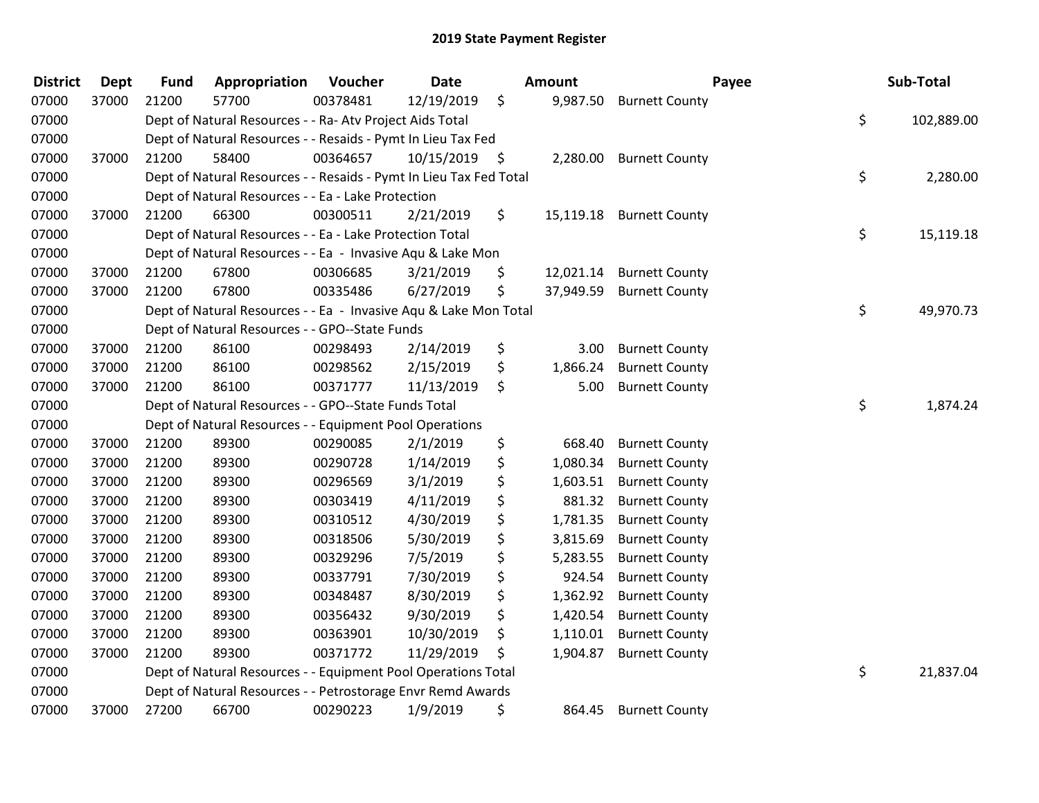| <b>District</b> | <b>Dept</b> | <b>Fund</b> | Appropriation                                                      | Voucher  | <b>Date</b>     |     | Amount    | Payee                   | Sub-Total        |
|-----------------|-------------|-------------|--------------------------------------------------------------------|----------|-----------------|-----|-----------|-------------------------|------------------|
| 07000           | 37000       | 21200       | 57700                                                              | 00378481 | 12/19/2019      | \$  | 9,987.50  | <b>Burnett County</b>   |                  |
| 07000           |             |             | Dept of Natural Resources - - Ra- Atv Project Aids Total           |          |                 |     |           |                         | \$<br>102,889.00 |
| 07000           |             |             | Dept of Natural Resources - - Resaids - Pymt In Lieu Tax Fed       |          |                 |     |           |                         |                  |
| 07000           | 37000       | 21200       | 58400                                                              | 00364657 | $10/15/2019$ \$ |     |           | 2,280.00 Burnett County |                  |
| 07000           |             |             | Dept of Natural Resources - - Resaids - Pymt In Lieu Tax Fed Total |          |                 |     |           |                         | \$<br>2,280.00   |
| 07000           |             |             | Dept of Natural Resources - - Ea - Lake Protection                 |          |                 |     |           |                         |                  |
| 07000           | 37000       | 21200       | 66300                                                              | 00300511 | 2/21/2019       | \$  | 15,119.18 | <b>Burnett County</b>   |                  |
| 07000           |             |             | Dept of Natural Resources - - Ea - Lake Protection Total           |          |                 |     |           |                         | \$<br>15,119.18  |
| 07000           |             |             | Dept of Natural Resources - - Ea - Invasive Aqu & Lake Mon         |          |                 |     |           |                         |                  |
| 07000           | 37000       | 21200       | 67800                                                              | 00306685 | 3/21/2019       | \$. | 12,021.14 | <b>Burnett County</b>   |                  |
| 07000           | 37000       | 21200       | 67800                                                              | 00335486 | 6/27/2019       | \$  | 37,949.59 | <b>Burnett County</b>   |                  |
| 07000           |             |             | Dept of Natural Resources - - Ea - Invasive Aqu & Lake Mon Total   |          |                 |     |           |                         | \$<br>49,970.73  |
| 07000           |             |             | Dept of Natural Resources - - GPO--State Funds                     |          |                 |     |           |                         |                  |
| 07000           | 37000       | 21200       | 86100                                                              | 00298493 | 2/14/2019       | \$  | 3.00      | <b>Burnett County</b>   |                  |
| 07000           | 37000       | 21200       | 86100                                                              | 00298562 | 2/15/2019       | \$  | 1,866.24  | <b>Burnett County</b>   |                  |
| 07000           | 37000       | 21200       | 86100                                                              | 00371777 | 11/13/2019      | \$  | 5.00      | <b>Burnett County</b>   |                  |
| 07000           |             |             | Dept of Natural Resources - - GPO--State Funds Total               |          |                 |     |           |                         | \$<br>1,874.24   |
| 07000           |             |             | Dept of Natural Resources - - Equipment Pool Operations            |          |                 |     |           |                         |                  |
| 07000           | 37000       | 21200       | 89300                                                              | 00290085 | 2/1/2019        | \$  | 668.40    | <b>Burnett County</b>   |                  |
| 07000           | 37000       | 21200       | 89300                                                              | 00290728 | 1/14/2019       | \$  | 1,080.34  | <b>Burnett County</b>   |                  |
| 07000           | 37000       | 21200       | 89300                                                              | 00296569 | 3/1/2019        | \$  | 1,603.51  | <b>Burnett County</b>   |                  |
| 07000           | 37000       | 21200       | 89300                                                              | 00303419 | 4/11/2019       | \$  | 881.32    | <b>Burnett County</b>   |                  |
| 07000           | 37000       | 21200       | 89300                                                              | 00310512 | 4/30/2019       | \$  | 1,781.35  | <b>Burnett County</b>   |                  |
| 07000           | 37000       | 21200       | 89300                                                              | 00318506 | 5/30/2019       | \$  | 3,815.69  | <b>Burnett County</b>   |                  |
| 07000           | 37000       | 21200       | 89300                                                              | 00329296 | 7/5/2019        | \$  | 5,283.55  | <b>Burnett County</b>   |                  |
| 07000           | 37000       | 21200       | 89300                                                              | 00337791 | 7/30/2019       | \$  | 924.54    | <b>Burnett County</b>   |                  |
| 07000           | 37000       | 21200       | 89300                                                              | 00348487 | 8/30/2019       | \$  | 1,362.92  | <b>Burnett County</b>   |                  |
| 07000           | 37000       | 21200       | 89300                                                              | 00356432 | 9/30/2019       | \$  | 1,420.54  | <b>Burnett County</b>   |                  |
| 07000           | 37000       | 21200       | 89300                                                              | 00363901 | 10/30/2019      | \$  | 1,110.01  | <b>Burnett County</b>   |                  |
| 07000           | 37000       | 21200       | 89300                                                              | 00371772 | 11/29/2019      | \$  | 1,904.87  | <b>Burnett County</b>   |                  |
| 07000           |             |             | Dept of Natural Resources - - Equipment Pool Operations Total      |          |                 |     |           |                         | \$<br>21,837.04  |
| 07000           |             |             | Dept of Natural Resources - - Petrostorage Envr Remd Awards        |          |                 |     |           |                         |                  |
| 07000           | 37000       | 27200       | 66700                                                              | 00290223 | 1/9/2019        | \$  | 864.45    | <b>Burnett County</b>   |                  |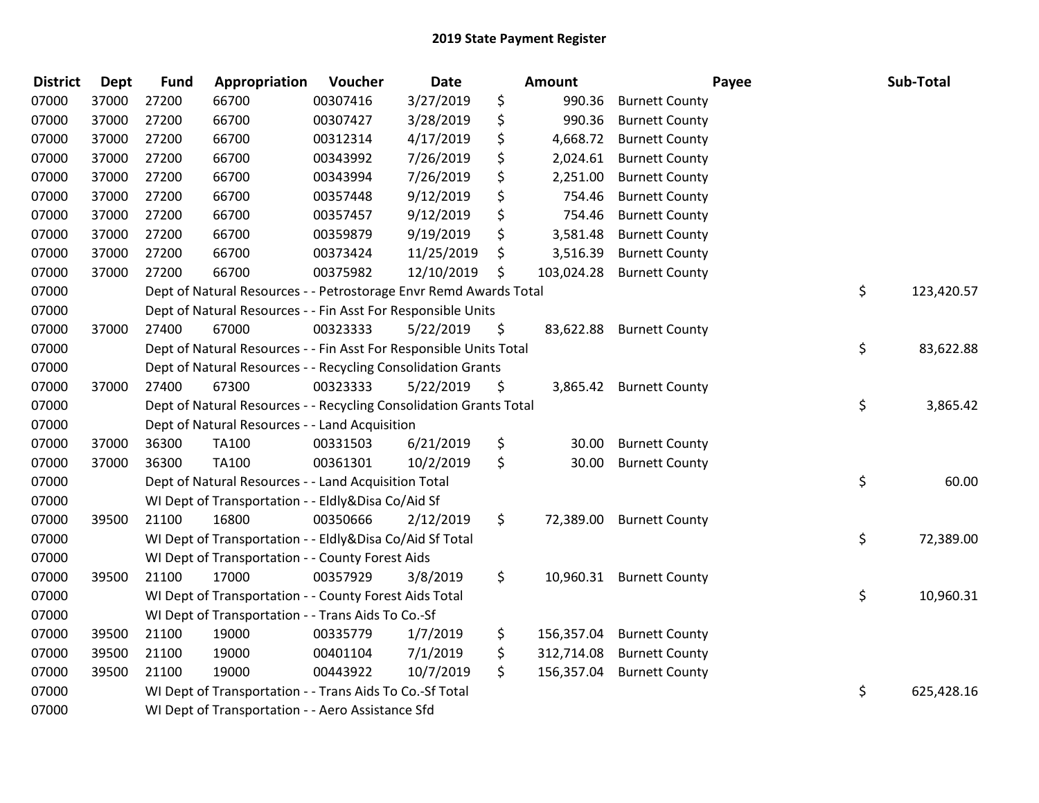| <b>District</b> | <b>Dept</b> | <b>Fund</b> | Appropriation                                                      | Voucher  | Date       | <b>Amount</b>    |                          | Payee | Sub-Total  |
|-----------------|-------------|-------------|--------------------------------------------------------------------|----------|------------|------------------|--------------------------|-------|------------|
| 07000           | 37000       | 27200       | 66700                                                              | 00307416 | 3/27/2019  | \$<br>990.36     | <b>Burnett County</b>    |       |            |
| 07000           | 37000       | 27200       | 66700                                                              | 00307427 | 3/28/2019  | \$<br>990.36     | <b>Burnett County</b>    |       |            |
| 07000           | 37000       | 27200       | 66700                                                              | 00312314 | 4/17/2019  | \$<br>4,668.72   | <b>Burnett County</b>    |       |            |
| 07000           | 37000       | 27200       | 66700                                                              | 00343992 | 7/26/2019  | \$<br>2,024.61   | <b>Burnett County</b>    |       |            |
| 07000           | 37000       | 27200       | 66700                                                              | 00343994 | 7/26/2019  | \$<br>2,251.00   | <b>Burnett County</b>    |       |            |
| 07000           | 37000       | 27200       | 66700                                                              | 00357448 | 9/12/2019  | \$<br>754.46     | <b>Burnett County</b>    |       |            |
| 07000           | 37000       | 27200       | 66700                                                              | 00357457 | 9/12/2019  | \$<br>754.46     | <b>Burnett County</b>    |       |            |
| 07000           | 37000       | 27200       | 66700                                                              | 00359879 | 9/19/2019  | \$<br>3,581.48   | <b>Burnett County</b>    |       |            |
| 07000           | 37000       | 27200       | 66700                                                              | 00373424 | 11/25/2019 | \$<br>3,516.39   | <b>Burnett County</b>    |       |            |
| 07000           | 37000       | 27200       | 66700                                                              | 00375982 | 12/10/2019 | \$<br>103,024.28 | <b>Burnett County</b>    |       |            |
| 07000           |             |             | Dept of Natural Resources - - Petrostorage Envr Remd Awards Total  |          |            |                  |                          | \$    | 123,420.57 |
| 07000           |             |             | Dept of Natural Resources - - Fin Asst For Responsible Units       |          |            |                  |                          |       |            |
| 07000           | 37000       | 27400       | 67000                                                              | 00323333 | 5/22/2019  | \$               | 83,622.88 Burnett County |       |            |
| 07000           |             |             | Dept of Natural Resources - - Fin Asst For Responsible Units Total |          |            |                  |                          | \$    | 83,622.88  |
| 07000           |             |             | Dept of Natural Resources - - Recycling Consolidation Grants       |          |            |                  |                          |       |            |
| 07000           | 37000       | 27400       | 67300                                                              | 00323333 | 5/22/2019  | \$<br>3,865.42   | <b>Burnett County</b>    |       |            |
| 07000           |             |             | Dept of Natural Resources - - Recycling Consolidation Grants Total |          |            |                  |                          | \$    | 3,865.42   |
| 07000           |             |             | Dept of Natural Resources - - Land Acquisition                     |          |            |                  |                          |       |            |
| 07000           | 37000       | 36300       | TA100                                                              | 00331503 | 6/21/2019  | \$<br>30.00      | <b>Burnett County</b>    |       |            |
| 07000           | 37000       | 36300       | <b>TA100</b>                                                       | 00361301 | 10/2/2019  | \$<br>30.00      | <b>Burnett County</b>    |       |            |
| 07000           |             |             | Dept of Natural Resources - - Land Acquisition Total               |          |            |                  |                          | \$    | 60.00      |
| 07000           |             |             | WI Dept of Transportation - - Eldly&Disa Co/Aid Sf                 |          |            |                  |                          |       |            |
| 07000           | 39500       | 21100       | 16800                                                              | 00350666 | 2/12/2019  | \$<br>72,389.00  | <b>Burnett County</b>    |       |            |
| 07000           |             |             | WI Dept of Transportation - - Eldly&Disa Co/Aid Sf Total           |          |            |                  |                          | \$    | 72,389.00  |
| 07000           |             |             | WI Dept of Transportation - - County Forest Aids                   |          |            |                  |                          |       |            |
| 07000           | 39500       | 21100       | 17000                                                              | 00357929 | 3/8/2019   | \$<br>10,960.31  | <b>Burnett County</b>    |       |            |
| 07000           |             |             | WI Dept of Transportation - - County Forest Aids Total             |          |            |                  |                          | \$    | 10,960.31  |
| 07000           |             |             | WI Dept of Transportation - - Trans Aids To Co.-Sf                 |          |            |                  |                          |       |            |
| 07000           | 39500       | 21100       | 19000                                                              | 00335779 | 1/7/2019   | \$<br>156,357.04 | <b>Burnett County</b>    |       |            |
| 07000           | 39500       | 21100       | 19000                                                              | 00401104 | 7/1/2019   | \$<br>312,714.08 | <b>Burnett County</b>    |       |            |
| 07000           | 39500       | 21100       | 19000                                                              | 00443922 | 10/7/2019  | \$<br>156,357.04 | <b>Burnett County</b>    |       |            |
| 07000           |             |             | WI Dept of Transportation - - Trans Aids To Co.-Sf Total           |          |            |                  |                          | \$    | 625,428.16 |
| 07000           |             |             | WI Dept of Transportation - - Aero Assistance Sfd                  |          |            |                  |                          |       |            |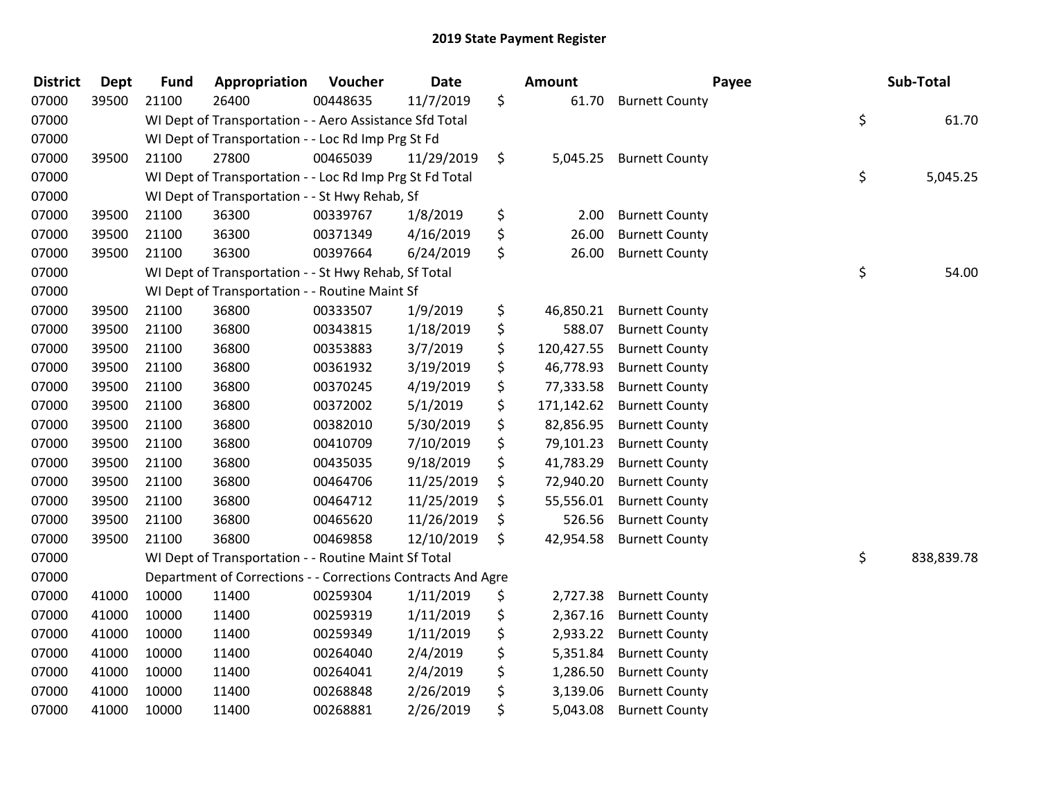| <b>District</b> | <b>Dept</b> | <b>Fund</b> | Appropriation                                                | Voucher  | <b>Date</b> |         | Amount     | Payee                 | Sub-Total        |
|-----------------|-------------|-------------|--------------------------------------------------------------|----------|-------------|---------|------------|-----------------------|------------------|
| 07000           | 39500       | 21100       | 26400                                                        | 00448635 | 11/7/2019   | \$      | 61.70      | <b>Burnett County</b> |                  |
| 07000           |             |             | WI Dept of Transportation - - Aero Assistance Sfd Total      |          |             |         |            |                       | \$<br>61.70      |
| 07000           |             |             | WI Dept of Transportation - - Loc Rd Imp Prg St Fd           |          |             |         |            |                       |                  |
| 07000           | 39500       | 21100       | 27800                                                        | 00465039 | 11/29/2019  | $\zeta$ | 5,045.25   | <b>Burnett County</b> |                  |
| 07000           |             |             | WI Dept of Transportation - - Loc Rd Imp Prg St Fd Total     |          |             |         |            |                       | \$<br>5,045.25   |
| 07000           |             |             | WI Dept of Transportation - - St Hwy Rehab, Sf               |          |             |         |            |                       |                  |
| 07000           | 39500       | 21100       | 36300                                                        | 00339767 | 1/8/2019    | \$      | 2.00       | <b>Burnett County</b> |                  |
| 07000           | 39500       | 21100       | 36300                                                        | 00371349 | 4/16/2019   | \$      | 26.00      | <b>Burnett County</b> |                  |
| 07000           | 39500       | 21100       | 36300                                                        | 00397664 | 6/24/2019   | \$      | 26.00      | <b>Burnett County</b> |                  |
| 07000           |             |             | WI Dept of Transportation - - St Hwy Rehab, Sf Total         |          |             |         |            |                       | \$<br>54.00      |
| 07000           |             |             | WI Dept of Transportation - - Routine Maint Sf               |          |             |         |            |                       |                  |
| 07000           | 39500       | 21100       | 36800                                                        | 00333507 | 1/9/2019    | \$      | 46,850.21  | <b>Burnett County</b> |                  |
| 07000           | 39500       | 21100       | 36800                                                        | 00343815 | 1/18/2019   | \$      | 588.07     | <b>Burnett County</b> |                  |
| 07000           | 39500       | 21100       | 36800                                                        | 00353883 | 3/7/2019    | \$      | 120,427.55 | <b>Burnett County</b> |                  |
| 07000           | 39500       | 21100       | 36800                                                        | 00361932 | 3/19/2019   | \$      | 46,778.93  | <b>Burnett County</b> |                  |
| 07000           | 39500       | 21100       | 36800                                                        | 00370245 | 4/19/2019   | \$      | 77,333.58  | <b>Burnett County</b> |                  |
| 07000           | 39500       | 21100       | 36800                                                        | 00372002 | 5/1/2019    | \$      | 171,142.62 | <b>Burnett County</b> |                  |
| 07000           | 39500       | 21100       | 36800                                                        | 00382010 | 5/30/2019   | \$      | 82,856.95  | <b>Burnett County</b> |                  |
| 07000           | 39500       | 21100       | 36800                                                        | 00410709 | 7/10/2019   | \$      | 79,101.23  | <b>Burnett County</b> |                  |
| 07000           | 39500       | 21100       | 36800                                                        | 00435035 | 9/18/2019   | \$      | 41,783.29  | <b>Burnett County</b> |                  |
| 07000           | 39500       | 21100       | 36800                                                        | 00464706 | 11/25/2019  | \$      | 72,940.20  | <b>Burnett County</b> |                  |
| 07000           | 39500       | 21100       | 36800                                                        | 00464712 | 11/25/2019  | \$      | 55,556.01  | <b>Burnett County</b> |                  |
| 07000           | 39500       | 21100       | 36800                                                        | 00465620 | 11/26/2019  | \$      | 526.56     | <b>Burnett County</b> |                  |
| 07000           | 39500       | 21100       | 36800                                                        | 00469858 | 12/10/2019  | \$      | 42,954.58  | <b>Burnett County</b> |                  |
| 07000           |             |             | WI Dept of Transportation - - Routine Maint Sf Total         |          |             |         |            |                       | \$<br>838,839.78 |
| 07000           |             |             | Department of Corrections - - Corrections Contracts And Agre |          |             |         |            |                       |                  |
| 07000           | 41000       | 10000       | 11400                                                        | 00259304 | 1/11/2019   | \$      | 2,727.38   | <b>Burnett County</b> |                  |
| 07000           | 41000       | 10000       | 11400                                                        | 00259319 | 1/11/2019   | \$      | 2,367.16   | <b>Burnett County</b> |                  |
| 07000           | 41000       | 10000       | 11400                                                        | 00259349 | 1/11/2019   | \$      | 2,933.22   | <b>Burnett County</b> |                  |
| 07000           | 41000       | 10000       | 11400                                                        | 00264040 | 2/4/2019    | \$      | 5,351.84   | <b>Burnett County</b> |                  |
| 07000           | 41000       | 10000       | 11400                                                        | 00264041 | 2/4/2019    | \$      | 1,286.50   | <b>Burnett County</b> |                  |
| 07000           | 41000       | 10000       | 11400                                                        | 00268848 | 2/26/2019   | \$      | 3,139.06   | <b>Burnett County</b> |                  |
| 07000           | 41000       | 10000       | 11400                                                        | 00268881 | 2/26/2019   | \$      | 5,043.08   | <b>Burnett County</b> |                  |
|                 |             |             |                                                              |          |             |         |            |                       |                  |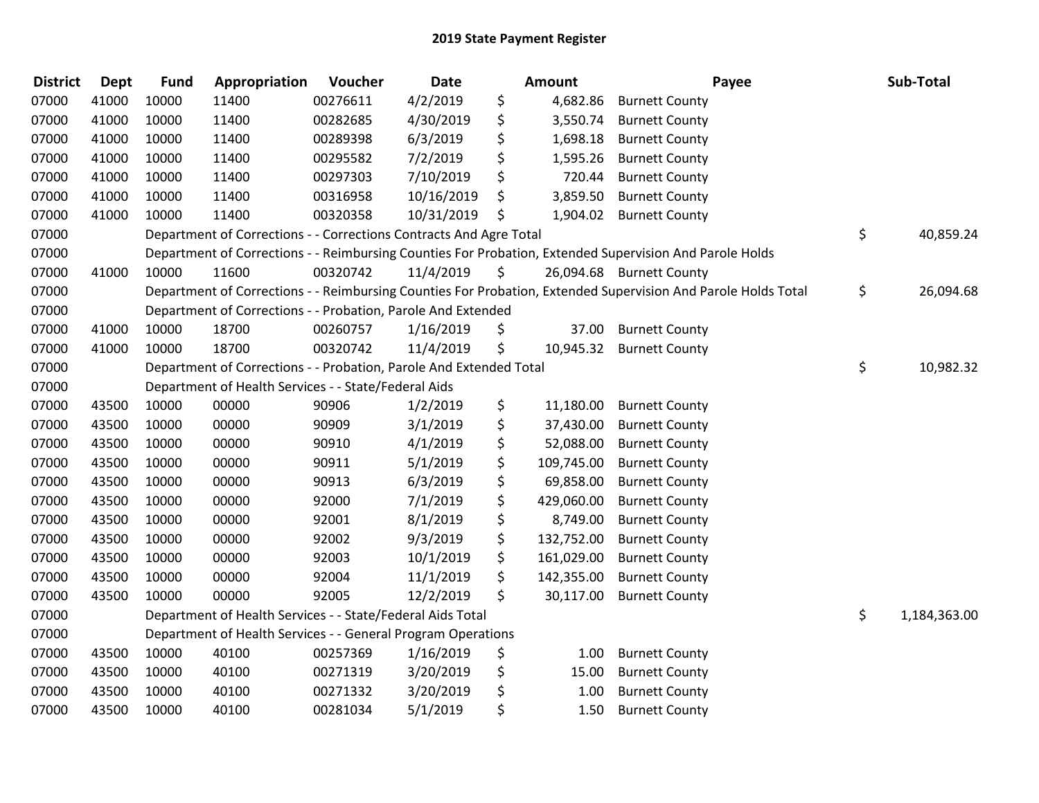| <b>District</b> | <b>Dept</b> | <b>Fund</b> | Appropriation                                                      | Voucher  | <b>Date</b> | Amount           | Payee                                                                                                         | Sub-Total          |
|-----------------|-------------|-------------|--------------------------------------------------------------------|----------|-------------|------------------|---------------------------------------------------------------------------------------------------------------|--------------------|
| 07000           | 41000       | 10000       | 11400                                                              | 00276611 | 4/2/2019    | \$<br>4,682.86   | <b>Burnett County</b>                                                                                         |                    |
| 07000           | 41000       | 10000       | 11400                                                              | 00282685 | 4/30/2019   | \$<br>3,550.74   | <b>Burnett County</b>                                                                                         |                    |
| 07000           | 41000       | 10000       | 11400                                                              | 00289398 | 6/3/2019    | \$<br>1,698.18   | <b>Burnett County</b>                                                                                         |                    |
| 07000           | 41000       | 10000       | 11400                                                              | 00295582 | 7/2/2019    | \$<br>1,595.26   | <b>Burnett County</b>                                                                                         |                    |
| 07000           | 41000       | 10000       | 11400                                                              | 00297303 | 7/10/2019   | \$<br>720.44     | <b>Burnett County</b>                                                                                         |                    |
| 07000           | 41000       | 10000       | 11400                                                              | 00316958 | 10/16/2019  | \$<br>3,859.50   | <b>Burnett County</b>                                                                                         |                    |
| 07000           | 41000       | 10000       | 11400                                                              | 00320358 | 10/31/2019  | \$<br>1,904.02   | <b>Burnett County</b>                                                                                         |                    |
| 07000           |             |             | Department of Corrections - - Corrections Contracts And Agre Total |          |             |                  |                                                                                                               | \$<br>40,859.24    |
| 07000           |             |             |                                                                    |          |             |                  | Department of Corrections - - Reimbursing Counties For Probation, Extended Supervision And Parole Holds       |                    |
| 07000           | 41000       | 10000       | 11600                                                              | 00320742 | 11/4/2019   | \$               | 26,094.68 Burnett County                                                                                      |                    |
| 07000           |             |             |                                                                    |          |             |                  | Department of Corrections - - Reimbursing Counties For Probation, Extended Supervision And Parole Holds Total | \$<br>26,094.68    |
| 07000           |             |             | Department of Corrections - - Probation, Parole And Extended       |          |             |                  |                                                                                                               |                    |
| 07000           | 41000       | 10000       | 18700                                                              | 00260757 | 1/16/2019   | \$<br>37.00      | <b>Burnett County</b>                                                                                         |                    |
| 07000           | 41000       | 10000       | 18700                                                              | 00320742 | 11/4/2019   | \$<br>10,945.32  | <b>Burnett County</b>                                                                                         |                    |
| 07000           |             |             | Department of Corrections - - Probation, Parole And Extended Total |          |             |                  |                                                                                                               | \$<br>10,982.32    |
| 07000           |             |             | Department of Health Services - - State/Federal Aids               |          |             |                  |                                                                                                               |                    |
| 07000           | 43500       | 10000       | 00000                                                              | 90906    | 1/2/2019    | \$<br>11,180.00  | <b>Burnett County</b>                                                                                         |                    |
| 07000           | 43500       | 10000       | 00000                                                              | 90909    | 3/1/2019    | \$<br>37,430.00  | <b>Burnett County</b>                                                                                         |                    |
| 07000           | 43500       | 10000       | 00000                                                              | 90910    | 4/1/2019    | \$<br>52,088.00  | <b>Burnett County</b>                                                                                         |                    |
| 07000           | 43500       | 10000       | 00000                                                              | 90911    | 5/1/2019    | \$<br>109,745.00 | <b>Burnett County</b>                                                                                         |                    |
| 07000           | 43500       | 10000       | 00000                                                              | 90913    | 6/3/2019    | \$<br>69,858.00  | <b>Burnett County</b>                                                                                         |                    |
| 07000           | 43500       | 10000       | 00000                                                              | 92000    | 7/1/2019    | \$<br>429,060.00 | <b>Burnett County</b>                                                                                         |                    |
| 07000           | 43500       | 10000       | 00000                                                              | 92001    | 8/1/2019    | \$<br>8,749.00   | <b>Burnett County</b>                                                                                         |                    |
| 07000           | 43500       | 10000       | 00000                                                              | 92002    | 9/3/2019    | \$<br>132,752.00 | <b>Burnett County</b>                                                                                         |                    |
| 07000           | 43500       | 10000       | 00000                                                              | 92003    | 10/1/2019   | \$<br>161,029.00 | <b>Burnett County</b>                                                                                         |                    |
| 07000           | 43500       | 10000       | 00000                                                              | 92004    | 11/1/2019   | \$<br>142,355.00 | <b>Burnett County</b>                                                                                         |                    |
| 07000           | 43500       | 10000       | 00000                                                              | 92005    | 12/2/2019   | \$<br>30,117.00  | <b>Burnett County</b>                                                                                         |                    |
| 07000           |             |             | Department of Health Services - - State/Federal Aids Total         |          |             |                  |                                                                                                               | \$<br>1,184,363.00 |
| 07000           |             |             | Department of Health Services - - General Program Operations       |          |             |                  |                                                                                                               |                    |
| 07000           | 43500       | 10000       | 40100                                                              | 00257369 | 1/16/2019   | \$<br>1.00       | <b>Burnett County</b>                                                                                         |                    |
| 07000           | 43500       | 10000       | 40100                                                              | 00271319 | 3/20/2019   | \$<br>15.00      | <b>Burnett County</b>                                                                                         |                    |
| 07000           | 43500       | 10000       | 40100                                                              | 00271332 | 3/20/2019   | \$<br>1.00       | <b>Burnett County</b>                                                                                         |                    |
| 07000           | 43500       | 10000       | 40100                                                              | 00281034 | 5/1/2019    | \$<br>1.50       | <b>Burnett County</b>                                                                                         |                    |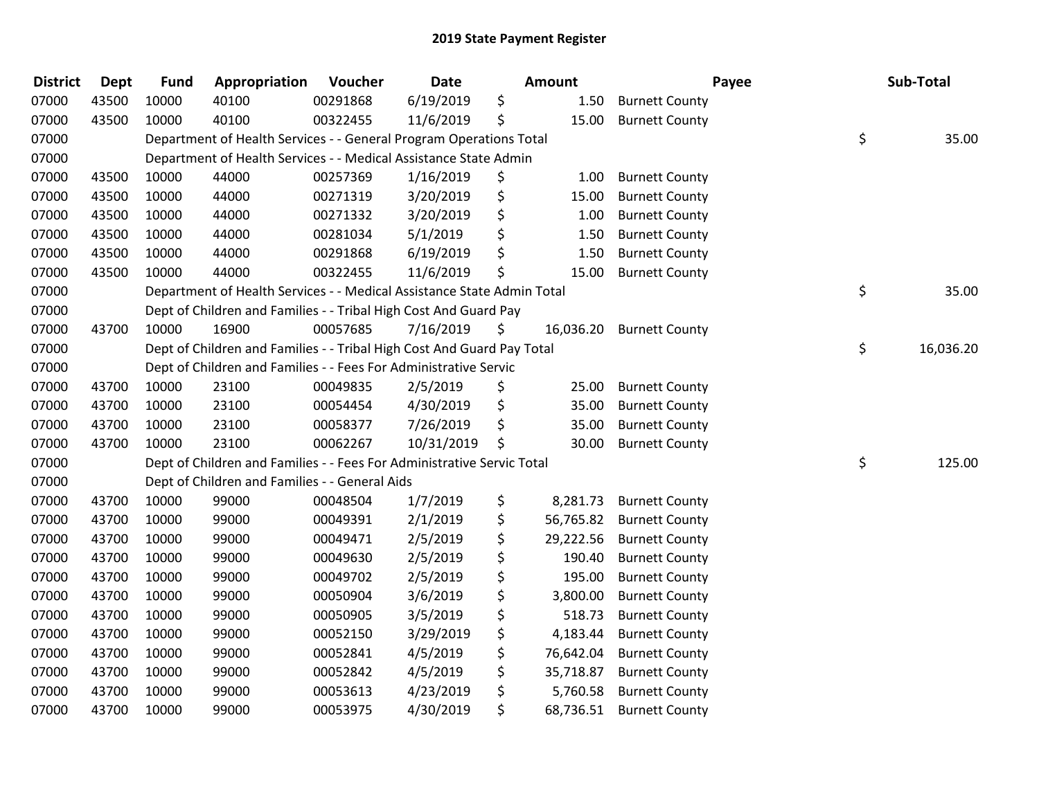| <b>District</b> | <b>Dept</b> | <b>Fund</b> | Appropriation                                                          | Voucher  | <b>Date</b> | <b>Amount</b>   | Payee                 | Sub-Total       |
|-----------------|-------------|-------------|------------------------------------------------------------------------|----------|-------------|-----------------|-----------------------|-----------------|
| 07000           | 43500       | 10000       | 40100                                                                  | 00291868 | 6/19/2019   | \$<br>1.50      | <b>Burnett County</b> |                 |
| 07000           | 43500       | 10000       | 40100                                                                  | 00322455 | 11/6/2019   | \$<br>15.00     | <b>Burnett County</b> |                 |
| 07000           |             |             | Department of Health Services - - General Program Operations Total     |          |             |                 |                       | \$<br>35.00     |
| 07000           |             |             | Department of Health Services - - Medical Assistance State Admin       |          |             |                 |                       |                 |
| 07000           | 43500       | 10000       | 44000                                                                  | 00257369 | 1/16/2019   | \$<br>1.00      | <b>Burnett County</b> |                 |
| 07000           | 43500       | 10000       | 44000                                                                  | 00271319 | 3/20/2019   | \$<br>15.00     | <b>Burnett County</b> |                 |
| 07000           | 43500       | 10000       | 44000                                                                  | 00271332 | 3/20/2019   | \$<br>1.00      | <b>Burnett County</b> |                 |
| 07000           | 43500       | 10000       | 44000                                                                  | 00281034 | 5/1/2019    | \$<br>1.50      | <b>Burnett County</b> |                 |
| 07000           | 43500       | 10000       | 44000                                                                  | 00291868 | 6/19/2019   | \$<br>1.50      | <b>Burnett County</b> |                 |
| 07000           | 43500       | 10000       | 44000                                                                  | 00322455 | 11/6/2019   | \$<br>15.00     | <b>Burnett County</b> |                 |
| 07000           |             |             | Department of Health Services - - Medical Assistance State Admin Total |          |             |                 |                       | \$<br>35.00     |
| 07000           |             |             | Dept of Children and Families - - Tribal High Cost And Guard Pay       |          |             |                 |                       |                 |
| 07000           | 43700       | 10000       | 16900                                                                  | 00057685 | 7/16/2019   | \$<br>16,036.20 | <b>Burnett County</b> |                 |
| 07000           |             |             | Dept of Children and Families - - Tribal High Cost And Guard Pay Total |          |             |                 |                       | \$<br>16,036.20 |
| 07000           |             |             | Dept of Children and Families - - Fees For Administrative Servic       |          |             |                 |                       |                 |
| 07000           | 43700       | 10000       | 23100                                                                  | 00049835 | 2/5/2019    | \$<br>25.00     | <b>Burnett County</b> |                 |
| 07000           | 43700       | 10000       | 23100                                                                  | 00054454 | 4/30/2019   | \$<br>35.00     | <b>Burnett County</b> |                 |
| 07000           | 43700       | 10000       | 23100                                                                  | 00058377 | 7/26/2019   | \$<br>35.00     | <b>Burnett County</b> |                 |
| 07000           | 43700       | 10000       | 23100                                                                  | 00062267 | 10/31/2019  | \$<br>30.00     | <b>Burnett County</b> |                 |
| 07000           |             |             | Dept of Children and Families - - Fees For Administrative Servic Total |          |             |                 |                       | \$<br>125.00    |
| 07000           |             |             | Dept of Children and Families - - General Aids                         |          |             |                 |                       |                 |
| 07000           | 43700       | 10000       | 99000                                                                  | 00048504 | 1/7/2019    | \$<br>8,281.73  | <b>Burnett County</b> |                 |
| 07000           | 43700       | 10000       | 99000                                                                  | 00049391 | 2/1/2019    | \$<br>56,765.82 | <b>Burnett County</b> |                 |
| 07000           | 43700       | 10000       | 99000                                                                  | 00049471 | 2/5/2019    | \$<br>29,222.56 | <b>Burnett County</b> |                 |
| 07000           | 43700       | 10000       | 99000                                                                  | 00049630 | 2/5/2019    | \$<br>190.40    | <b>Burnett County</b> |                 |
| 07000           | 43700       | 10000       | 99000                                                                  | 00049702 | 2/5/2019    | \$<br>195.00    | <b>Burnett County</b> |                 |
| 07000           | 43700       | 10000       | 99000                                                                  | 00050904 | 3/6/2019    | \$<br>3,800.00  | <b>Burnett County</b> |                 |
| 07000           | 43700       | 10000       | 99000                                                                  | 00050905 | 3/5/2019    | \$<br>518.73    | <b>Burnett County</b> |                 |
| 07000           | 43700       | 10000       | 99000                                                                  | 00052150 | 3/29/2019   | \$<br>4,183.44  | <b>Burnett County</b> |                 |
| 07000           | 43700       | 10000       | 99000                                                                  | 00052841 | 4/5/2019    | \$<br>76,642.04 | <b>Burnett County</b> |                 |
| 07000           | 43700       | 10000       | 99000                                                                  | 00052842 | 4/5/2019    | \$<br>35,718.87 | <b>Burnett County</b> |                 |
| 07000           | 43700       | 10000       | 99000                                                                  | 00053613 | 4/23/2019   | \$<br>5,760.58  | <b>Burnett County</b> |                 |
| 07000           | 43700       | 10000       | 99000                                                                  | 00053975 | 4/30/2019   | \$<br>68,736.51 | <b>Burnett County</b> |                 |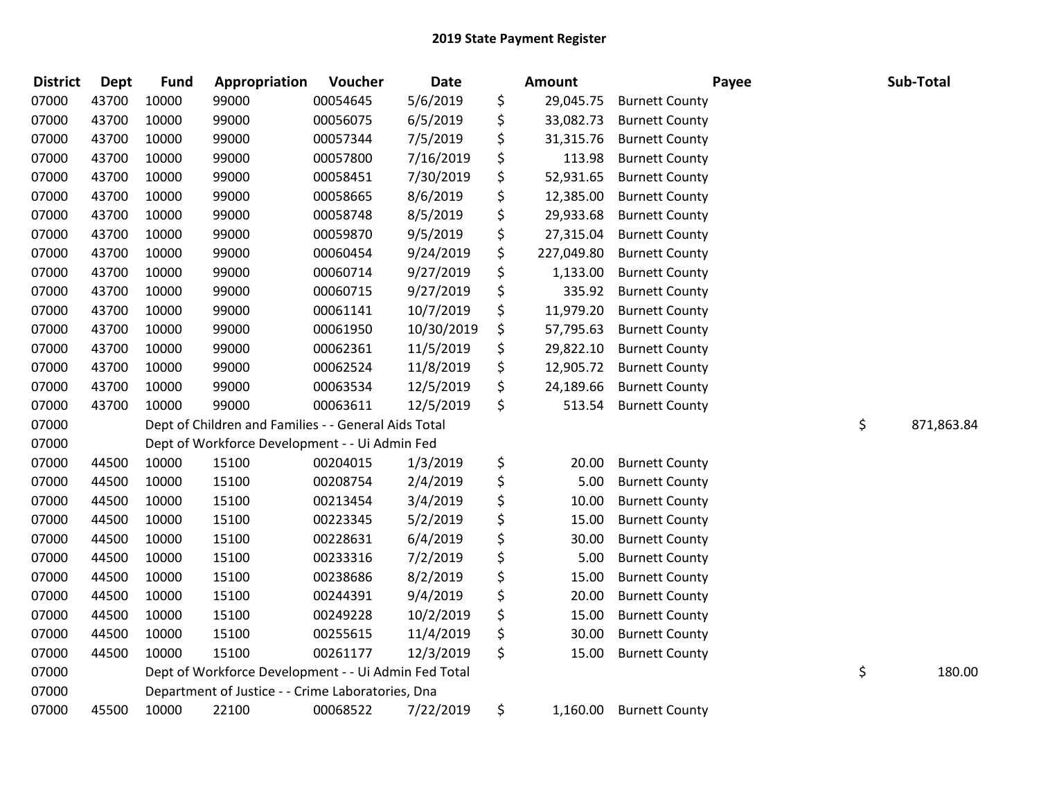| <b>District</b> | Dept  | <b>Fund</b> | Appropriation                                        | Voucher  | <b>Date</b> | Amount           |                       | Payee | Sub-Total        |
|-----------------|-------|-------------|------------------------------------------------------|----------|-------------|------------------|-----------------------|-------|------------------|
| 07000           | 43700 | 10000       | 99000                                                | 00054645 | 5/6/2019    | \$<br>29,045.75  | <b>Burnett County</b> |       |                  |
| 07000           | 43700 | 10000       | 99000                                                | 00056075 | 6/5/2019    | \$<br>33,082.73  | <b>Burnett County</b> |       |                  |
| 07000           | 43700 | 10000       | 99000                                                | 00057344 | 7/5/2019    | \$<br>31,315.76  | <b>Burnett County</b> |       |                  |
| 07000           | 43700 | 10000       | 99000                                                | 00057800 | 7/16/2019   | \$<br>113.98     | <b>Burnett County</b> |       |                  |
| 07000           | 43700 | 10000       | 99000                                                | 00058451 | 7/30/2019   | \$<br>52,931.65  | <b>Burnett County</b> |       |                  |
| 07000           | 43700 | 10000       | 99000                                                | 00058665 | 8/6/2019    | \$<br>12,385.00  | <b>Burnett County</b> |       |                  |
| 07000           | 43700 | 10000       | 99000                                                | 00058748 | 8/5/2019    | \$<br>29,933.68  | <b>Burnett County</b> |       |                  |
| 07000           | 43700 | 10000       | 99000                                                | 00059870 | 9/5/2019    | \$<br>27,315.04  | <b>Burnett County</b> |       |                  |
| 07000           | 43700 | 10000       | 99000                                                | 00060454 | 9/24/2019   | \$<br>227,049.80 | <b>Burnett County</b> |       |                  |
| 07000           | 43700 | 10000       | 99000                                                | 00060714 | 9/27/2019   | \$<br>1,133.00   | <b>Burnett County</b> |       |                  |
| 07000           | 43700 | 10000       | 99000                                                | 00060715 | 9/27/2019   | \$<br>335.92     | <b>Burnett County</b> |       |                  |
| 07000           | 43700 | 10000       | 99000                                                | 00061141 | 10/7/2019   | \$<br>11,979.20  | <b>Burnett County</b> |       |                  |
| 07000           | 43700 | 10000       | 99000                                                | 00061950 | 10/30/2019  | \$<br>57,795.63  | <b>Burnett County</b> |       |                  |
| 07000           | 43700 | 10000       | 99000                                                | 00062361 | 11/5/2019   | \$<br>29,822.10  | <b>Burnett County</b> |       |                  |
| 07000           | 43700 | 10000       | 99000                                                | 00062524 | 11/8/2019   | \$<br>12,905.72  | <b>Burnett County</b> |       |                  |
| 07000           | 43700 | 10000       | 99000                                                | 00063534 | 12/5/2019   | \$<br>24,189.66  | <b>Burnett County</b> |       |                  |
| 07000           | 43700 | 10000       | 99000                                                | 00063611 | 12/5/2019   | \$<br>513.54     | <b>Burnett County</b> |       |                  |
| 07000           |       |             | Dept of Children and Families - - General Aids Total |          |             |                  |                       |       | \$<br>871,863.84 |
| 07000           |       |             | Dept of Workforce Development - - Ui Admin Fed       |          |             |                  |                       |       |                  |
| 07000           | 44500 | 10000       | 15100                                                | 00204015 | 1/3/2019    | \$<br>20.00      | <b>Burnett County</b> |       |                  |
| 07000           | 44500 | 10000       | 15100                                                | 00208754 | 2/4/2019    | \$<br>5.00       | <b>Burnett County</b> |       |                  |
| 07000           | 44500 | 10000       | 15100                                                | 00213454 | 3/4/2019    | \$<br>10.00      | <b>Burnett County</b> |       |                  |
| 07000           | 44500 | 10000       | 15100                                                | 00223345 | 5/2/2019    | \$<br>15.00      | <b>Burnett County</b> |       |                  |
| 07000           | 44500 | 10000       | 15100                                                | 00228631 | 6/4/2019    | \$<br>30.00      | <b>Burnett County</b> |       |                  |
| 07000           | 44500 | 10000       | 15100                                                | 00233316 | 7/2/2019    | \$<br>5.00       | <b>Burnett County</b> |       |                  |
| 07000           | 44500 | 10000       | 15100                                                | 00238686 | 8/2/2019    | \$<br>15.00      | <b>Burnett County</b> |       |                  |
| 07000           | 44500 | 10000       | 15100                                                | 00244391 | 9/4/2019    | \$<br>20.00      | <b>Burnett County</b> |       |                  |
| 07000           | 44500 | 10000       | 15100                                                | 00249228 | 10/2/2019   | \$<br>15.00      | <b>Burnett County</b> |       |                  |
| 07000           | 44500 | 10000       | 15100                                                | 00255615 | 11/4/2019   | \$<br>30.00      | <b>Burnett County</b> |       |                  |
| 07000           | 44500 | 10000       | 15100                                                | 00261177 | 12/3/2019   | \$<br>15.00      | <b>Burnett County</b> |       |                  |
| 07000           |       |             | Dept of Workforce Development - - Ui Admin Fed Total |          |             |                  |                       |       | \$<br>180.00     |
| 07000           |       |             | Department of Justice - - Crime Laboratories, Dna    |          |             |                  |                       |       |                  |
| 07000           | 45500 | 10000       | 22100                                                | 00068522 | 7/22/2019   | \$<br>1,160.00   | <b>Burnett County</b> |       |                  |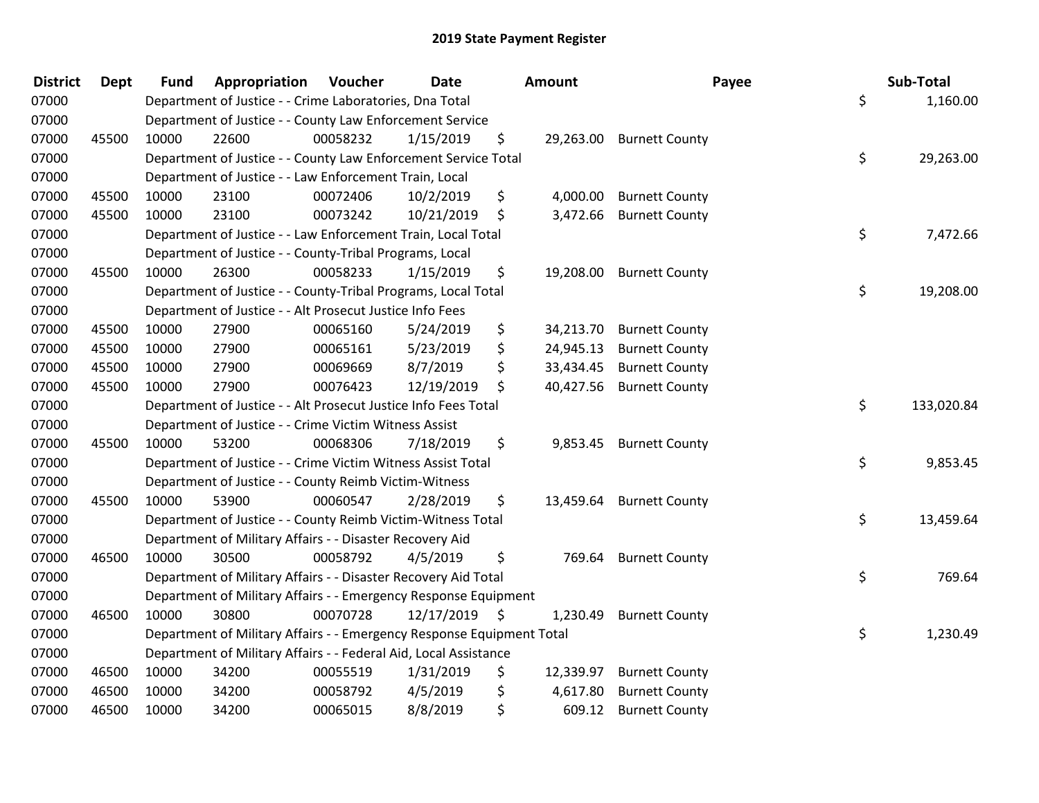| <b>District</b> | <b>Dept</b> | <b>Fund</b> | Appropriation                                                         | Voucher  | <b>Date</b> |      | <b>Amount</b> | Payee                    | Sub-Total        |
|-----------------|-------------|-------------|-----------------------------------------------------------------------|----------|-------------|------|---------------|--------------------------|------------------|
| 07000           |             |             | Department of Justice - - Crime Laboratories, Dna Total               |          |             |      |               |                          | \$<br>1,160.00   |
| 07000           |             |             | Department of Justice - - County Law Enforcement Service              |          |             |      |               |                          |                  |
| 07000           | 45500       | 10000       | 22600                                                                 | 00058232 | 1/15/2019   | \$   |               | 29,263.00 Burnett County |                  |
| 07000           |             |             | Department of Justice - - County Law Enforcement Service Total        |          |             |      |               |                          | \$<br>29,263.00  |
| 07000           |             |             | Department of Justice - - Law Enforcement Train, Local                |          |             |      |               |                          |                  |
| 07000           | 45500       | 10000       | 23100                                                                 | 00072406 | 10/2/2019   | \$   | 4,000.00      | <b>Burnett County</b>    |                  |
| 07000           | 45500       | 10000       | 23100                                                                 | 00073242 | 10/21/2019  | \$   | 3,472.66      | <b>Burnett County</b>    |                  |
| 07000           |             |             | Department of Justice - - Law Enforcement Train, Local Total          |          |             |      |               |                          | \$<br>7,472.66   |
| 07000           |             |             | Department of Justice - - County-Tribal Programs, Local               |          |             |      |               |                          |                  |
| 07000           | 45500       | 10000       | 26300                                                                 | 00058233 | 1/15/2019   | \$   | 19,208.00     | <b>Burnett County</b>    |                  |
| 07000           |             |             | Department of Justice - - County-Tribal Programs, Local Total         |          |             |      |               |                          | \$<br>19,208.00  |
| 07000           |             |             | Department of Justice - - Alt Prosecut Justice Info Fees              |          |             |      |               |                          |                  |
| 07000           | 45500       | 10000       | 27900                                                                 | 00065160 | 5/24/2019   | \$   | 34,213.70     | <b>Burnett County</b>    |                  |
| 07000           | 45500       | 10000       | 27900                                                                 | 00065161 | 5/23/2019   | \$   | 24,945.13     | <b>Burnett County</b>    |                  |
| 07000           | 45500       | 10000       | 27900                                                                 | 00069669 | 8/7/2019    | \$   | 33,434.45     | <b>Burnett County</b>    |                  |
| 07000           | 45500       | 10000       | 27900                                                                 | 00076423 | 12/19/2019  | \$   | 40,427.56     | <b>Burnett County</b>    |                  |
| 07000           |             |             | Department of Justice - - Alt Prosecut Justice Info Fees Total        |          |             |      |               |                          | \$<br>133,020.84 |
| 07000           |             |             | Department of Justice - - Crime Victim Witness Assist                 |          |             |      |               |                          |                  |
| 07000           | 45500       | 10000       | 53200                                                                 | 00068306 | 7/18/2019   | \$   | 9,853.45      | <b>Burnett County</b>    |                  |
| 07000           |             |             | Department of Justice - - Crime Victim Witness Assist Total           |          |             |      |               |                          | \$<br>9,853.45   |
| 07000           |             |             | Department of Justice - - County Reimb Victim-Witness                 |          |             |      |               |                          |                  |
| 07000           | 45500       | 10000       | 53900                                                                 | 00060547 | 2/28/2019   | \$   |               | 13,459.64 Burnett County |                  |
| 07000           |             |             | Department of Justice - - County Reimb Victim-Witness Total           |          |             |      |               |                          | \$<br>13,459.64  |
| 07000           |             |             | Department of Military Affairs - - Disaster Recovery Aid              |          |             |      |               |                          |                  |
| 07000           | 46500       | 10000       | 30500                                                                 | 00058792 | 4/5/2019    | \$   | 769.64        | <b>Burnett County</b>    |                  |
| 07000           |             |             | Department of Military Affairs - - Disaster Recovery Aid Total        |          |             |      |               |                          | \$<br>769.64     |
| 07000           |             |             | Department of Military Affairs - - Emergency Response Equipment       |          |             |      |               |                          |                  |
| 07000           | 46500       | 10000       | 30800                                                                 | 00070728 | 12/17/2019  | - \$ | 1,230.49      | <b>Burnett County</b>    |                  |
| 07000           |             |             | Department of Military Affairs - - Emergency Response Equipment Total |          |             |      |               |                          | \$<br>1,230.49   |
| 07000           |             |             | Department of Military Affairs - - Federal Aid, Local Assistance      |          |             |      |               |                          |                  |
| 07000           | 46500       | 10000       | 34200                                                                 | 00055519 | 1/31/2019   | \$   | 12,339.97     | <b>Burnett County</b>    |                  |
| 07000           | 46500       | 10000       | 34200                                                                 | 00058792 | 4/5/2019    | \$   | 4,617.80      | <b>Burnett County</b>    |                  |
| 07000           | 46500       | 10000       | 34200                                                                 | 00065015 | 8/8/2019    | \$   | 609.12        | <b>Burnett County</b>    |                  |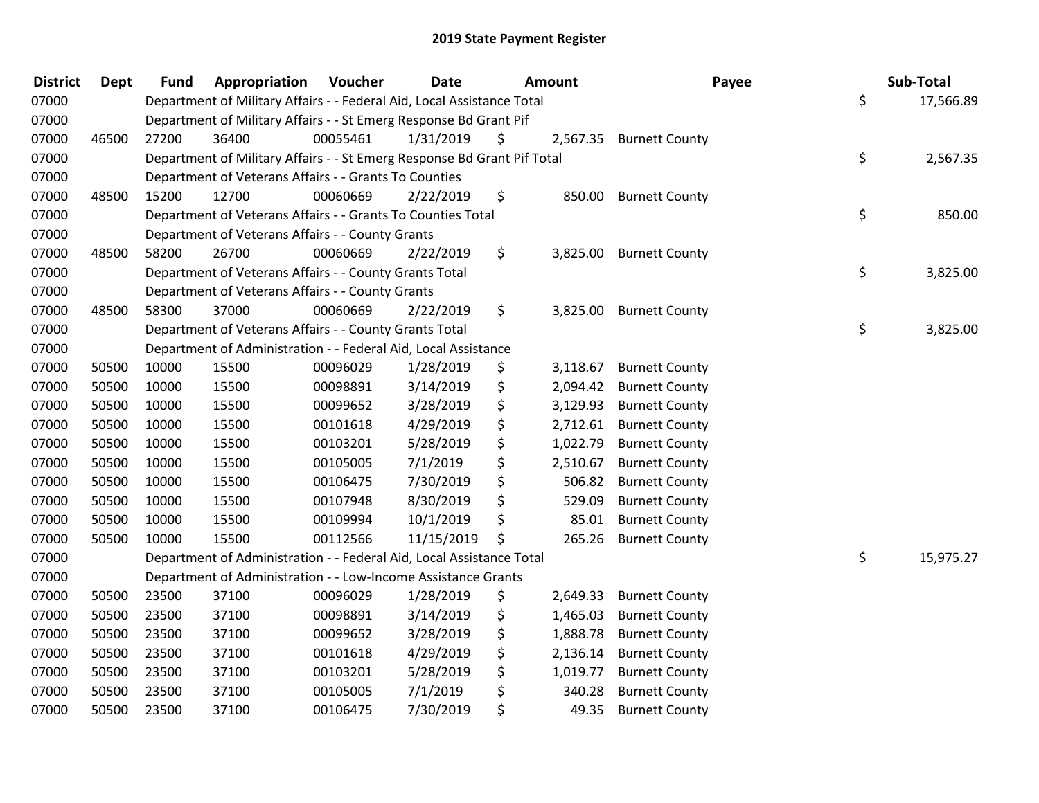| <b>District</b> | <b>Dept</b> | <b>Fund</b> | Appropriation                                                           | Voucher  | <b>Date</b> | <b>Amount</b>  | Payee                 | Sub-Total       |
|-----------------|-------------|-------------|-------------------------------------------------------------------------|----------|-------------|----------------|-----------------------|-----------------|
| 07000           |             |             | Department of Military Affairs - - Federal Aid, Local Assistance Total  |          |             |                |                       | \$<br>17,566.89 |
| 07000           |             |             | Department of Military Affairs - - St Emerg Response Bd Grant Pif       |          |             |                |                       |                 |
| 07000           | 46500       | 27200       | 36400                                                                   | 00055461 | 1/31/2019   | \$<br>2,567.35 | <b>Burnett County</b> |                 |
| 07000           |             |             | Department of Military Affairs - - St Emerg Response Bd Grant Pif Total |          |             |                |                       | \$<br>2,567.35  |
| 07000           |             |             | Department of Veterans Affairs - - Grants To Counties                   |          |             |                |                       |                 |
| 07000           | 48500       | 15200       | 12700                                                                   | 00060669 | 2/22/2019   | \$<br>850.00   | <b>Burnett County</b> |                 |
| 07000           |             |             | Department of Veterans Affairs - - Grants To Counties Total             |          |             |                |                       | \$<br>850.00    |
| 07000           |             |             | Department of Veterans Affairs - - County Grants                        |          |             |                |                       |                 |
| 07000           | 48500       | 58200       | 26700                                                                   | 00060669 | 2/22/2019   | \$<br>3,825.00 | <b>Burnett County</b> |                 |
| 07000           |             |             | Department of Veterans Affairs - - County Grants Total                  |          |             |                |                       | \$<br>3,825.00  |
| 07000           |             |             | Department of Veterans Affairs - - County Grants                        |          |             |                |                       |                 |
| 07000           | 48500       | 58300       | 37000                                                                   | 00060669 | 2/22/2019   | \$<br>3,825.00 | <b>Burnett County</b> |                 |
| 07000           |             |             | Department of Veterans Affairs - - County Grants Total                  |          |             |                |                       | \$<br>3,825.00  |
| 07000           |             |             | Department of Administration - - Federal Aid, Local Assistance          |          |             |                |                       |                 |
| 07000           | 50500       | 10000       | 15500                                                                   | 00096029 | 1/28/2019   | \$<br>3,118.67 | <b>Burnett County</b> |                 |
| 07000           | 50500       | 10000       | 15500                                                                   | 00098891 | 3/14/2019   | \$<br>2,094.42 | <b>Burnett County</b> |                 |
| 07000           | 50500       | 10000       | 15500                                                                   | 00099652 | 3/28/2019   | \$<br>3,129.93 | <b>Burnett County</b> |                 |
| 07000           | 50500       | 10000       | 15500                                                                   | 00101618 | 4/29/2019   | \$<br>2,712.61 | <b>Burnett County</b> |                 |
| 07000           | 50500       | 10000       | 15500                                                                   | 00103201 | 5/28/2019   | \$<br>1,022.79 | <b>Burnett County</b> |                 |
| 07000           | 50500       | 10000       | 15500                                                                   | 00105005 | 7/1/2019    | \$<br>2,510.67 | <b>Burnett County</b> |                 |
| 07000           | 50500       | 10000       | 15500                                                                   | 00106475 | 7/30/2019   | \$<br>506.82   | <b>Burnett County</b> |                 |
| 07000           | 50500       | 10000       | 15500                                                                   | 00107948 | 8/30/2019   | 529.09         | <b>Burnett County</b> |                 |
| 07000           | 50500       | 10000       | 15500                                                                   | 00109994 | 10/1/2019   | \$<br>85.01    | <b>Burnett County</b> |                 |
| 07000           | 50500       | 10000       | 15500                                                                   | 00112566 | 11/15/2019  | \$<br>265.26   | <b>Burnett County</b> |                 |
| 07000           |             |             | Department of Administration - - Federal Aid, Local Assistance Total    |          |             |                |                       | \$<br>15,975.27 |
| 07000           |             |             | Department of Administration - - Low-Income Assistance Grants           |          |             |                |                       |                 |
| 07000           | 50500       | 23500       | 37100                                                                   | 00096029 | 1/28/2019   | \$<br>2,649.33 | <b>Burnett County</b> |                 |
| 07000           | 50500       | 23500       | 37100                                                                   | 00098891 | 3/14/2019   | \$<br>1,465.03 | <b>Burnett County</b> |                 |
| 07000           | 50500       | 23500       | 37100                                                                   | 00099652 | 3/28/2019   | \$<br>1,888.78 | <b>Burnett County</b> |                 |
| 07000           | 50500       | 23500       | 37100                                                                   | 00101618 | 4/29/2019   | \$<br>2,136.14 | <b>Burnett County</b> |                 |
| 07000           | 50500       | 23500       | 37100                                                                   | 00103201 | 5/28/2019   | \$<br>1,019.77 | <b>Burnett County</b> |                 |
| 07000           | 50500       | 23500       | 37100                                                                   | 00105005 | 7/1/2019    | \$<br>340.28   | <b>Burnett County</b> |                 |
| 07000           | 50500       | 23500       | 37100                                                                   | 00106475 | 7/30/2019   | \$<br>49.35    | <b>Burnett County</b> |                 |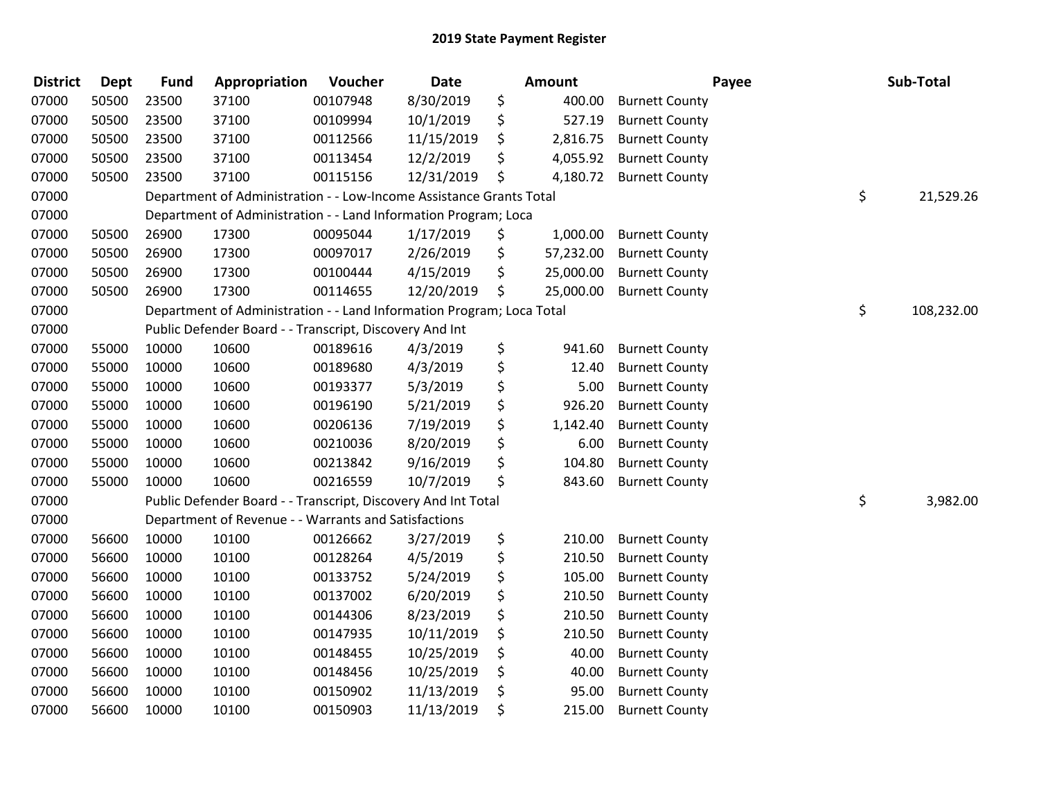| <b>District</b> | <b>Dept</b> | <b>Fund</b> | Appropriation                                                         | Voucher  | <b>Date</b> |    | Amount    |                       | Payee | Sub-Total  |
|-----------------|-------------|-------------|-----------------------------------------------------------------------|----------|-------------|----|-----------|-----------------------|-------|------------|
| 07000           | 50500       | 23500       | 37100                                                                 | 00107948 | 8/30/2019   | \$ | 400.00    | <b>Burnett County</b> |       |            |
| 07000           | 50500       | 23500       | 37100                                                                 | 00109994 | 10/1/2019   | \$ | 527.19    | <b>Burnett County</b> |       |            |
| 07000           | 50500       | 23500       | 37100                                                                 | 00112566 | 11/15/2019  | \$ | 2,816.75  | <b>Burnett County</b> |       |            |
| 07000           | 50500       | 23500       | 37100                                                                 | 00113454 | 12/2/2019   | \$ | 4,055.92  | <b>Burnett County</b> |       |            |
| 07000           | 50500       | 23500       | 37100                                                                 | 00115156 | 12/31/2019  | \$ | 4,180.72  | <b>Burnett County</b> |       |            |
| 07000           |             |             | Department of Administration - - Low-Income Assistance Grants Total   |          |             |    |           |                       | \$    | 21,529.26  |
| 07000           |             |             | Department of Administration - - Land Information Program; Loca       |          |             |    |           |                       |       |            |
| 07000           | 50500       | 26900       | 17300                                                                 | 00095044 | 1/17/2019   | \$ | 1,000.00  | <b>Burnett County</b> |       |            |
| 07000           | 50500       | 26900       | 17300                                                                 | 00097017 | 2/26/2019   | \$ | 57,232.00 | <b>Burnett County</b> |       |            |
| 07000           | 50500       | 26900       | 17300                                                                 | 00100444 | 4/15/2019   | \$ | 25,000.00 | <b>Burnett County</b> |       |            |
| 07000           | 50500       | 26900       | 17300                                                                 | 00114655 | 12/20/2019  | \$ | 25,000.00 | <b>Burnett County</b> |       |            |
| 07000           |             |             | Department of Administration - - Land Information Program; Loca Total |          |             |    |           |                       | \$    | 108,232.00 |
| 07000           |             |             | Public Defender Board - - Transcript, Discovery And Int               |          |             |    |           |                       |       |            |
| 07000           | 55000       | 10000       | 10600                                                                 | 00189616 | 4/3/2019    | \$ | 941.60    | <b>Burnett County</b> |       |            |
| 07000           | 55000       | 10000       | 10600                                                                 | 00189680 | 4/3/2019    | \$ | 12.40     | <b>Burnett County</b> |       |            |
| 07000           | 55000       | 10000       | 10600                                                                 | 00193377 | 5/3/2019    | \$ | 5.00      | <b>Burnett County</b> |       |            |
| 07000           | 55000       | 10000       | 10600                                                                 | 00196190 | 5/21/2019   | \$ | 926.20    | <b>Burnett County</b> |       |            |
| 07000           | 55000       | 10000       | 10600                                                                 | 00206136 | 7/19/2019   | \$ | 1,142.40  | <b>Burnett County</b> |       |            |
| 07000           | 55000       | 10000       | 10600                                                                 | 00210036 | 8/20/2019   | \$ | 6.00      | <b>Burnett County</b> |       |            |
| 07000           | 55000       | 10000       | 10600                                                                 | 00213842 | 9/16/2019   | \$ | 104.80    | <b>Burnett County</b> |       |            |
| 07000           | 55000       | 10000       | 10600                                                                 | 00216559 | 10/7/2019   | \$ | 843.60    | <b>Burnett County</b> |       |            |
| 07000           |             |             | Public Defender Board - - Transcript, Discovery And Int Total         |          |             |    |           |                       | \$    | 3,982.00   |
| 07000           |             |             | Department of Revenue - - Warrants and Satisfactions                  |          |             |    |           |                       |       |            |
| 07000           | 56600       | 10000       | 10100                                                                 | 00126662 | 3/27/2019   | \$ | 210.00    | <b>Burnett County</b> |       |            |
| 07000           | 56600       | 10000       | 10100                                                                 | 00128264 | 4/5/2019    | \$ | 210.50    | <b>Burnett County</b> |       |            |
| 07000           | 56600       | 10000       | 10100                                                                 | 00133752 | 5/24/2019   | \$ | 105.00    | <b>Burnett County</b> |       |            |
| 07000           | 56600       | 10000       | 10100                                                                 | 00137002 | 6/20/2019   | \$ | 210.50    | <b>Burnett County</b> |       |            |
| 07000           | 56600       | 10000       | 10100                                                                 | 00144306 | 8/23/2019   | \$ | 210.50    | <b>Burnett County</b> |       |            |
| 07000           | 56600       | 10000       | 10100                                                                 | 00147935 | 10/11/2019  | \$ | 210.50    | <b>Burnett County</b> |       |            |
| 07000           | 56600       | 10000       | 10100                                                                 | 00148455 | 10/25/2019  | \$ | 40.00     | <b>Burnett County</b> |       |            |
| 07000           | 56600       | 10000       | 10100                                                                 | 00148456 | 10/25/2019  | Ś  | 40.00     | <b>Burnett County</b> |       |            |
| 07000           | 56600       | 10000       | 10100                                                                 | 00150902 | 11/13/2019  | \$ | 95.00     | <b>Burnett County</b> |       |            |
| 07000           | 56600       | 10000       | 10100                                                                 | 00150903 | 11/13/2019  | \$ | 215.00    | <b>Burnett County</b> |       |            |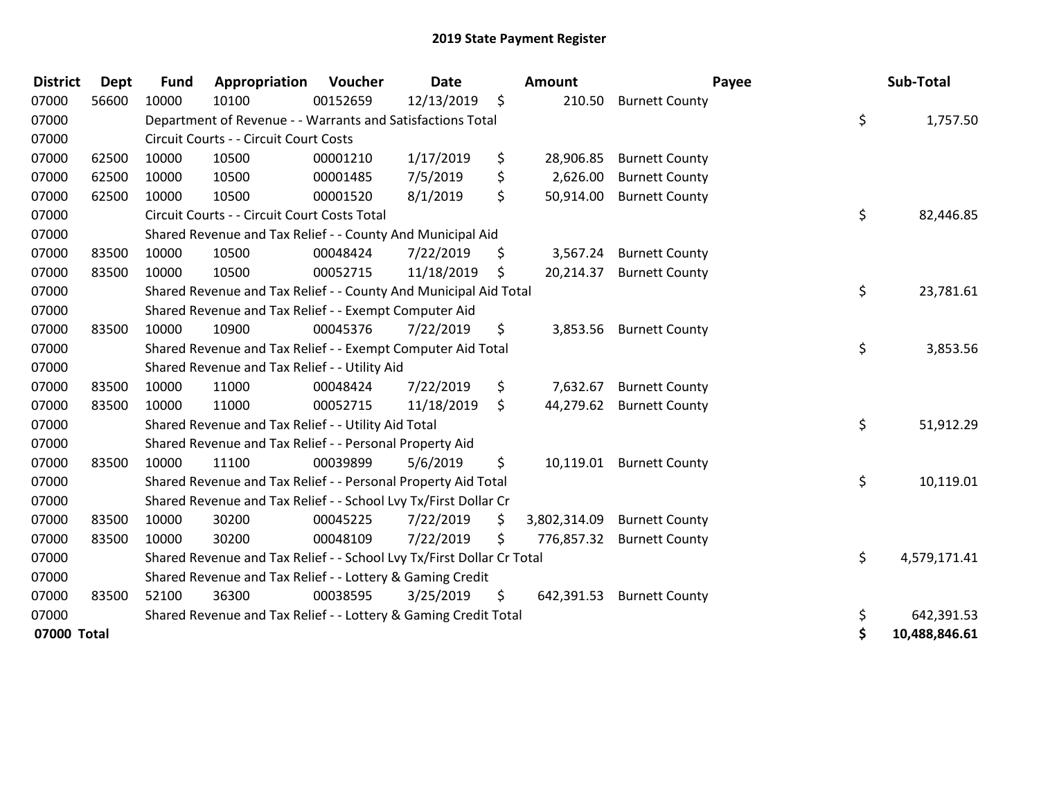| <b>District</b> | <b>Dept</b> | <b>Fund</b> | Appropriation                                                         | Voucher  | <b>Date</b> |     | Amount       | Payee                    | Sub-Total           |
|-----------------|-------------|-------------|-----------------------------------------------------------------------|----------|-------------|-----|--------------|--------------------------|---------------------|
| 07000           | 56600       | 10000       | 10100                                                                 | 00152659 | 12/13/2019  | \$  |              | 210.50 Burnett County    |                     |
| 07000           |             |             | Department of Revenue - - Warrants and Satisfactions Total            |          |             |     |              |                          | \$<br>1,757.50      |
| 07000           |             |             | Circuit Courts - - Circuit Court Costs                                |          |             |     |              |                          |                     |
| 07000           | 62500       | 10000       | 10500                                                                 | 00001210 | 1/17/2019   | \$  | 28,906.85    | <b>Burnett County</b>    |                     |
| 07000           | 62500       | 10000       | 10500                                                                 | 00001485 | 7/5/2019    | \$  | 2,626.00     | <b>Burnett County</b>    |                     |
| 07000           | 62500       | 10000       | 10500                                                                 | 00001520 | 8/1/2019    | \$  | 50,914.00    | <b>Burnett County</b>    |                     |
| 07000           |             |             | Circuit Courts - - Circuit Court Costs Total                          |          |             |     |              |                          | \$<br>82,446.85     |
| 07000           |             |             | Shared Revenue and Tax Relief - - County And Municipal Aid            |          |             |     |              |                          |                     |
| 07000           | 83500       | 10000       | 10500                                                                 | 00048424 | 7/22/2019   | \$  | 3,567.24     | <b>Burnett County</b>    |                     |
| 07000           | 83500       | 10000       | 10500                                                                 | 00052715 | 11/18/2019  | \$. | 20,214.37    | <b>Burnett County</b>    |                     |
| 07000           |             |             | Shared Revenue and Tax Relief - - County And Municipal Aid Total      |          |             |     |              |                          | \$<br>23,781.61     |
| 07000           |             |             | Shared Revenue and Tax Relief - - Exempt Computer Aid                 |          |             |     |              |                          |                     |
| 07000           | 83500       | 10000       | 10900                                                                 | 00045376 | 7/22/2019   | \$  |              | 3,853.56 Burnett County  |                     |
| 07000           |             |             | Shared Revenue and Tax Relief - - Exempt Computer Aid Total           |          |             |     |              |                          | \$<br>3,853.56      |
| 07000           |             |             | Shared Revenue and Tax Relief - - Utility Aid                         |          |             |     |              |                          |                     |
| 07000           | 83500       | 10000       | 11000                                                                 | 00048424 | 7/22/2019   | \$  | 7,632.67     | <b>Burnett County</b>    |                     |
| 07000           | 83500       | 10000       | 11000                                                                 | 00052715 | 11/18/2019  | \$  |              | 44,279.62 Burnett County |                     |
| 07000           |             |             | Shared Revenue and Tax Relief - - Utility Aid Total                   |          |             |     |              |                          | \$<br>51,912.29     |
| 07000           |             |             | Shared Revenue and Tax Relief - - Personal Property Aid               |          |             |     |              |                          |                     |
| 07000           | 83500       | 10000       | 11100                                                                 | 00039899 | 5/6/2019    | \$  |              | 10,119.01 Burnett County |                     |
| 07000           |             |             | Shared Revenue and Tax Relief - - Personal Property Aid Total         |          |             |     |              |                          | \$<br>10,119.01     |
| 07000           |             |             | Shared Revenue and Tax Relief - - School Lvy Tx/First Dollar Cr       |          |             |     |              |                          |                     |
| 07000           | 83500       | 10000       | 30200                                                                 | 00045225 | 7/22/2019   | \$  | 3,802,314.09 | <b>Burnett County</b>    |                     |
| 07000           | 83500       | 10000       | 30200                                                                 | 00048109 | 7/22/2019   | \$  | 776,857.32   | <b>Burnett County</b>    |                     |
| 07000           |             |             | Shared Revenue and Tax Relief - - School Lvy Tx/First Dollar Cr Total |          |             |     |              |                          | \$<br>4,579,171.41  |
| 07000           |             |             | Shared Revenue and Tax Relief - - Lottery & Gaming Credit             |          |             |     |              |                          |                     |
| 07000           | 83500       | 52100       | 36300                                                                 | 00038595 | 3/25/2019   | \$  | 642,391.53   | <b>Burnett County</b>    |                     |
| 07000           |             |             | Shared Revenue and Tax Relief - - Lottery & Gaming Credit Total       |          |             |     |              |                          | \$<br>642,391.53    |
| 07000 Total     |             |             |                                                                       |          |             |     |              |                          | \$<br>10,488,846.61 |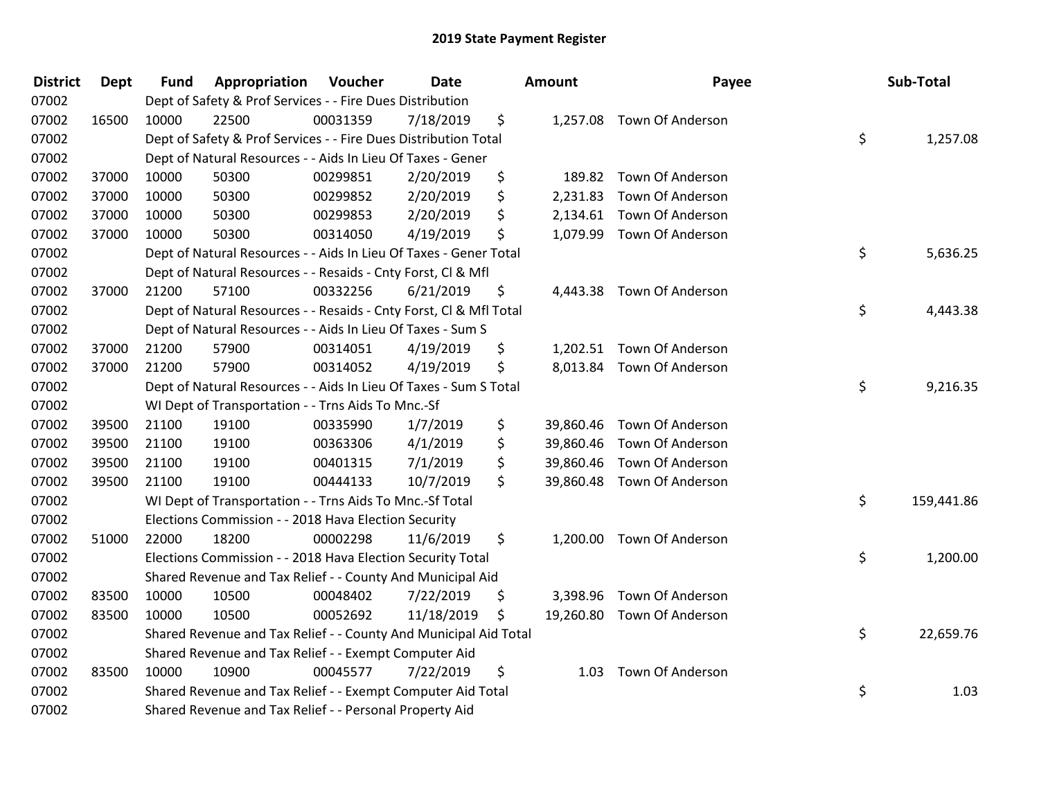| <b>District</b> | <b>Dept</b> | <b>Fund</b> | Appropriation                                                      | Voucher  | Date       | Amount          | Payee                      | Sub-Total        |
|-----------------|-------------|-------------|--------------------------------------------------------------------|----------|------------|-----------------|----------------------------|------------------|
| 07002           |             |             | Dept of Safety & Prof Services - - Fire Dues Distribution          |          |            |                 |                            |                  |
| 07002           | 16500       | 10000       | 22500                                                              | 00031359 | 7/18/2019  | \$              | 1,257.08 Town Of Anderson  |                  |
| 07002           |             |             | Dept of Safety & Prof Services - - Fire Dues Distribution Total    |          |            |                 |                            | \$<br>1,257.08   |
| 07002           |             |             | Dept of Natural Resources - - Aids In Lieu Of Taxes - Gener        |          |            |                 |                            |                  |
| 07002           | 37000       | 10000       | 50300                                                              | 00299851 | 2/20/2019  | \$<br>189.82    | <b>Town Of Anderson</b>    |                  |
| 07002           | 37000       | 10000       | 50300                                                              | 00299852 | 2/20/2019  | \$<br>2,231.83  | Town Of Anderson           |                  |
| 07002           | 37000       | 10000       | 50300                                                              | 00299853 | 2/20/2019  | \$              | 2,134.61 Town Of Anderson  |                  |
| 07002           | 37000       | 10000       | 50300                                                              | 00314050 | 4/19/2019  | \$              | 1,079.99 Town Of Anderson  |                  |
| 07002           |             |             | Dept of Natural Resources - - Aids In Lieu Of Taxes - Gener Total  |          |            |                 |                            | \$<br>5,636.25   |
| 07002           |             |             | Dept of Natural Resources - - Resaids - Cnty Forst, CI & Mfl       |          |            |                 |                            |                  |
| 07002           | 37000       | 21200       | 57100                                                              | 00332256 | 6/21/2019  | \$              | 4,443.38 Town Of Anderson  |                  |
| 07002           |             |             | Dept of Natural Resources - - Resaids - Cnty Forst, Cl & Mfl Total |          |            |                 |                            | \$<br>4,443.38   |
| 07002           |             |             | Dept of Natural Resources - - Aids In Lieu Of Taxes - Sum S        |          |            |                 |                            |                  |
| 07002           | 37000       | 21200       | 57900                                                              | 00314051 | 4/19/2019  | \$              | 1,202.51 Town Of Anderson  |                  |
| 07002           | 37000       | 21200       | 57900                                                              | 00314052 | 4/19/2019  | \$              | 8,013.84 Town Of Anderson  |                  |
| 07002           |             |             | Dept of Natural Resources - - Aids In Lieu Of Taxes - Sum S Total  |          |            |                 |                            | \$<br>9,216.35   |
| 07002           |             |             | WI Dept of Transportation - - Trns Aids To Mnc.-Sf                 |          |            |                 |                            |                  |
| 07002           | 39500       | 21100       | 19100                                                              | 00335990 | 1/7/2019   | \$              | 39,860.46 Town Of Anderson |                  |
| 07002           | 39500       | 21100       | 19100                                                              | 00363306 | 4/1/2019   | \$<br>39,860.46 | Town Of Anderson           |                  |
| 07002           | 39500       | 21100       | 19100                                                              | 00401315 | 7/1/2019   | \$<br>39,860.46 | <b>Town Of Anderson</b>    |                  |
| 07002           | 39500       | 21100       | 19100                                                              | 00444133 | 10/7/2019  | \$              | 39,860.48 Town Of Anderson |                  |
| 07002           |             |             | WI Dept of Transportation - - Trns Aids To Mnc.-Sf Total           |          |            |                 |                            | \$<br>159,441.86 |
| 07002           |             |             | Elections Commission - - 2018 Hava Election Security               |          |            |                 |                            |                  |
| 07002           | 51000       | 22000       | 18200                                                              | 00002298 | 11/6/2019  | \$<br>1,200.00  | <b>Town Of Anderson</b>    |                  |
| 07002           |             |             | Elections Commission - - 2018 Hava Election Security Total         |          |            |                 |                            | \$<br>1,200.00   |
| 07002           |             |             | Shared Revenue and Tax Relief - - County And Municipal Aid         |          |            |                 |                            |                  |
| 07002           | 83500       | 10000       | 10500                                                              | 00048402 | 7/22/2019  | \$              | 3,398.96 Town Of Anderson  |                  |
| 07002           | 83500       | 10000       | 10500                                                              | 00052692 | 11/18/2019 | \$              | 19,260.80 Town Of Anderson |                  |
| 07002           |             |             | Shared Revenue and Tax Relief - - County And Municipal Aid Total   |          |            |                 |                            | \$<br>22,659.76  |
| 07002           |             |             | Shared Revenue and Tax Relief - - Exempt Computer Aid              |          |            |                 |                            |                  |
| 07002           | 83500       | 10000       | 10900                                                              | 00045577 | 7/22/2019  | \$<br>1.03      | Town Of Anderson           |                  |
| 07002           |             |             | Shared Revenue and Tax Relief - - Exempt Computer Aid Total        |          |            |                 |                            | \$<br>1.03       |
| 07002           |             |             | Shared Revenue and Tax Relief - - Personal Property Aid            |          |            |                 |                            |                  |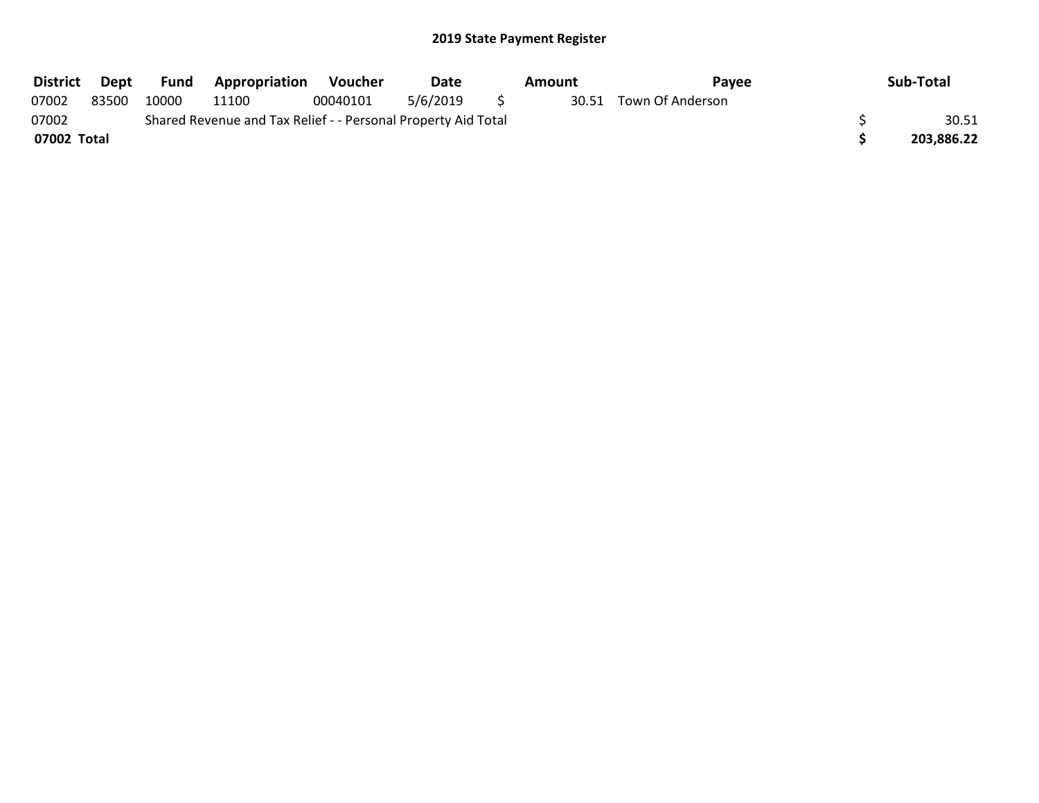| <b>District</b>                                                        | Dept  | Fund  | Appropriation | Voucher  | <b>Date</b> |  | Amount | Pavee                  |  | Sub-Total  |
|------------------------------------------------------------------------|-------|-------|---------------|----------|-------------|--|--------|------------------------|--|------------|
| 07002                                                                  | 83500 | 10000 | 11100         | 00040101 | 5/6/2019    |  |        | 30.51 Town Of Anderson |  |            |
| 07002<br>Shared Revenue and Tax Relief - - Personal Property Aid Total |       |       |               |          |             |  |        |                        |  | 30.51      |
| 07002 Total                                                            |       |       |               |          |             |  |        |                        |  | 203,886.22 |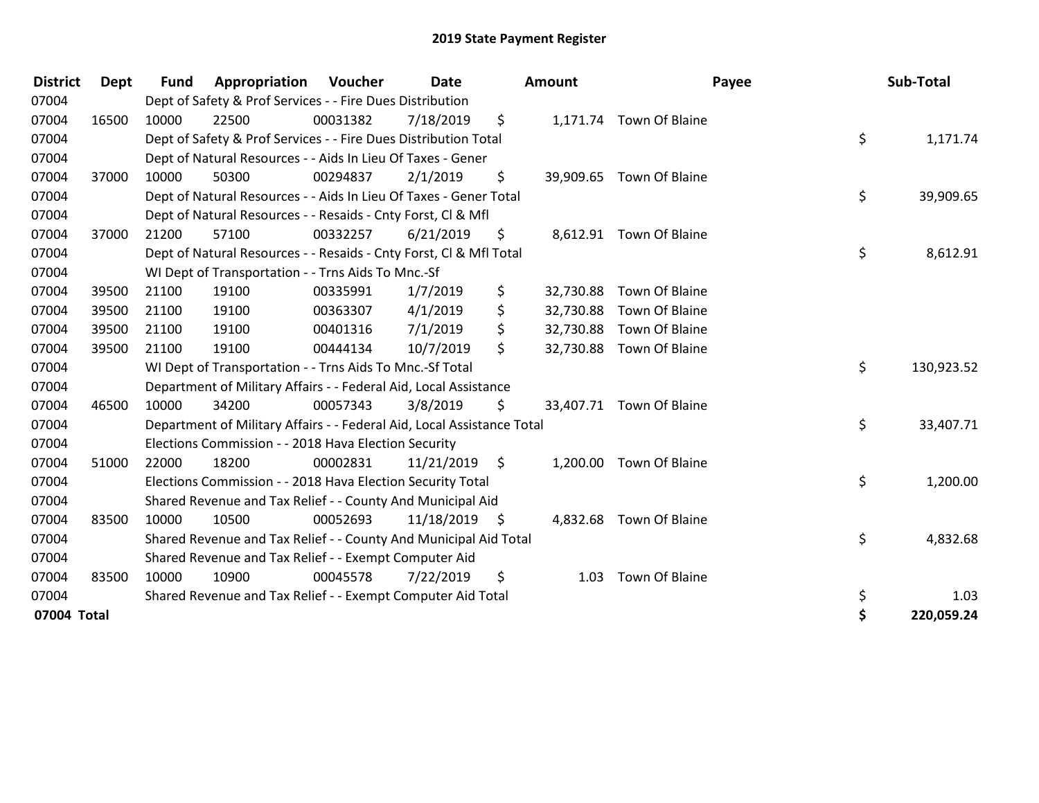| <b>District</b> | <b>Dept</b> | <b>Fund</b> | Appropriation                                                          | Voucher  | <b>Date</b><br><b>Amount</b> |      |           | Payee                    | Sub-Total |            |
|-----------------|-------------|-------------|------------------------------------------------------------------------|----------|------------------------------|------|-----------|--------------------------|-----------|------------|
| 07004           |             |             | Dept of Safety & Prof Services - - Fire Dues Distribution              |          |                              |      |           |                          |           |            |
| 07004           | 16500       | 10000       | 22500                                                                  | 00031382 | 7/18/2019                    | \$   |           | 1,171.74 Town Of Blaine  |           |            |
| 07004           |             |             | Dept of Safety & Prof Services - - Fire Dues Distribution Total        |          |                              |      |           |                          | \$        | 1,171.74   |
| 07004           |             |             | Dept of Natural Resources - - Aids In Lieu Of Taxes - Gener            |          |                              |      |           |                          |           |            |
| 07004           | 37000       | 10000       | 50300                                                                  | 00294837 | 2/1/2019                     | \$   |           | 39,909.65 Town Of Blaine |           |            |
| 07004           |             |             | Dept of Natural Resources - - Aids In Lieu Of Taxes - Gener Total      |          |                              |      |           |                          | \$        | 39,909.65  |
| 07004           |             |             | Dept of Natural Resources - - Resaids - Cnty Forst, Cl & Mfl           |          |                              |      |           |                          |           |            |
| 07004           | 37000       | 21200       | 57100                                                                  | 00332257 | 6/21/2019                    | \$   |           | 8,612.91 Town Of Blaine  |           |            |
| 07004           |             |             | Dept of Natural Resources - - Resaids - Cnty Forst, CI & Mfl Total     |          |                              |      |           |                          | \$        | 8,612.91   |
| 07004           |             |             | WI Dept of Transportation - - Trns Aids To Mnc.-Sf                     |          |                              |      |           |                          |           |            |
| 07004           | 39500       | 21100       | 19100                                                                  | 00335991 | 1/7/2019                     | \$   | 32,730.88 | Town Of Blaine           |           |            |
| 07004           | 39500       | 21100       | 19100                                                                  | 00363307 | 4/1/2019                     | \$   | 32,730.88 | Town Of Blaine           |           |            |
| 07004           | 39500       | 21100       | 19100                                                                  | 00401316 | 7/1/2019                     | \$   | 32,730.88 | Town Of Blaine           |           |            |
| 07004           | 39500       | 21100       | 19100                                                                  | 00444134 | 10/7/2019                    | \$   |           | 32,730.88 Town Of Blaine |           |            |
| 07004           |             |             | WI Dept of Transportation - - Trns Aids To Mnc.-Sf Total               |          |                              |      |           |                          | \$        | 130,923.52 |
| 07004           |             |             | Department of Military Affairs - - Federal Aid, Local Assistance       |          |                              |      |           |                          |           |            |
| 07004           | 46500       | 10000       | 34200                                                                  | 00057343 | 3/8/2019                     | \$.  |           | 33,407.71 Town Of Blaine |           |            |
| 07004           |             |             | Department of Military Affairs - - Federal Aid, Local Assistance Total |          |                              |      |           |                          | \$        | 33,407.71  |
| 07004           |             |             | Elections Commission - - 2018 Hava Election Security                   |          |                              |      |           |                          |           |            |
| 07004           | 51000       | 22000       | 18200                                                                  | 00002831 | 11/21/2019                   | \$   | 1,200.00  | Town Of Blaine           |           |            |
| 07004           |             |             | Elections Commission - - 2018 Hava Election Security Total             |          |                              |      |           |                          | \$        | 1,200.00   |
| 07004           |             |             | Shared Revenue and Tax Relief - - County And Municipal Aid             |          |                              |      |           |                          |           |            |
| 07004           | 83500       | 10000       | 10500                                                                  | 00052693 | 11/18/2019                   | - \$ |           | 4,832.68 Town Of Blaine  |           |            |
| 07004           |             |             | Shared Revenue and Tax Relief - - County And Municipal Aid Total       |          |                              |      |           |                          | \$        | 4,832.68   |
| 07004           |             |             | Shared Revenue and Tax Relief - - Exempt Computer Aid                  |          |                              |      |           |                          |           |            |
| 07004           | 83500       | 10000       | 10900                                                                  | 00045578 | 7/22/2019                    | \$   | 1.03      | Town Of Blaine           |           |            |
| 07004           |             |             | Shared Revenue and Tax Relief - - Exempt Computer Aid Total            |          |                              |      |           |                          | \$        | 1.03       |
| 07004 Total     |             |             |                                                                        |          |                              |      |           |                          | \$        | 220,059.24 |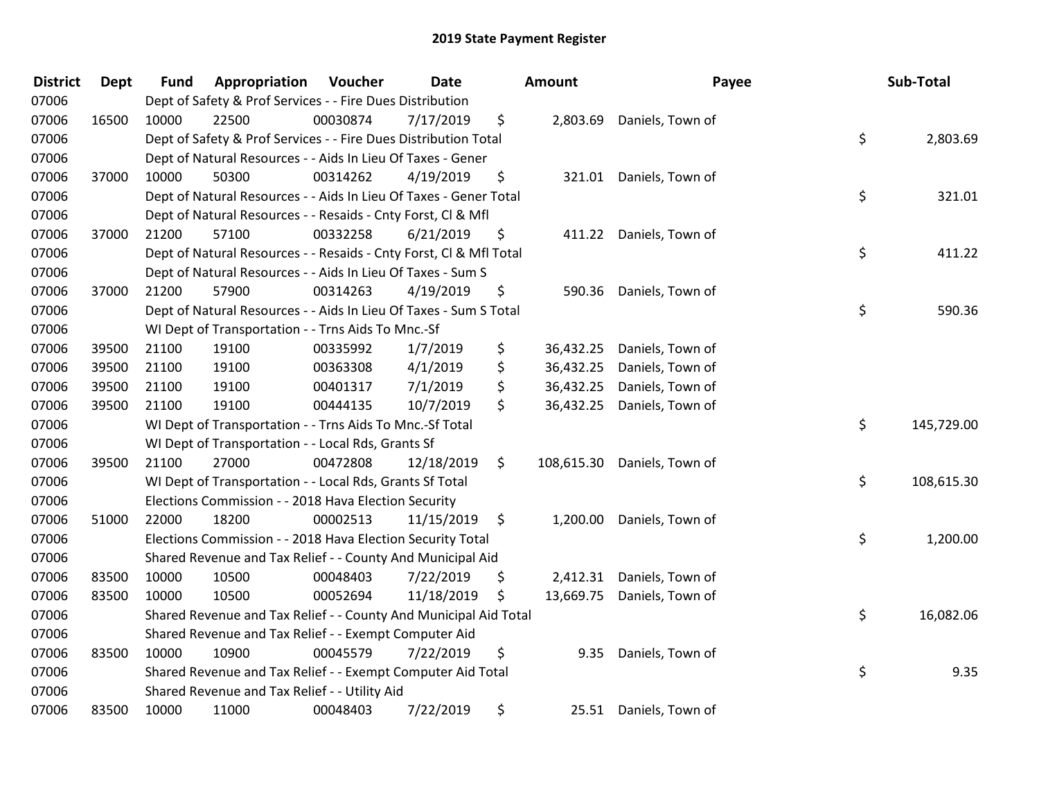| <b>District</b> | <b>Dept</b> | <b>Fund</b> | Appropriation                                                      | Voucher  | Date       | Amount           | Payee                     | Sub-Total        |
|-----------------|-------------|-------------|--------------------------------------------------------------------|----------|------------|------------------|---------------------------|------------------|
| 07006           |             |             | Dept of Safety & Prof Services - - Fire Dues Distribution          |          |            |                  |                           |                  |
| 07006           | 16500       | 10000       | 22500                                                              | 00030874 | 7/17/2019  | \$               | 2,803.69 Daniels, Town of |                  |
| 07006           |             |             | Dept of Safety & Prof Services - - Fire Dues Distribution Total    |          |            |                  |                           | \$<br>2,803.69   |
| 07006           |             |             | Dept of Natural Resources - - Aids In Lieu Of Taxes - Gener        |          |            |                  |                           |                  |
| 07006           | 37000       | 10000       | 50300                                                              | 00314262 | 4/19/2019  | \$<br>321.01     | Daniels, Town of          |                  |
| 07006           |             |             | Dept of Natural Resources - - Aids In Lieu Of Taxes - Gener Total  |          |            |                  |                           | \$<br>321.01     |
| 07006           |             |             | Dept of Natural Resources - - Resaids - Cnty Forst, Cl & Mfl       |          |            |                  |                           |                  |
| 07006           | 37000       | 21200       | 57100                                                              | 00332258 | 6/21/2019  | \$<br>411.22     | Daniels, Town of          |                  |
| 07006           |             |             | Dept of Natural Resources - - Resaids - Cnty Forst, CI & Mfl Total |          |            |                  |                           | \$<br>411.22     |
| 07006           |             |             | Dept of Natural Resources - - Aids In Lieu Of Taxes - Sum S        |          |            |                  |                           |                  |
| 07006           | 37000       | 21200       | 57900                                                              | 00314263 | 4/19/2019  | \$<br>590.36     | Daniels, Town of          |                  |
| 07006           |             |             | Dept of Natural Resources - - Aids In Lieu Of Taxes - Sum S Total  |          |            |                  |                           | \$<br>590.36     |
| 07006           |             |             | WI Dept of Transportation - - Trns Aids To Mnc.-Sf                 |          |            |                  |                           |                  |
| 07006           | 39500       | 21100       | 19100                                                              | 00335992 | 1/7/2019   | \$<br>36,432.25  | Daniels, Town of          |                  |
| 07006           | 39500       | 21100       | 19100                                                              | 00363308 | 4/1/2019   | \$<br>36,432.25  | Daniels, Town of          |                  |
| 07006           | 39500       | 21100       | 19100                                                              | 00401317 | 7/1/2019   | \$<br>36,432.25  | Daniels, Town of          |                  |
| 07006           | 39500       | 21100       | 19100                                                              | 00444135 | 10/7/2019  | \$<br>36,432.25  | Daniels, Town of          |                  |
| 07006           |             |             | WI Dept of Transportation - - Trns Aids To Mnc.-Sf Total           |          |            |                  |                           | \$<br>145,729.00 |
| 07006           |             |             | WI Dept of Transportation - - Local Rds, Grants Sf                 |          |            |                  |                           |                  |
| 07006           | 39500       | 21100       | 27000                                                              | 00472808 | 12/18/2019 | \$<br>108,615.30 | Daniels, Town of          |                  |
| 07006           |             |             | WI Dept of Transportation - - Local Rds, Grants Sf Total           |          |            |                  |                           | \$<br>108,615.30 |
| 07006           |             |             | Elections Commission - - 2018 Hava Election Security               |          |            |                  |                           |                  |
| 07006           | 51000       | 22000       | 18200                                                              | 00002513 | 11/15/2019 | \$<br>1,200.00   | Daniels, Town of          |                  |
| 07006           |             |             | Elections Commission - - 2018 Hava Election Security Total         |          |            |                  |                           | \$<br>1,200.00   |
| 07006           |             |             | Shared Revenue and Tax Relief - - County And Municipal Aid         |          |            |                  |                           |                  |
| 07006           | 83500       | 10000       | 10500                                                              | 00048403 | 7/22/2019  | \$<br>2,412.31   | Daniels, Town of          |                  |
| 07006           | 83500       | 10000       | 10500                                                              | 00052694 | 11/18/2019 | \$<br>13,669.75  | Daniels, Town of          |                  |
| 07006           |             |             | Shared Revenue and Tax Relief - - County And Municipal Aid Total   |          |            |                  |                           | \$<br>16,082.06  |
| 07006           |             |             | Shared Revenue and Tax Relief - - Exempt Computer Aid              |          |            |                  |                           |                  |
| 07006           | 83500       | 10000       | 10900                                                              | 00045579 | 7/22/2019  | \$<br>9.35       | Daniels, Town of          |                  |
| 07006           |             |             | Shared Revenue and Tax Relief - - Exempt Computer Aid Total        |          |            |                  |                           | \$<br>9.35       |
| 07006           |             |             | Shared Revenue and Tax Relief - - Utility Aid                      |          |            |                  |                           |                  |
| 07006           | 83500       | 10000       | 11000                                                              | 00048403 | 7/22/2019  | \$<br>25.51      | Daniels, Town of          |                  |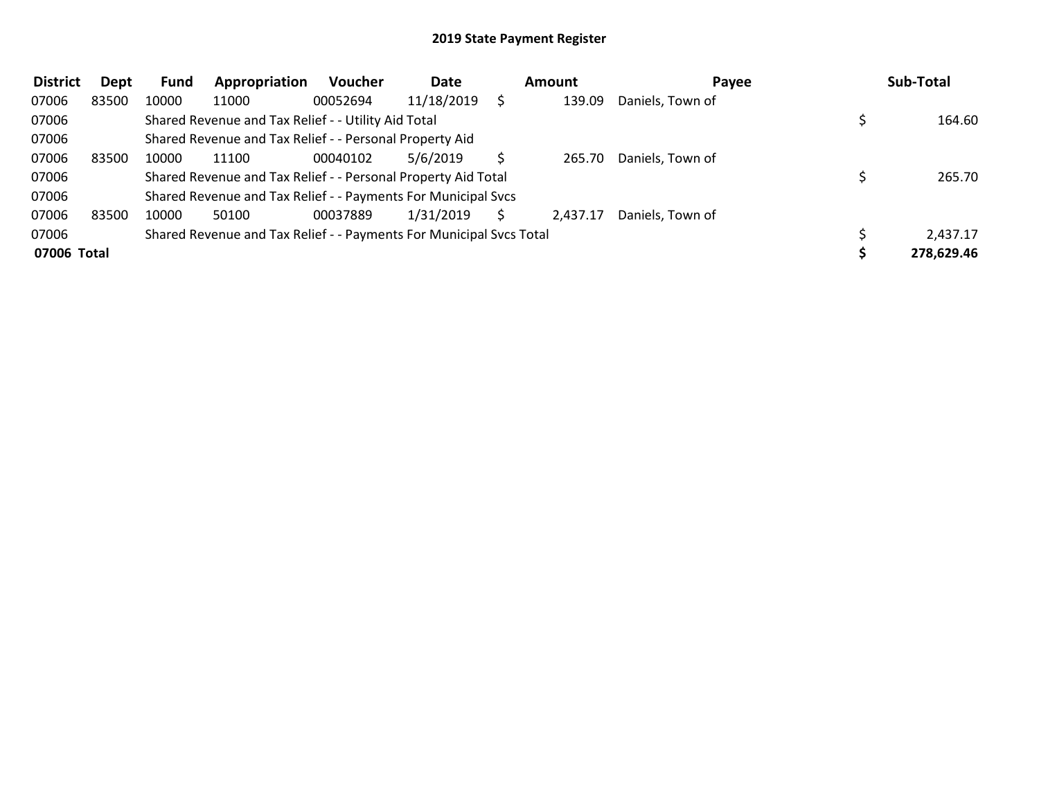| <b>District</b> | Dept  | <b>Fund</b> | Appropriation                                                       | <b>Voucher</b> | Date       | <b>Amount</b> | Payee            | Sub-Total  |
|-----------------|-------|-------------|---------------------------------------------------------------------|----------------|------------|---------------|------------------|------------|
| 07006           | 83500 | 10000       | 11000                                                               | 00052694       | 11/18/2019 | 139.09        | Daniels, Town of |            |
| 07006           |       |             | Shared Revenue and Tax Relief - - Utility Aid Total                 |                |            |               |                  | 164.60     |
| 07006           |       |             | Shared Revenue and Tax Relief - - Personal Property Aid             |                |            |               |                  |            |
| 07006           | 83500 | 10000       | 11100                                                               | 00040102       | 5/6/2019   | 265.70        | Daniels, Town of |            |
| 07006           |       |             | Shared Revenue and Tax Relief - - Personal Property Aid Total       |                |            |               |                  | 265.70     |
| 07006           |       |             | Shared Revenue and Tax Relief - - Payments For Municipal Svcs       |                |            |               |                  |            |
| 07006           | 83500 | 10000       | 50100                                                               | 00037889       | 1/31/2019  | 2,437.17      | Daniels, Town of |            |
| 07006           |       |             | Shared Revenue and Tax Relief - - Payments For Municipal Svcs Total |                |            |               |                  | 2,437.17   |
| 07006 Total     |       |             |                                                                     |                |            |               |                  | 278,629.46 |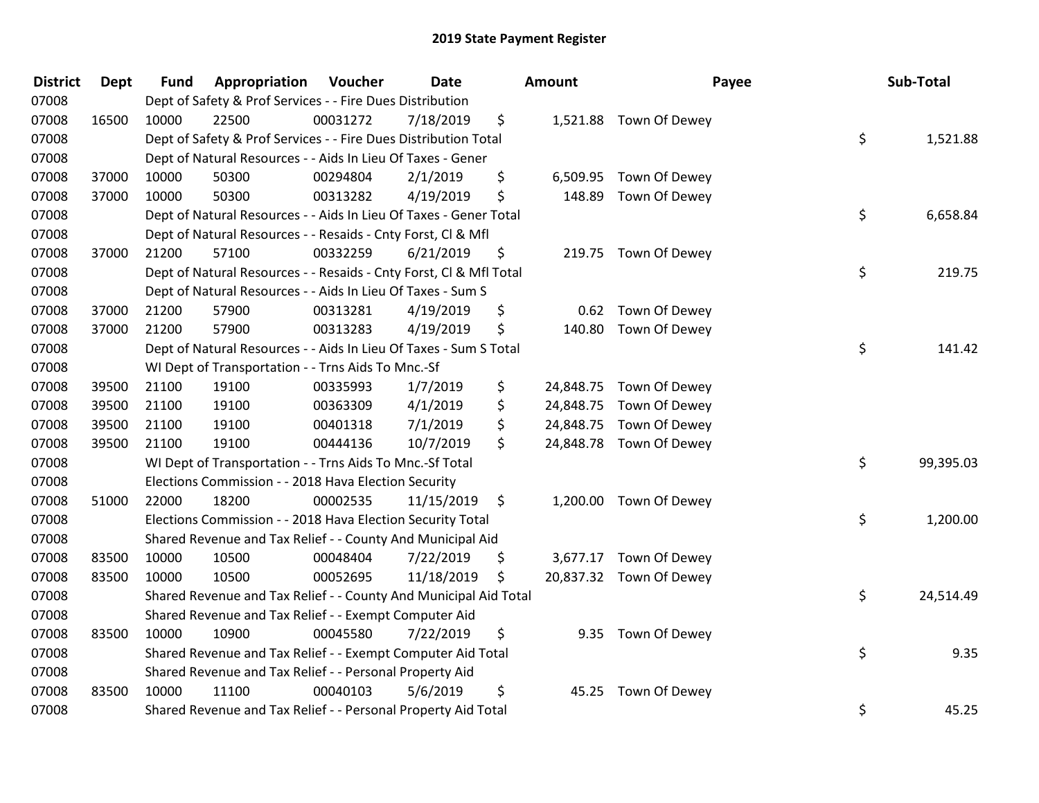| <b>District</b> | <b>Dept</b> | <b>Fund</b> | Appropriation                                                      | Voucher  | <b>Date</b> | Amount          |                         | Payee | Sub-Total |
|-----------------|-------------|-------------|--------------------------------------------------------------------|----------|-------------|-----------------|-------------------------|-------|-----------|
| 07008           |             |             | Dept of Safety & Prof Services - - Fire Dues Distribution          |          |             |                 |                         |       |           |
| 07008           | 16500       | 10000       | 22500                                                              | 00031272 | 7/18/2019   | \$              | 1,521.88 Town Of Dewey  |       |           |
| 07008           |             |             | Dept of Safety & Prof Services - - Fire Dues Distribution Total    |          |             |                 |                         | \$    | 1,521.88  |
| 07008           |             |             | Dept of Natural Resources - - Aids In Lieu Of Taxes - Gener        |          |             |                 |                         |       |           |
| 07008           | 37000       | 10000       | 50300                                                              | 00294804 | 2/1/2019    | \$<br>6,509.95  | Town Of Dewey           |       |           |
| 07008           | 37000       | 10000       | 50300                                                              | 00313282 | 4/19/2019   | \$<br>148.89    | Town Of Dewey           |       |           |
| 07008           |             |             | Dept of Natural Resources - - Aids In Lieu Of Taxes - Gener Total  |          |             |                 |                         | \$    | 6,658.84  |
| 07008           |             |             | Dept of Natural Resources - - Resaids - Cnty Forst, Cl & Mfl       |          |             |                 |                         |       |           |
| 07008           | 37000       | 21200       | 57100                                                              | 00332259 | 6/21/2019   | \$              | 219.75 Town Of Dewey    |       |           |
| 07008           |             |             | Dept of Natural Resources - - Resaids - Cnty Forst, CI & Mfl Total |          |             |                 |                         | \$    | 219.75    |
| 07008           |             |             | Dept of Natural Resources - - Aids In Lieu Of Taxes - Sum S        |          |             |                 |                         |       |           |
| 07008           | 37000       | 21200       | 57900                                                              | 00313281 | 4/19/2019   | \$              | 0.62 Town Of Dewey      |       |           |
| 07008           | 37000       | 21200       | 57900                                                              | 00313283 | 4/19/2019   | \$<br>140.80    | Town Of Dewey           |       |           |
| 07008           |             |             | Dept of Natural Resources - - Aids In Lieu Of Taxes - Sum S Total  |          |             |                 |                         | \$    | 141.42    |
| 07008           |             |             | WI Dept of Transportation - - Trns Aids To Mnc.-Sf                 |          |             |                 |                         |       |           |
| 07008           | 39500       | 21100       | 19100                                                              | 00335993 | 1/7/2019    | \$<br>24,848.75 | Town Of Dewey           |       |           |
| 07008           | 39500       | 21100       | 19100                                                              | 00363309 | 4/1/2019    | \$<br>24,848.75 | Town Of Dewey           |       |           |
| 07008           | 39500       | 21100       | 19100                                                              | 00401318 | 7/1/2019    | \$<br>24,848.75 | Town Of Dewey           |       |           |
| 07008           | 39500       | 21100       | 19100                                                              | 00444136 | 10/7/2019   | \$<br>24,848.78 | Town Of Dewey           |       |           |
| 07008           |             |             | WI Dept of Transportation - - Trns Aids To Mnc.-Sf Total           |          |             |                 |                         | \$    | 99,395.03 |
| 07008           |             |             | Elections Commission - - 2018 Hava Election Security               |          |             |                 |                         |       |           |
| 07008           | 51000       | 22000       | 18200                                                              | 00002535 | 11/15/2019  | \$              | 1,200.00 Town Of Dewey  |       |           |
| 07008           |             |             | Elections Commission - - 2018 Hava Election Security Total         |          |             |                 |                         | \$    | 1,200.00  |
| 07008           |             |             | Shared Revenue and Tax Relief - - County And Municipal Aid         |          |             |                 |                         |       |           |
| 07008           | 83500       | 10000       | 10500                                                              | 00048404 | 7/22/2019   | \$              | 3,677.17 Town Of Dewey  |       |           |
| 07008           | 83500       | 10000       | 10500                                                              | 00052695 | 11/18/2019  | \$              | 20,837.32 Town Of Dewey |       |           |
| 07008           |             |             | Shared Revenue and Tax Relief - - County And Municipal Aid Total   |          |             |                 |                         | \$    | 24,514.49 |
| 07008           |             |             | Shared Revenue and Tax Relief - - Exempt Computer Aid              |          |             |                 |                         |       |           |
| 07008           | 83500       | 10000       | 10900                                                              | 00045580 | 7/22/2019   | \$              | 9.35 Town Of Dewey      |       |           |
| 07008           |             |             | Shared Revenue and Tax Relief - - Exempt Computer Aid Total        |          |             |                 |                         | \$    | 9.35      |
| 07008           |             |             | Shared Revenue and Tax Relief - - Personal Property Aid            |          |             |                 |                         |       |           |
| 07008           | 83500       | 10000       | 11100                                                              | 00040103 | 5/6/2019    | \$<br>45.25     | Town Of Dewey           |       |           |
| 07008           |             |             | Shared Revenue and Tax Relief - - Personal Property Aid Total      |          |             |                 |                         | \$    | 45.25     |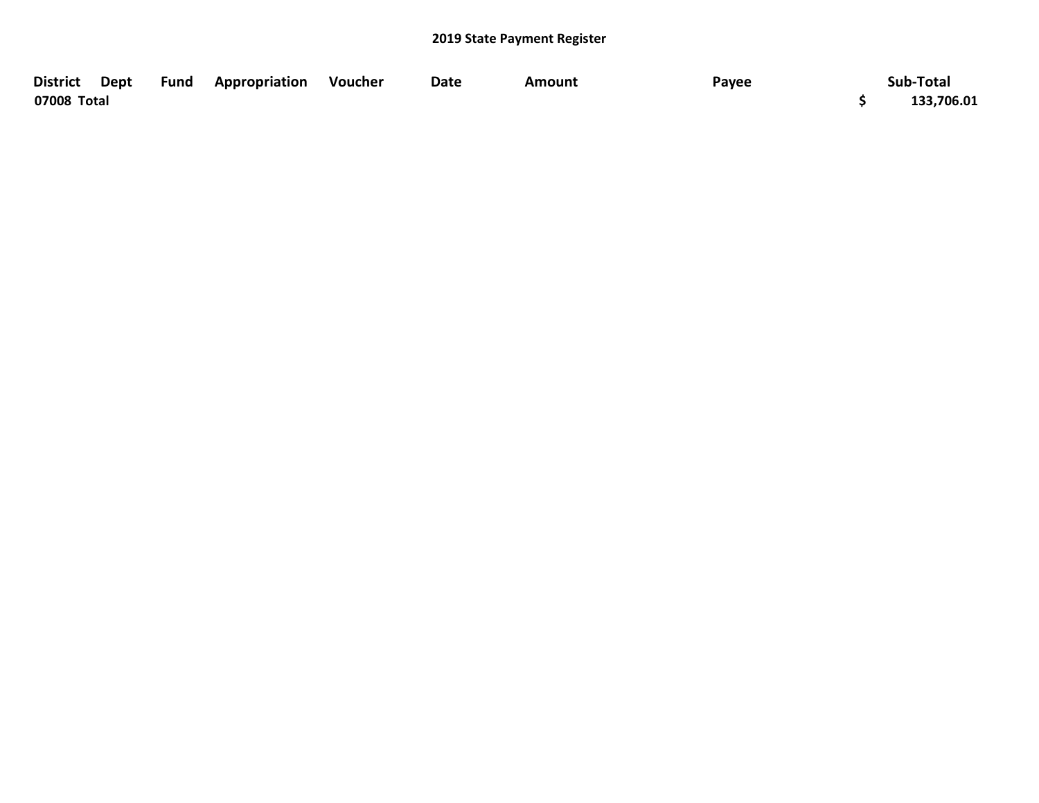| <b>District</b><br>Dept | Fund | <b>Appropriation</b> | Voucher | Date | Amount | Payee | Sub-Total  |
|-------------------------|------|----------------------|---------|------|--------|-------|------------|
| 07008 Total             |      |                      |         |      |        |       | 133,706.01 |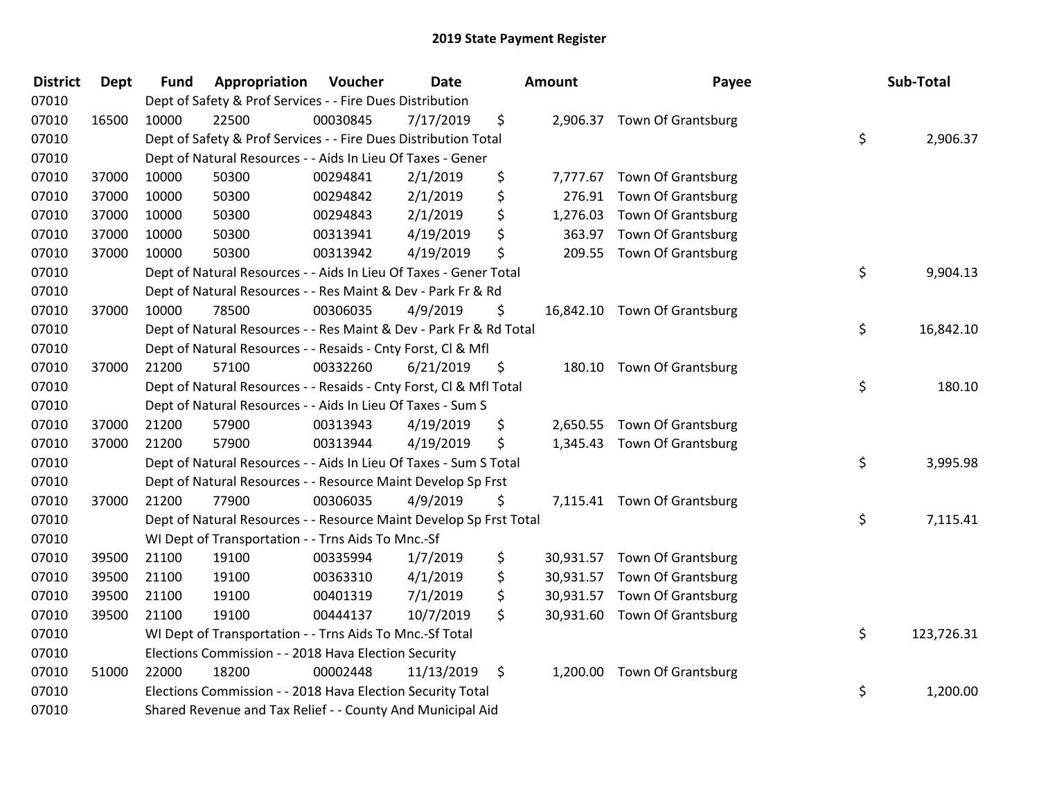| <b>District</b> | Dept  | <b>Fund</b> | Appropriation                                                      | Voucher  | Date       | Amount |  | Payee                        | Sub-Total        |
|-----------------|-------|-------------|--------------------------------------------------------------------|----------|------------|--------|--|------------------------------|------------------|
| 07010           |       |             | Dept of Safety & Prof Services - - Fire Dues Distribution          |          |            |        |  |                              |                  |
| 07010           | 16500 | 10000       | 22500                                                              | 00030845 | 7/17/2019  | \$     |  | 2,906.37 Town Of Grantsburg  |                  |
| 07010           |       |             | Dept of Safety & Prof Services - - Fire Dues Distribution Total    |          |            |        |  |                              | \$<br>2,906.37   |
| 07010           |       |             | Dept of Natural Resources - - Aids In Lieu Of Taxes - Gener        |          |            |        |  |                              |                  |
| 07010           | 37000 | 10000       | 50300                                                              | 00294841 | 2/1/2019   | \$     |  | 7,777.67 Town Of Grantsburg  |                  |
| 07010           | 37000 | 10000       | 50300                                                              | 00294842 | 2/1/2019   | \$     |  | 276.91 Town Of Grantsburg    |                  |
| 07010           | 37000 | 10000       | 50300                                                              | 00294843 | 2/1/2019   | \$     |  | 1,276.03 Town Of Grantsburg  |                  |
| 07010           | 37000 | 10000       | 50300                                                              | 00313941 | 4/19/2019  | \$     |  | 363.97 Town Of Grantsburg    |                  |
| 07010           | 37000 | 10000       | 50300                                                              | 00313942 | 4/19/2019  | \$     |  | 209.55 Town Of Grantsburg    |                  |
| 07010           |       |             | Dept of Natural Resources - - Aids In Lieu Of Taxes - Gener Total  |          |            |        |  |                              | \$<br>9,904.13   |
| 07010           |       |             | Dept of Natural Resources - - Res Maint & Dev - Park Fr & Rd       |          |            |        |  |                              |                  |
| 07010           | 37000 | 10000       | 78500                                                              | 00306035 | 4/9/2019   | \$     |  | 16,842.10 Town Of Grantsburg |                  |
| 07010           |       |             | Dept of Natural Resources - - Res Maint & Dev - Park Fr & Rd Total |          |            |        |  |                              | \$<br>16,842.10  |
| 07010           |       |             | Dept of Natural Resources - - Resaids - Cnty Forst, CI & Mfl       |          |            |        |  |                              |                  |
| 07010           | 37000 | 21200       | 57100                                                              | 00332260 | 6/21/2019  | \$     |  | 180.10 Town Of Grantsburg    |                  |
| 07010           |       |             | Dept of Natural Resources - - Resaids - Cnty Forst, Cl & Mfl Total |          |            |        |  |                              | \$<br>180.10     |
| 07010           |       |             | Dept of Natural Resources - - Aids In Lieu Of Taxes - Sum S        |          |            |        |  |                              |                  |
| 07010           | 37000 | 21200       | 57900                                                              | 00313943 | 4/19/2019  | \$     |  | 2,650.55 Town Of Grantsburg  |                  |
| 07010           | 37000 | 21200       | 57900                                                              | 00313944 | 4/19/2019  | \$     |  | 1,345.43 Town Of Grantsburg  |                  |
| 07010           |       |             | Dept of Natural Resources - - Aids In Lieu Of Taxes - Sum S Total  |          |            |        |  |                              | \$<br>3,995.98   |
| 07010           |       |             | Dept of Natural Resources - - Resource Maint Develop Sp Frst       |          |            |        |  |                              |                  |
| 07010           | 37000 | 21200       | 77900                                                              | 00306035 | 4/9/2019   | \$     |  | 7,115.41 Town Of Grantsburg  |                  |
| 07010           |       |             | Dept of Natural Resources - - Resource Maint Develop Sp Frst Total |          |            |        |  |                              | \$<br>7,115.41   |
| 07010           |       |             | WI Dept of Transportation - - Trns Aids To Mnc.-Sf                 |          |            |        |  |                              |                  |
| 07010           | 39500 | 21100       | 19100                                                              | 00335994 | 1/7/2019   | \$     |  | 30,931.57 Town Of Grantsburg |                  |
| 07010           | 39500 | 21100       | 19100                                                              | 00363310 | 4/1/2019   | \$     |  | 30,931.57 Town Of Grantsburg |                  |
| 07010           | 39500 | 21100       | 19100                                                              | 00401319 | 7/1/2019   | \$     |  | 30,931.57 Town Of Grantsburg |                  |
| 07010           | 39500 | 21100       | 19100                                                              | 00444137 | 10/7/2019  | \$     |  | 30,931.60 Town Of Grantsburg |                  |
| 07010           |       |             | WI Dept of Transportation - - Trns Aids To Mnc.-Sf Total           |          |            |        |  |                              | \$<br>123,726.31 |
| 07010           |       |             | Elections Commission - - 2018 Hava Election Security               |          |            |        |  |                              |                  |
| 07010           | 51000 | 22000       | 18200                                                              | 00002448 | 11/13/2019 | \$     |  | 1,200.00 Town Of Grantsburg  |                  |
| 07010           |       |             | Elections Commission - - 2018 Hava Election Security Total         |          |            |        |  |                              | \$<br>1,200.00   |
| 07010           |       |             | Shared Revenue and Tax Relief - - County And Municipal Aid         |          |            |        |  |                              |                  |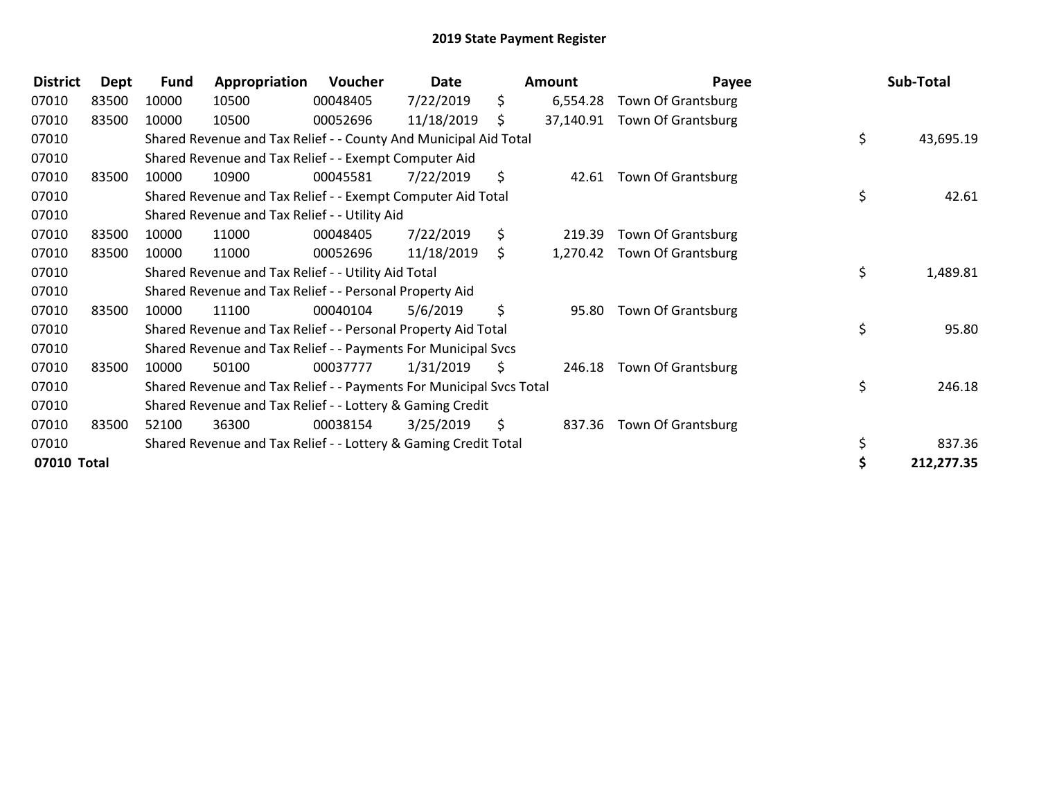| <b>District</b> | Dept  | <b>Fund</b> | Appropriation                                                       | Voucher  | Date       |     | <b>Amount</b> | Payee                       | Sub-Total       |
|-----------------|-------|-------------|---------------------------------------------------------------------|----------|------------|-----|---------------|-----------------------------|-----------------|
| 07010           | 83500 | 10000       | 10500                                                               | 00048405 | 7/22/2019  | \$. | 6,554.28      | Town Of Grantsburg          |                 |
| 07010           | 83500 | 10000       | 10500                                                               | 00052696 | 11/18/2019 | S.  | 37,140.91     | <b>Town Of Grantsburg</b>   |                 |
| 07010           |       |             | Shared Revenue and Tax Relief - - County And Municipal Aid Total    |          |            |     |               |                             | \$<br>43,695.19 |
| 07010           |       |             | Shared Revenue and Tax Relief - - Exempt Computer Aid               |          |            |     |               |                             |                 |
| 07010           | 83500 | 10000       | 10900                                                               | 00045581 | 7/22/2019  | \$  | 42.61         | <b>Town Of Grantsburg</b>   |                 |
| 07010           |       |             | Shared Revenue and Tax Relief - - Exempt Computer Aid Total         |          |            |     |               |                             | \$<br>42.61     |
| 07010           |       |             | Shared Revenue and Tax Relief - - Utility Aid                       |          |            |     |               |                             |                 |
| 07010           | 83500 | 10000       | 11000                                                               | 00048405 | 7/22/2019  | \$  | 219.39        | <b>Town Of Grantsburg</b>   |                 |
| 07010           | 83500 | 10000       | 11000                                                               | 00052696 | 11/18/2019 | \$  |               | 1,270.42 Town Of Grantsburg |                 |
| 07010           |       |             | Shared Revenue and Tax Relief - - Utility Aid Total                 |          |            |     |               |                             | \$<br>1,489.81  |
| 07010           |       |             | Shared Revenue and Tax Relief - - Personal Property Aid             |          |            |     |               |                             |                 |
| 07010           | 83500 | 10000       | 11100                                                               | 00040104 | 5/6/2019   | \$  | 95.80         | <b>Town Of Grantsburg</b>   |                 |
| 07010           |       |             | Shared Revenue and Tax Relief - - Personal Property Aid Total       |          |            |     |               |                             | \$<br>95.80     |
| 07010           |       |             | Shared Revenue and Tax Relief - - Payments For Municipal Svcs       |          |            |     |               |                             |                 |
| 07010           | 83500 | 10000       | 50100                                                               | 00037777 | 1/31/2019  | \$  | 246.18        | Town Of Grantsburg          |                 |
| 07010           |       |             | Shared Revenue and Tax Relief - - Payments For Municipal Svcs Total |          |            |     |               |                             | \$<br>246.18    |
| 07010           |       |             | Shared Revenue and Tax Relief - - Lottery & Gaming Credit           |          |            |     |               |                             |                 |
| 07010           | 83500 | 52100       | 36300                                                               | 00038154 | 3/25/2019  | \$  | 837.36        | <b>Town Of Grantsburg</b>   |                 |
| 07010           |       |             | Shared Revenue and Tax Relief - - Lottery & Gaming Credit Total     |          |            |     |               |                             | 837.36          |
| 07010 Total     |       |             |                                                                     |          |            |     |               |                             | 212,277.35      |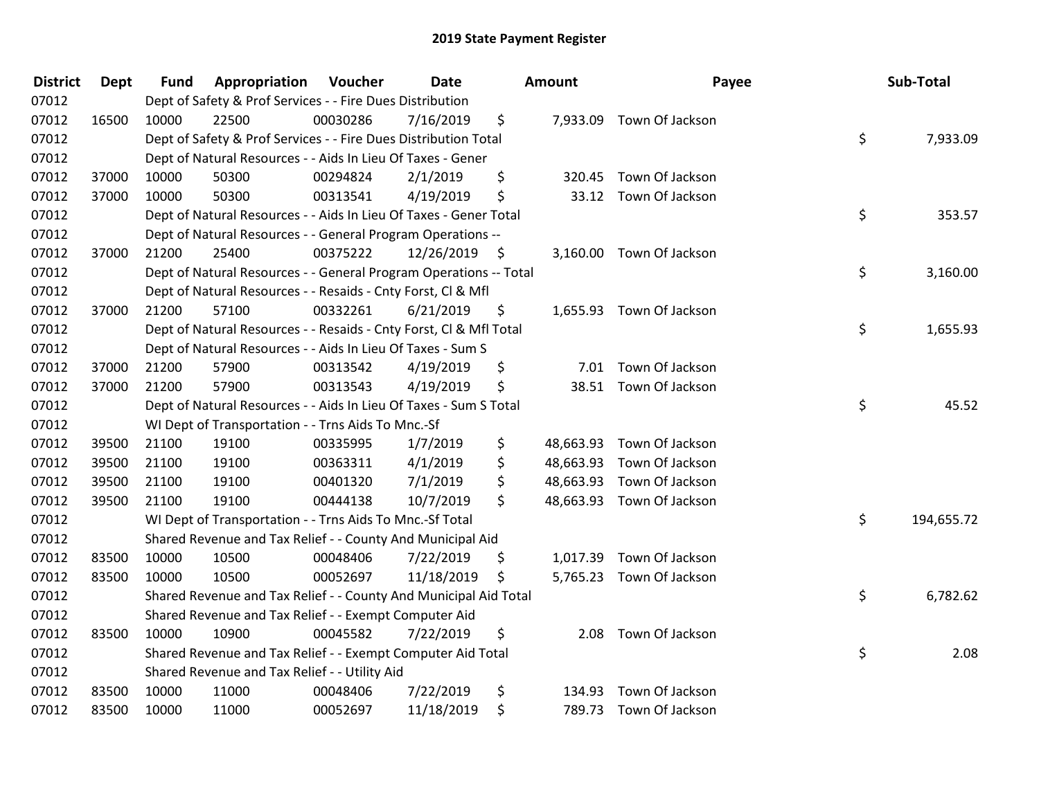| <b>District</b> | <b>Dept</b> | <b>Fund</b> | Appropriation                                                      | Voucher  | Date       |      | Amount | Payee                     | Sub-Total        |
|-----------------|-------------|-------------|--------------------------------------------------------------------|----------|------------|------|--------|---------------------------|------------------|
| 07012           |             |             | Dept of Safety & Prof Services - - Fire Dues Distribution          |          |            |      |        |                           |                  |
| 07012           | 16500       | 10000       | 22500                                                              | 00030286 | 7/16/2019  | \$   |        | 7,933.09 Town Of Jackson  |                  |
| 07012           |             |             | Dept of Safety & Prof Services - - Fire Dues Distribution Total    |          |            |      |        |                           | \$<br>7,933.09   |
| 07012           |             |             | Dept of Natural Resources - - Aids In Lieu Of Taxes - Gener        |          |            |      |        |                           |                  |
| 07012           | 37000       | 10000       | 50300                                                              | 00294824 | 2/1/2019   | \$   | 320.45 | Town Of Jackson           |                  |
| 07012           | 37000       | 10000       | 50300                                                              | 00313541 | 4/19/2019  | \$   |        | 33.12 Town Of Jackson     |                  |
| 07012           |             |             | Dept of Natural Resources - - Aids In Lieu Of Taxes - Gener Total  |          |            |      |        |                           | \$<br>353.57     |
| 07012           |             |             | Dept of Natural Resources - - General Program Operations --        |          |            |      |        |                           |                  |
| 07012           | 37000       | 21200       | 25400                                                              | 00375222 | 12/26/2019 | - \$ |        | 3,160.00 Town Of Jackson  |                  |
| 07012           |             |             | Dept of Natural Resources - - General Program Operations -- Total  |          |            |      |        |                           | \$<br>3,160.00   |
| 07012           |             |             | Dept of Natural Resources - - Resaids - Cnty Forst, Cl & Mfl       |          |            |      |        |                           |                  |
| 07012           | 37000       | 21200       | 57100                                                              | 00332261 | 6/21/2019  | \$   |        | 1,655.93 Town Of Jackson  |                  |
| 07012           |             |             | Dept of Natural Resources - - Resaids - Cnty Forst, Cl & Mfl Total |          |            |      |        |                           | \$<br>1,655.93   |
| 07012           |             |             | Dept of Natural Resources - - Aids In Lieu Of Taxes - Sum S        |          |            |      |        |                           |                  |
| 07012           | 37000       | 21200       | 57900                                                              | 00313542 | 4/19/2019  | \$   | 7.01   | Town Of Jackson           |                  |
| 07012           | 37000       | 21200       | 57900                                                              | 00313543 | 4/19/2019  | \$   |        | 38.51 Town Of Jackson     |                  |
| 07012           |             |             | Dept of Natural Resources - - Aids In Lieu Of Taxes - Sum S Total  |          |            |      |        |                           | \$<br>45.52      |
| 07012           |             |             | WI Dept of Transportation - - Trns Aids To Mnc.-Sf                 |          |            |      |        |                           |                  |
| 07012           | 39500       | 21100       | 19100                                                              | 00335995 | 1/7/2019   | \$   |        | 48,663.93 Town Of Jackson |                  |
| 07012           | 39500       | 21100       | 19100                                                              | 00363311 | 4/1/2019   | \$   |        | 48,663.93 Town Of Jackson |                  |
| 07012           | 39500       | 21100       | 19100                                                              | 00401320 | 7/1/2019   | \$   |        | 48,663.93 Town Of Jackson |                  |
| 07012           | 39500       | 21100       | 19100                                                              | 00444138 | 10/7/2019  | \$   |        | 48,663.93 Town Of Jackson |                  |
| 07012           |             |             | WI Dept of Transportation - - Trns Aids To Mnc.-Sf Total           |          |            |      |        |                           | \$<br>194,655.72 |
| 07012           |             |             | Shared Revenue and Tax Relief - - County And Municipal Aid         |          |            |      |        |                           |                  |
| 07012           | 83500       | 10000       | 10500                                                              | 00048406 | 7/22/2019  | \$   |        | 1,017.39 Town Of Jackson  |                  |
| 07012           | 83500       | 10000       | 10500                                                              | 00052697 | 11/18/2019 | \$   |        | 5,765.23 Town Of Jackson  |                  |
| 07012           |             |             | Shared Revenue and Tax Relief - - County And Municipal Aid Total   |          |            |      |        |                           | \$<br>6,782.62   |
| 07012           |             |             | Shared Revenue and Tax Relief - - Exempt Computer Aid              |          |            |      |        |                           |                  |
| 07012           | 83500       | 10000       | 10900                                                              | 00045582 | 7/22/2019  | \$   |        | 2.08 Town Of Jackson      |                  |
| 07012           |             |             | Shared Revenue and Tax Relief - - Exempt Computer Aid Total        |          |            |      |        |                           | \$<br>2.08       |
| 07012           |             |             | Shared Revenue and Tax Relief - - Utility Aid                      |          |            |      |        |                           |                  |
| 07012           | 83500       | 10000       | 11000                                                              | 00048406 | 7/22/2019  | \$   | 134.93 | Town Of Jackson           |                  |
| 07012           | 83500       | 10000       | 11000                                                              | 00052697 | 11/18/2019 | \$   |        | 789.73 Town Of Jackson    |                  |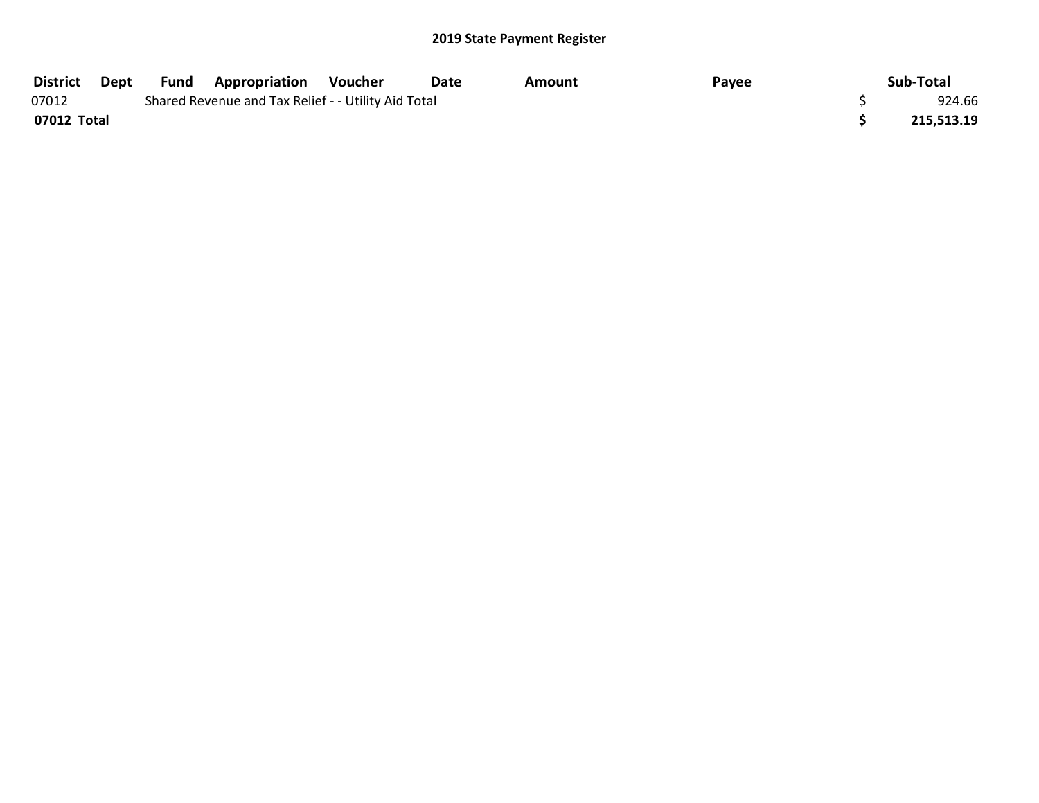| <b>District</b> | Dept | Fund | <b>Appropriation</b>                                | Voucher | Date | Amount | Payee | Sub-Total  |
|-----------------|------|------|-----------------------------------------------------|---------|------|--------|-------|------------|
| 07012           |      |      | Shared Revenue and Tax Relief - - Utility Aid Total |         |      |        |       | 924.66     |
| 07012 Total     |      |      |                                                     |         |      |        |       | 215,513.19 |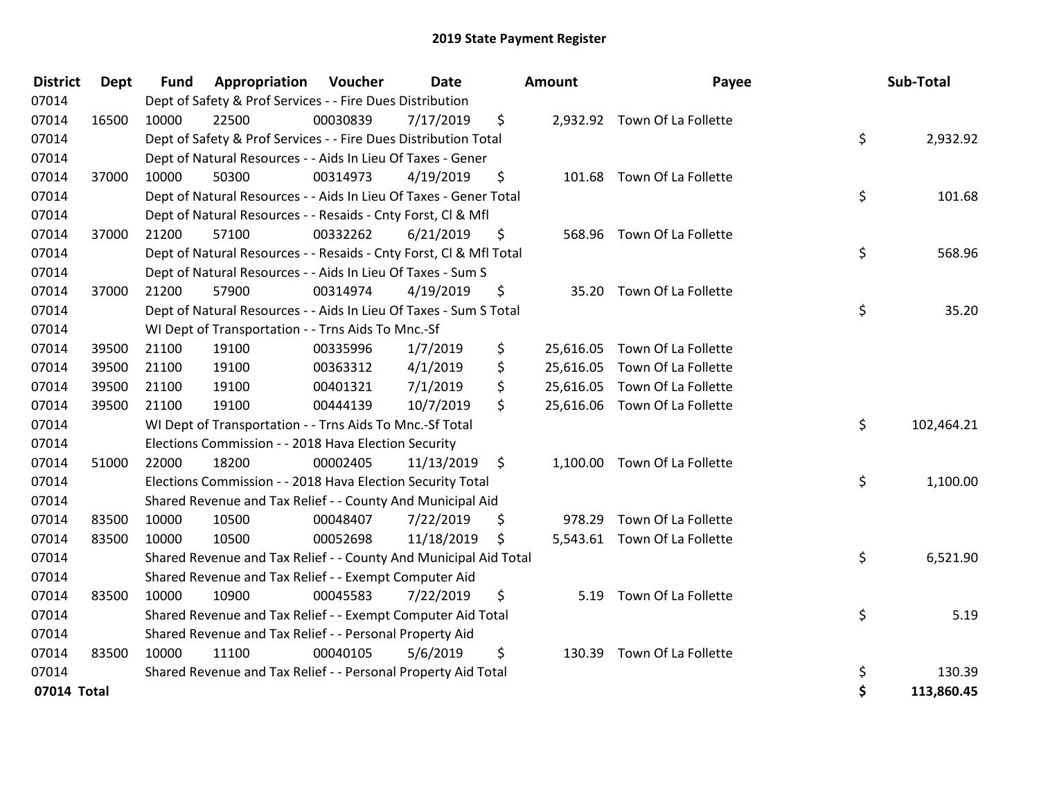| <b>District</b> | <b>Dept</b> | <b>Fund</b> | Appropriation                                                      | Voucher  | <b>Date</b> |         | <b>Amount</b> | Payee                         | Sub-Total        |
|-----------------|-------------|-------------|--------------------------------------------------------------------|----------|-------------|---------|---------------|-------------------------------|------------------|
| 07014           |             |             | Dept of Safety & Prof Services - - Fire Dues Distribution          |          |             |         |               |                               |                  |
| 07014           | 16500       | 10000       | 22500                                                              | 00030839 | 7/17/2019   | \$      |               | 2,932.92 Town Of La Follette  |                  |
| 07014           |             |             | Dept of Safety & Prof Services - - Fire Dues Distribution Total    |          |             |         |               |                               | \$<br>2,932.92   |
| 07014           |             |             | Dept of Natural Resources - - Aids In Lieu Of Taxes - Gener        |          |             |         |               |                               |                  |
| 07014           | 37000       | 10000       | 50300                                                              | 00314973 | 4/19/2019   | \$      |               | 101.68 Town Of La Follette    |                  |
| 07014           |             |             | Dept of Natural Resources - - Aids In Lieu Of Taxes - Gener Total  |          |             |         |               |                               | \$<br>101.68     |
| 07014           |             |             | Dept of Natural Resources - - Resaids - Cnty Forst, CI & Mfl       |          |             |         |               |                               |                  |
| 07014           | 37000       | 21200       | 57100                                                              | 00332262 | 6/21/2019   | \$      |               | 568.96 Town Of La Follette    |                  |
| 07014           |             |             | Dept of Natural Resources - - Resaids - Cnty Forst, Cl & Mfl Total |          |             |         |               |                               | \$<br>568.96     |
| 07014           |             |             | Dept of Natural Resources - - Aids In Lieu Of Taxes - Sum S        |          |             |         |               |                               |                  |
| 07014           | 37000       | 21200       | 57900                                                              | 00314974 | 4/19/2019   | \$      |               | 35.20 Town Of La Follette     |                  |
| 07014           |             |             | Dept of Natural Resources - - Aids In Lieu Of Taxes - Sum S Total  |          |             |         |               |                               | \$<br>35.20      |
| 07014           |             |             | WI Dept of Transportation - - Trns Aids To Mnc.-Sf                 |          |             |         |               |                               |                  |
| 07014           | 39500       | 21100       | 19100                                                              | 00335996 | 1/7/2019    | \$      | 25,616.05     | Town Of La Follette           |                  |
| 07014           | 39500       | 21100       | 19100                                                              | 00363312 | 4/1/2019    | \$      | 25,616.05     | Town Of La Follette           |                  |
| 07014           | 39500       | 21100       | 19100                                                              | 00401321 | 7/1/2019    | \$      | 25,616.05     | Town Of La Follette           |                  |
| 07014           | 39500       | 21100       | 19100                                                              | 00444139 | 10/7/2019   | \$      |               | 25,616.06 Town Of La Follette |                  |
| 07014           |             |             | WI Dept of Transportation - - Trns Aids To Mnc.-Sf Total           |          |             |         |               |                               | \$<br>102,464.21 |
| 07014           |             |             | Elections Commission - - 2018 Hava Election Security               |          |             |         |               |                               |                  |
| 07014           | 51000       | 22000       | 18200                                                              | 00002405 | 11/13/2019  | $\zeta$ |               | 1,100.00 Town Of La Follette  |                  |
| 07014           |             |             | Elections Commission - - 2018 Hava Election Security Total         |          |             |         |               |                               | \$<br>1,100.00   |
| 07014           |             |             | Shared Revenue and Tax Relief - - County And Municipal Aid         |          |             |         |               |                               |                  |
| 07014           | 83500       | 10000       | 10500                                                              | 00048407 | 7/22/2019   | \$      |               | 978.29 Town Of La Follette    |                  |
| 07014           | 83500       | 10000       | 10500                                                              | 00052698 | 11/18/2019  | \$      |               | 5,543.61 Town Of La Follette  |                  |
| 07014           |             |             | Shared Revenue and Tax Relief - - County And Municipal Aid Total   |          |             |         |               |                               | \$<br>6,521.90   |
| 07014           |             |             | Shared Revenue and Tax Relief - - Exempt Computer Aid              |          |             |         |               |                               |                  |
| 07014           | 83500       | 10000       | 10900                                                              | 00045583 | 7/22/2019   | \$      | 5.19          | Town Of La Follette           |                  |
| 07014           |             |             | Shared Revenue and Tax Relief - - Exempt Computer Aid Total        |          |             |         |               |                               | \$<br>5.19       |
| 07014           |             |             | Shared Revenue and Tax Relief - - Personal Property Aid            |          |             |         |               |                               |                  |
| 07014           | 83500       | 10000       | 11100                                                              | 00040105 | 5/6/2019    | \$      |               | 130.39 Town Of La Follette    |                  |
| 07014           |             |             | Shared Revenue and Tax Relief - - Personal Property Aid Total      |          |             |         |               |                               | \$<br>130.39     |
| 07014 Total     |             |             |                                                                    |          |             |         |               |                               | \$<br>113,860.45 |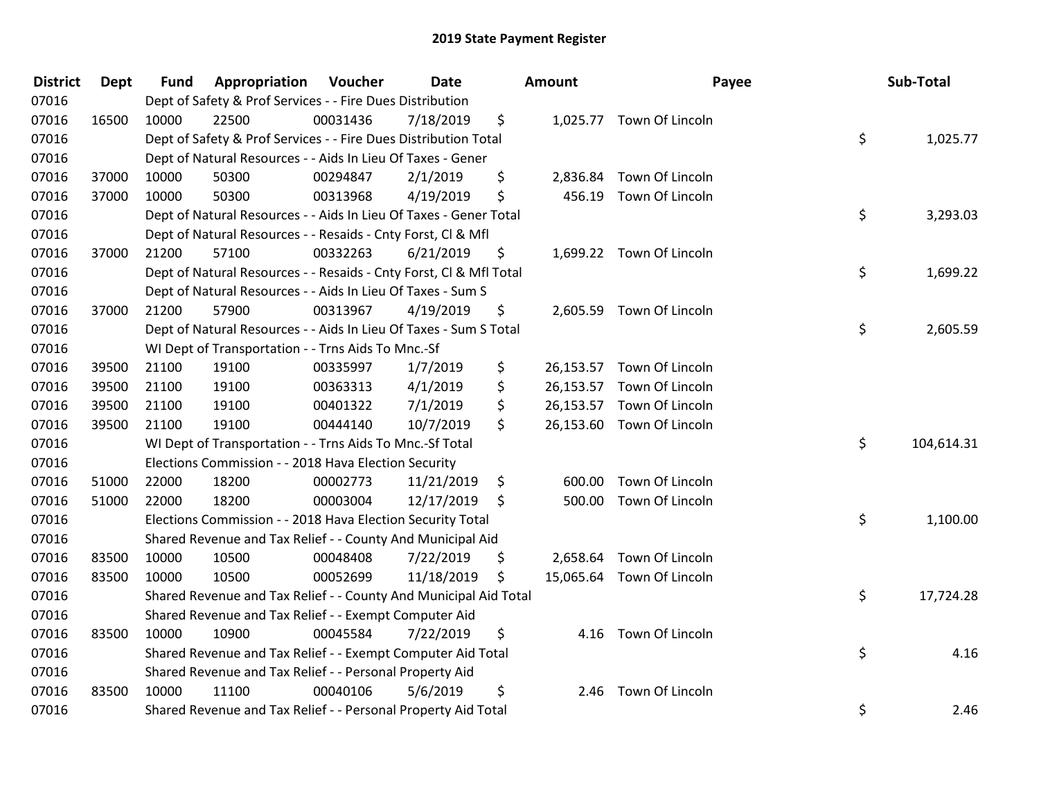| <b>District</b> | <b>Dept</b> | <b>Fund</b> | Appropriation                                                      | Voucher  | Date       | <b>Amount</b>  | Payee                     | Sub-Total        |
|-----------------|-------------|-------------|--------------------------------------------------------------------|----------|------------|----------------|---------------------------|------------------|
| 07016           |             |             | Dept of Safety & Prof Services - - Fire Dues Distribution          |          |            |                |                           |                  |
| 07016           | 16500       | 10000       | 22500                                                              | 00031436 | 7/18/2019  | \$             | 1,025.77 Town Of Lincoln  |                  |
| 07016           |             |             | Dept of Safety & Prof Services - - Fire Dues Distribution Total    |          |            |                |                           | \$<br>1,025.77   |
| 07016           |             |             | Dept of Natural Resources - - Aids In Lieu Of Taxes - Gener        |          |            |                |                           |                  |
| 07016           | 37000       | 10000       | 50300                                                              | 00294847 | 2/1/2019   | \$<br>2,836.84 | Town Of Lincoln           |                  |
| 07016           | 37000       | 10000       | 50300                                                              | 00313968 | 4/19/2019  | \$             | 456.19 Town Of Lincoln    |                  |
| 07016           |             |             | Dept of Natural Resources - - Aids In Lieu Of Taxes - Gener Total  |          |            |                |                           | \$<br>3,293.03   |
| 07016           |             |             | Dept of Natural Resources - - Resaids - Cnty Forst, Cl & Mfl       |          |            |                |                           |                  |
| 07016           | 37000       | 21200       | 57100                                                              | 00332263 | 6/21/2019  | \$             | 1,699.22 Town Of Lincoln  |                  |
| 07016           |             |             | Dept of Natural Resources - - Resaids - Cnty Forst, CI & Mfl Total |          |            |                |                           | \$<br>1,699.22   |
| 07016           |             |             | Dept of Natural Resources - - Aids In Lieu Of Taxes - Sum S        |          |            |                |                           |                  |
| 07016           | 37000       | 21200       | 57900                                                              | 00313967 | 4/19/2019  | \$             | 2,605.59 Town Of Lincoln  |                  |
| 07016           |             |             | Dept of Natural Resources - - Aids In Lieu Of Taxes - Sum S Total  |          |            |                |                           | \$<br>2,605.59   |
| 07016           |             |             | WI Dept of Transportation - - Trns Aids To Mnc.-Sf                 |          |            |                |                           |                  |
| 07016           | 39500       | 21100       | 19100                                                              | 00335997 | 1/7/2019   | \$             | 26,153.57 Town Of Lincoln |                  |
| 07016           | 39500       | 21100       | 19100                                                              | 00363313 | 4/1/2019   | \$             | 26,153.57 Town Of Lincoln |                  |
| 07016           | 39500       | 21100       | 19100                                                              | 00401322 | 7/1/2019   | \$             | 26,153.57 Town Of Lincoln |                  |
| 07016           | 39500       | 21100       | 19100                                                              | 00444140 | 10/7/2019  | \$             | 26,153.60 Town Of Lincoln |                  |
| 07016           |             |             | WI Dept of Transportation - - Trns Aids To Mnc.-Sf Total           |          |            |                |                           | \$<br>104,614.31 |
| 07016           |             |             | Elections Commission - - 2018 Hava Election Security               |          |            |                |                           |                  |
| 07016           | 51000       | 22000       | 18200                                                              | 00002773 | 11/21/2019 | \$<br>600.00   | Town Of Lincoln           |                  |
| 07016           | 51000       | 22000       | 18200                                                              | 00003004 | 12/17/2019 | \$             | 500.00 Town Of Lincoln    |                  |
| 07016           |             |             | Elections Commission - - 2018 Hava Election Security Total         |          |            |                |                           | \$<br>1,100.00   |
| 07016           |             |             | Shared Revenue and Tax Relief - - County And Municipal Aid         |          |            |                |                           |                  |
| 07016           | 83500       | 10000       | 10500                                                              | 00048408 | 7/22/2019  | \$             | 2,658.64 Town Of Lincoln  |                  |
| 07016           | 83500       | 10000       | 10500                                                              | 00052699 | 11/18/2019 | \$             | 15,065.64 Town Of Lincoln |                  |
| 07016           |             |             | Shared Revenue and Tax Relief - - County And Municipal Aid Total   |          |            |                |                           | \$<br>17,724.28  |
| 07016           |             |             | Shared Revenue and Tax Relief - - Exempt Computer Aid              |          |            |                |                           |                  |
| 07016           | 83500       | 10000       | 10900                                                              | 00045584 | 7/22/2019  | \$             | 4.16 Town Of Lincoln      |                  |
| 07016           |             |             | Shared Revenue and Tax Relief - - Exempt Computer Aid Total        |          |            |                |                           | \$<br>4.16       |
| 07016           |             |             | Shared Revenue and Tax Relief - - Personal Property Aid            |          |            |                |                           |                  |
| 07016           | 83500       | 10000       | 11100                                                              | 00040106 | 5/6/2019   | \$             | 2.46 Town Of Lincoln      |                  |
| 07016           |             |             | Shared Revenue and Tax Relief - - Personal Property Aid Total      |          |            |                |                           | \$<br>2.46       |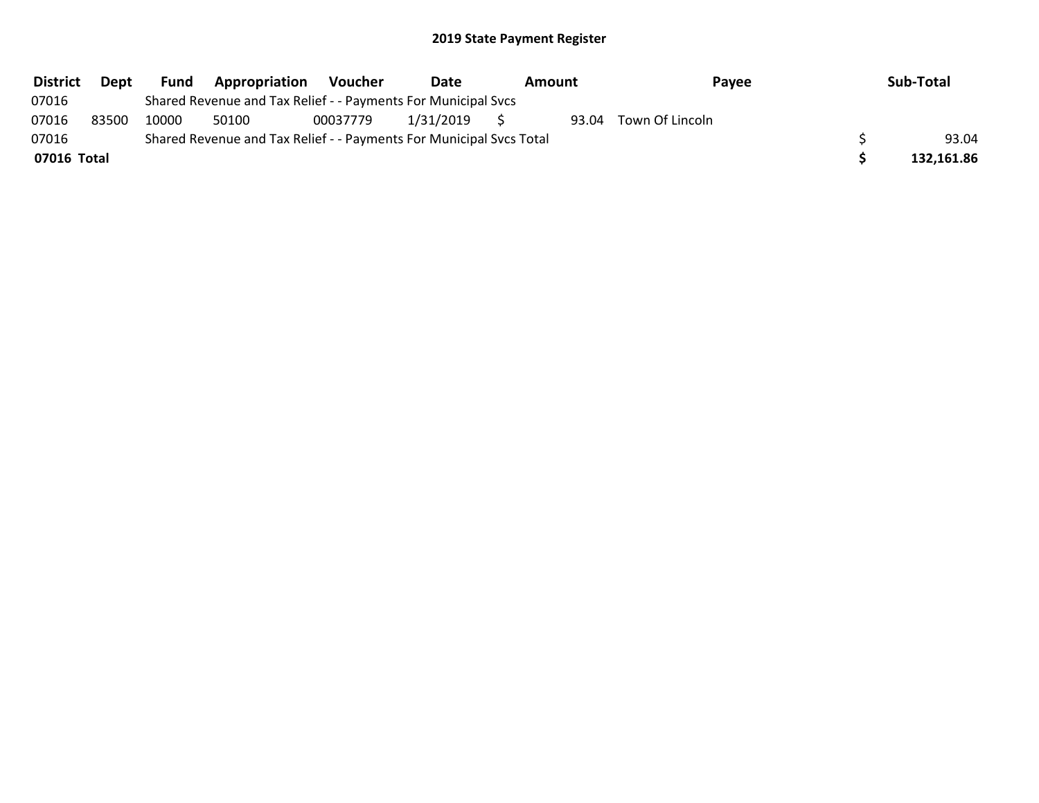| <b>District</b> | Dept  | Fund  | Appropriation                                                       | Voucher  | Date      | Pavee<br>Amount |  |                       | Sub-Total  |
|-----------------|-------|-------|---------------------------------------------------------------------|----------|-----------|-----------------|--|-----------------------|------------|
| 07016           |       |       | Shared Revenue and Tax Relief - - Payments For Municipal Svcs       |          |           |                 |  |                       |            |
| 07016           | 83500 | 10000 | 50100                                                               | 00037779 | 1/31/2019 |                 |  | 93.04 Town Of Lincoln |            |
| 07016           |       |       | Shared Revenue and Tax Relief - - Payments For Municipal Svcs Total |          |           |                 |  |                       | 93.04      |
| 07016 Total     |       |       |                                                                     |          |           |                 |  |                       | 132,161.86 |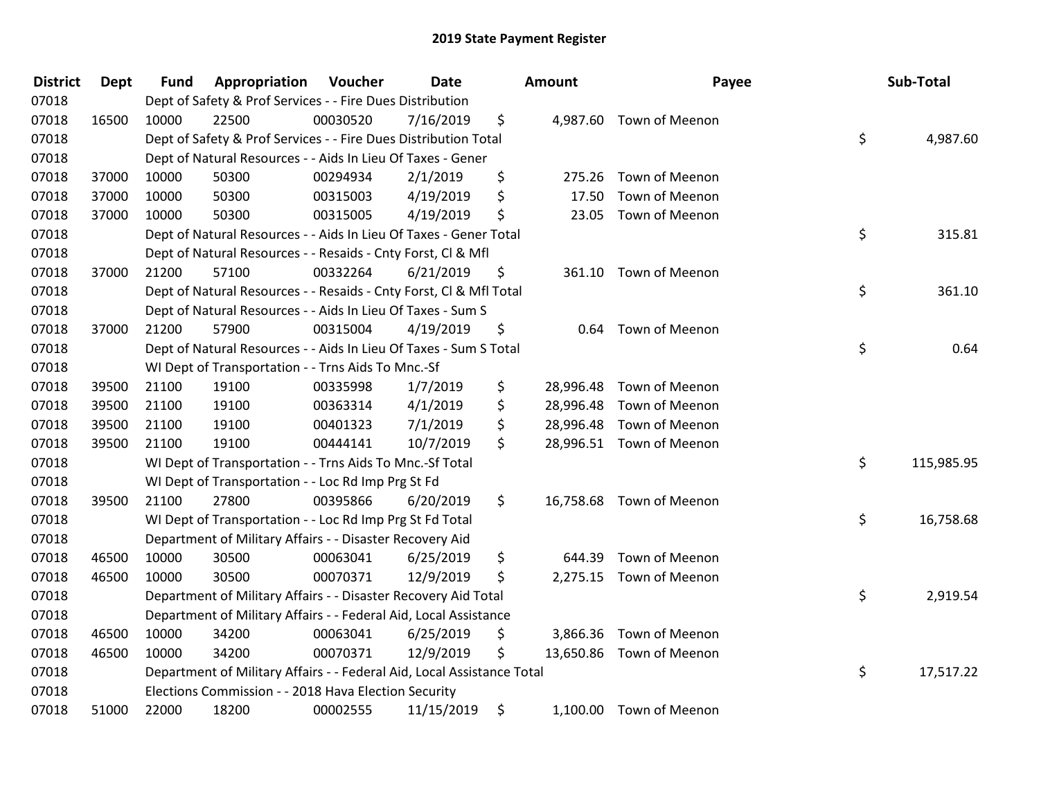| <b>District</b> | <b>Dept</b> | <b>Fund</b> | Appropriation                                                          | Voucher  | Date       |     | <b>Amount</b> | Payee                    | Sub-Total        |
|-----------------|-------------|-------------|------------------------------------------------------------------------|----------|------------|-----|---------------|--------------------------|------------------|
| 07018           |             |             | Dept of Safety & Prof Services - - Fire Dues Distribution              |          |            |     |               |                          |                  |
| 07018           | 16500       | 10000       | 22500                                                                  | 00030520 | 7/16/2019  | \$  |               | 4,987.60 Town of Meenon  |                  |
| 07018           |             |             | Dept of Safety & Prof Services - - Fire Dues Distribution Total        |          |            |     |               |                          | \$<br>4,987.60   |
| 07018           |             |             | Dept of Natural Resources - - Aids In Lieu Of Taxes - Gener            |          |            |     |               |                          |                  |
| 07018           | 37000       | 10000       | 50300                                                                  | 00294934 | 2/1/2019   | \$  | 275.26        | Town of Meenon           |                  |
| 07018           | 37000       | 10000       | 50300                                                                  | 00315003 | 4/19/2019  | \$  | 17.50         | Town of Meenon           |                  |
| 07018           | 37000       | 10000       | 50300                                                                  | 00315005 | 4/19/2019  | \$  | 23.05         | Town of Meenon           |                  |
| 07018           |             |             | Dept of Natural Resources - - Aids In Lieu Of Taxes - Gener Total      |          |            |     |               |                          | \$<br>315.81     |
| 07018           |             |             | Dept of Natural Resources - - Resaids - Cnty Forst, Cl & Mfl           |          |            |     |               |                          |                  |
| 07018           | 37000       | 21200       | 57100                                                                  | 00332264 | 6/21/2019  | \$  |               | 361.10 Town of Meenon    |                  |
| 07018           |             |             | Dept of Natural Resources - - Resaids - Cnty Forst, Cl & Mfl Total     |          |            |     |               |                          | \$<br>361.10     |
| 07018           |             |             | Dept of Natural Resources - - Aids In Lieu Of Taxes - Sum S            |          |            |     |               |                          |                  |
| 07018           | 37000       | 21200       | 57900                                                                  | 00315004 | 4/19/2019  | \$  |               | 0.64 Town of Meenon      |                  |
| 07018           |             |             | Dept of Natural Resources - - Aids In Lieu Of Taxes - Sum S Total      |          |            |     |               |                          | \$<br>0.64       |
| 07018           |             |             | WI Dept of Transportation - - Trns Aids To Mnc.-Sf                     |          |            |     |               |                          |                  |
| 07018           | 39500       | 21100       | 19100                                                                  | 00335998 | 1/7/2019   | \$  | 28,996.48     | Town of Meenon           |                  |
| 07018           | 39500       | 21100       | 19100                                                                  | 00363314 | 4/1/2019   | \$  | 28,996.48     | Town of Meenon           |                  |
| 07018           | 39500       | 21100       | 19100                                                                  | 00401323 | 7/1/2019   | \$  | 28,996.48     | Town of Meenon           |                  |
| 07018           | 39500       | 21100       | 19100                                                                  | 00444141 | 10/7/2019  | \$  |               | 28,996.51 Town of Meenon |                  |
| 07018           |             |             | WI Dept of Transportation - - Trns Aids To Mnc.-Sf Total               |          |            |     |               |                          | \$<br>115,985.95 |
| 07018           |             |             | WI Dept of Transportation - - Loc Rd Imp Prg St Fd                     |          |            |     |               |                          |                  |
| 07018           | 39500       | 21100       | 27800                                                                  | 00395866 | 6/20/2019  | \$. |               | 16,758.68 Town of Meenon |                  |
| 07018           |             |             | WI Dept of Transportation - - Loc Rd Imp Prg St Fd Total               |          |            |     |               |                          | \$<br>16,758.68  |
| 07018           |             |             | Department of Military Affairs - - Disaster Recovery Aid               |          |            |     |               |                          |                  |
| 07018           | 46500       | 10000       | 30500                                                                  | 00063041 | 6/25/2019  | \$  | 644.39        | Town of Meenon           |                  |
| 07018           | 46500       | 10000       | 30500                                                                  | 00070371 | 12/9/2019  | \$  |               | 2,275.15 Town of Meenon  |                  |
| 07018           |             |             | Department of Military Affairs - - Disaster Recovery Aid Total         |          |            |     |               |                          | \$<br>2,919.54   |
| 07018           |             |             | Department of Military Affairs - - Federal Aid, Local Assistance       |          |            |     |               |                          |                  |
| 07018           | 46500       | 10000       | 34200                                                                  | 00063041 | 6/25/2019  | \$  |               | 3,866.36 Town of Meenon  |                  |
| 07018           | 46500       | 10000       | 34200                                                                  | 00070371 | 12/9/2019  | \$  |               | 13,650.86 Town of Meenon |                  |
| 07018           |             |             | Department of Military Affairs - - Federal Aid, Local Assistance Total |          |            |     |               |                          | \$<br>17,517.22  |
| 07018           |             |             | Elections Commission - - 2018 Hava Election Security                   |          |            |     |               |                          |                  |
| 07018           | 51000       | 22000       | 18200                                                                  | 00002555 | 11/15/2019 | \$  |               | 1,100.00 Town of Meenon  |                  |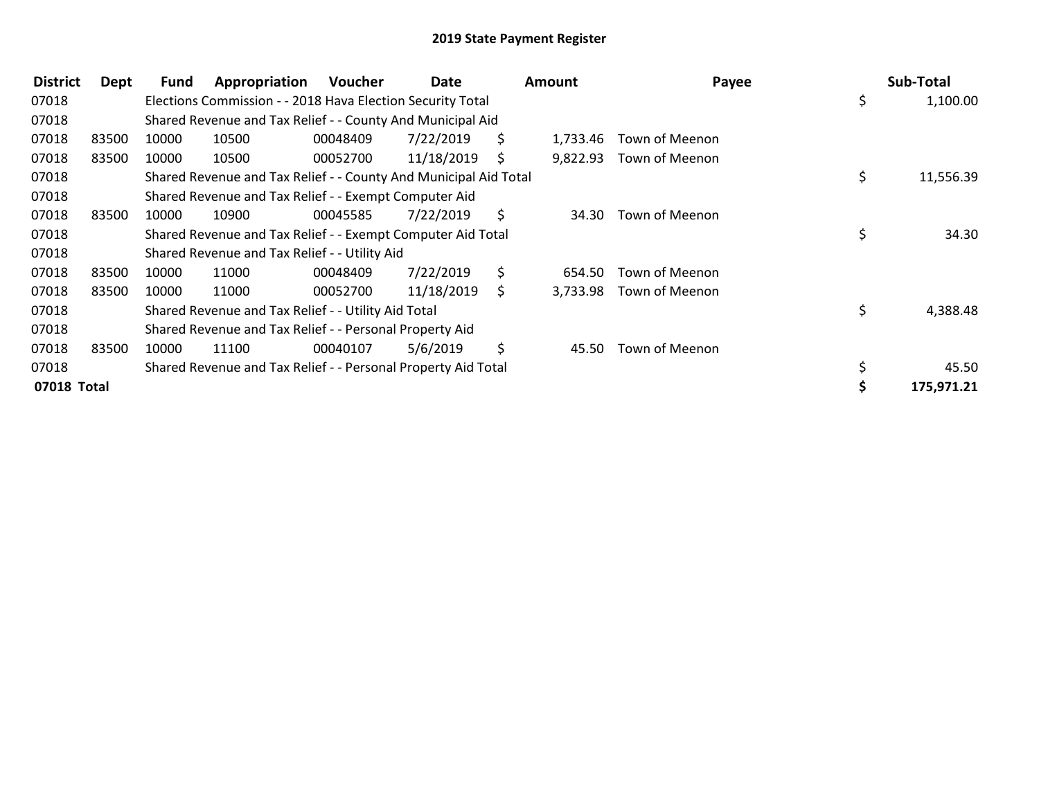| <b>District</b> | Dept  | Fund  | Appropriation                                                    | Voucher  | Date       |    | <b>Amount</b> | Payee          | Sub-Total       |
|-----------------|-------|-------|------------------------------------------------------------------|----------|------------|----|---------------|----------------|-----------------|
| 07018           |       |       | Elections Commission - - 2018 Hava Election Security Total       |          |            |    |               |                | \$<br>1,100.00  |
| 07018           |       |       | Shared Revenue and Tax Relief - - County And Municipal Aid       |          |            |    |               |                |                 |
| 07018           | 83500 | 10000 | 10500                                                            | 00048409 | 7/22/2019  | S. | 1,733.46      | Town of Meenon |                 |
| 07018           | 83500 | 10000 | 10500                                                            | 00052700 | 11/18/2019 | S  | 9,822.93      | Town of Meenon |                 |
| 07018           |       |       | Shared Revenue and Tax Relief - - County And Municipal Aid Total |          |            |    |               |                | \$<br>11,556.39 |
| 07018           |       |       | Shared Revenue and Tax Relief - - Exempt Computer Aid            |          |            |    |               |                |                 |
| 07018           | 83500 | 10000 | 10900                                                            | 00045585 | 7/22/2019  | S. | 34.30         | Town of Meenon |                 |
| 07018           |       |       | Shared Revenue and Tax Relief - - Exempt Computer Aid Total      |          |            |    |               |                | \$<br>34.30     |
| 07018           |       |       | Shared Revenue and Tax Relief - - Utility Aid                    |          |            |    |               |                |                 |
| 07018           | 83500 | 10000 | 11000                                                            | 00048409 | 7/22/2019  | S. | 654.50        | Town of Meenon |                 |
| 07018           | 83500 | 10000 | 11000                                                            | 00052700 | 11/18/2019 | S. | 3,733.98      | Town of Meenon |                 |
| 07018           |       |       | Shared Revenue and Tax Relief - - Utility Aid Total              |          |            |    |               |                | \$<br>4,388.48  |
| 07018           |       |       | Shared Revenue and Tax Relief - - Personal Property Aid          |          |            |    |               |                |                 |
| 07018           | 83500 | 10000 | 11100                                                            | 00040107 | 5/6/2019   | \$ | 45.50         | Town of Meenon |                 |
| 07018           |       |       | Shared Revenue and Tax Relief - - Personal Property Aid Total    |          |            |    |               |                | 45.50           |
| 07018 Total     |       |       |                                                                  |          |            |    |               |                | 175,971.21      |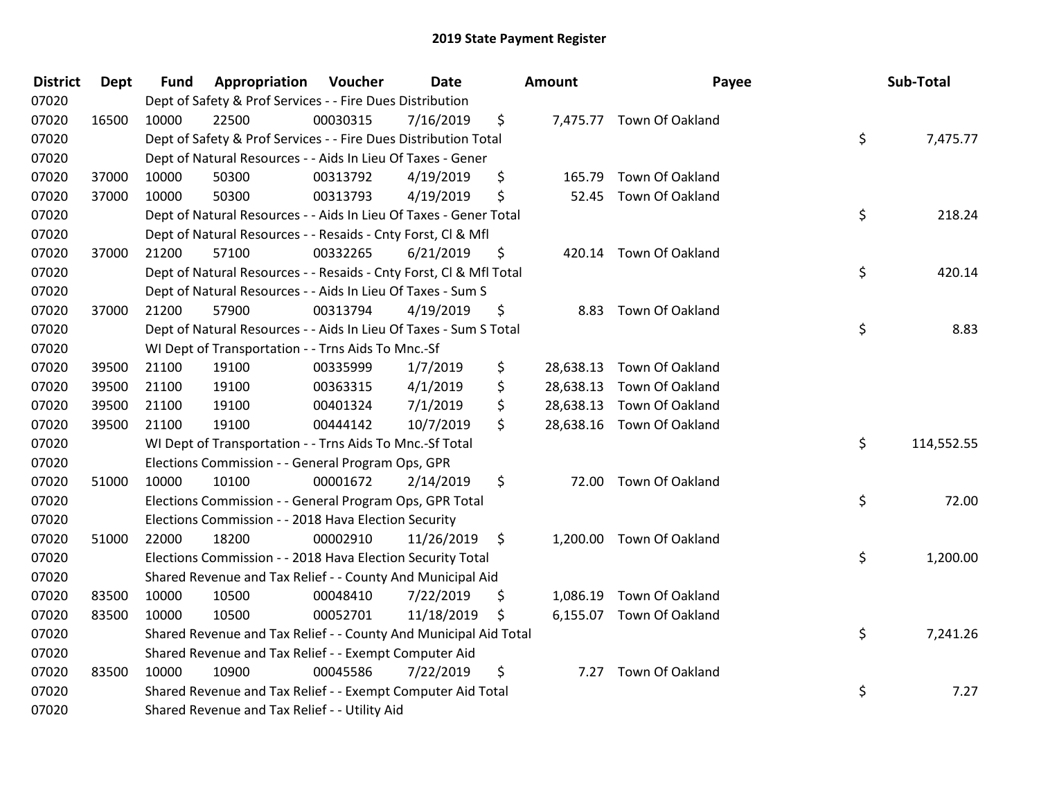| <b>District</b> | <b>Dept</b> | <b>Fund</b> | Appropriation                                                      | Voucher  | <b>Date</b> |     | <b>Amount</b> | Payee                     | Sub-Total        |
|-----------------|-------------|-------------|--------------------------------------------------------------------|----------|-------------|-----|---------------|---------------------------|------------------|
| 07020           |             |             | Dept of Safety & Prof Services - - Fire Dues Distribution          |          |             |     |               |                           |                  |
| 07020           | 16500       | 10000       | 22500                                                              | 00030315 | 7/16/2019   | \$  |               | 7,475.77 Town Of Oakland  |                  |
| 07020           |             |             | Dept of Safety & Prof Services - - Fire Dues Distribution Total    |          |             |     |               |                           | \$<br>7,475.77   |
| 07020           |             |             | Dept of Natural Resources - - Aids In Lieu Of Taxes - Gener        |          |             |     |               |                           |                  |
| 07020           | 37000       | 10000       | 50300                                                              | 00313792 | 4/19/2019   | \$  | 165.79        | Town Of Oakland           |                  |
| 07020           | 37000       | 10000       | 50300                                                              | 00313793 | 4/19/2019   | \$  | 52.45         | Town Of Oakland           |                  |
| 07020           |             |             | Dept of Natural Resources - - Aids In Lieu Of Taxes - Gener Total  |          |             |     |               |                           | \$<br>218.24     |
| 07020           |             |             | Dept of Natural Resources - - Resaids - Cnty Forst, Cl & Mfl       |          |             |     |               |                           |                  |
| 07020           | 37000       | 21200       | 57100                                                              | 00332265 | 6/21/2019   | \$  |               | 420.14 Town Of Oakland    |                  |
| 07020           |             |             | Dept of Natural Resources - - Resaids - Cnty Forst, CI & Mfl Total |          |             |     |               |                           | \$<br>420.14     |
| 07020           |             |             | Dept of Natural Resources - - Aids In Lieu Of Taxes - Sum S        |          |             |     |               |                           |                  |
| 07020           | 37000       | 21200       | 57900                                                              | 00313794 | 4/19/2019   | \$  |               | 8.83 Town Of Oakland      |                  |
| 07020           |             |             | Dept of Natural Resources - - Aids In Lieu Of Taxes - Sum S Total  |          |             |     |               |                           | \$<br>8.83       |
| 07020           |             |             | WI Dept of Transportation - - Trns Aids To Mnc.-Sf                 |          |             |     |               |                           |                  |
| 07020           | 39500       | 21100       | 19100                                                              | 00335999 | 1/7/2019    | \$  | 28,638.13     | Town Of Oakland           |                  |
| 07020           | 39500       | 21100       | 19100                                                              | 00363315 | 4/1/2019    | \$  | 28,638.13     | Town Of Oakland           |                  |
| 07020           | 39500       | 21100       | 19100                                                              | 00401324 | 7/1/2019    | \$  | 28,638.13     | Town Of Oakland           |                  |
| 07020           | 39500       | 21100       | 19100                                                              | 00444142 | 10/7/2019   | \$  |               | 28,638.16 Town Of Oakland |                  |
| 07020           |             |             | WI Dept of Transportation - - Trns Aids To Mnc.-Sf Total           |          |             |     |               |                           | \$<br>114,552.55 |
| 07020           |             |             | Elections Commission - - General Program Ops, GPR                  |          |             |     |               |                           |                  |
| 07020           | 51000       | 10000       | 10100                                                              | 00001672 | 2/14/2019   | \$  |               | 72.00 Town Of Oakland     |                  |
| 07020           |             |             | Elections Commission - - General Program Ops, GPR Total            |          |             |     |               |                           | \$<br>72.00      |
| 07020           |             |             | Elections Commission - - 2018 Hava Election Security               |          |             |     |               |                           |                  |
| 07020           | 51000       | 22000       | 18200                                                              | 00002910 | 11/26/2019  | \$  |               | 1,200.00 Town Of Oakland  |                  |
| 07020           |             |             | Elections Commission - - 2018 Hava Election Security Total         |          |             |     |               |                           | \$<br>1,200.00   |
| 07020           |             |             | Shared Revenue and Tax Relief - - County And Municipal Aid         |          |             |     |               |                           |                  |
| 07020           | 83500       | 10000       | 10500                                                              | 00048410 | 7/22/2019   | \$  |               | 1,086.19 Town Of Oakland  |                  |
| 07020           | 83500       | 10000       | 10500                                                              | 00052701 | 11/18/2019  | \$. |               | 6,155.07 Town Of Oakland  |                  |
| 07020           |             |             | Shared Revenue and Tax Relief - - County And Municipal Aid Total   |          |             |     |               |                           | \$<br>7,241.26   |
| 07020           |             |             | Shared Revenue and Tax Relief - - Exempt Computer Aid              |          |             |     |               |                           |                  |
| 07020           | 83500       | 10000       | 10900                                                              | 00045586 | 7/22/2019   | \$  |               | 7.27 Town Of Oakland      |                  |
| 07020           |             |             | Shared Revenue and Tax Relief - - Exempt Computer Aid Total        |          |             |     |               |                           | \$<br>7.27       |
| 07020           |             |             | Shared Revenue and Tax Relief - - Utility Aid                      |          |             |     |               |                           |                  |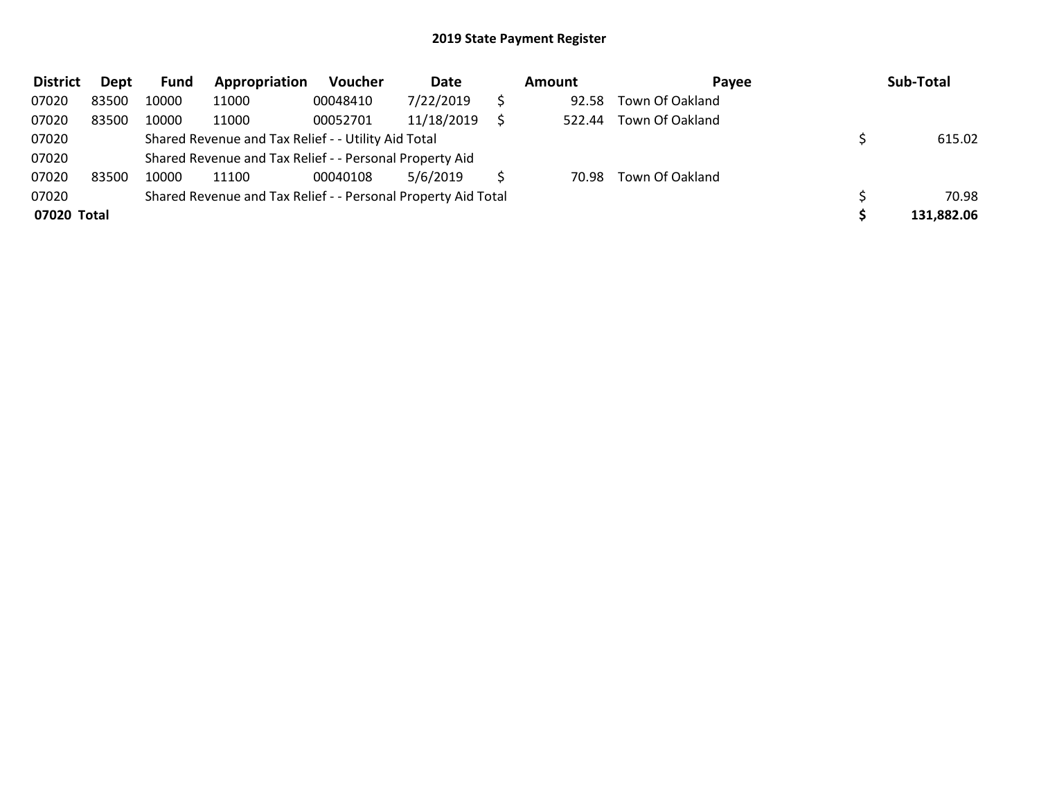| <b>District</b> | Dept  | <b>Fund</b> | Appropriation                                                 | <b>Voucher</b> | Date       | Amount | Payee           | Sub-Total  |
|-----------------|-------|-------------|---------------------------------------------------------------|----------------|------------|--------|-----------------|------------|
| 07020           | 83500 | 10000       | 11000                                                         | 00048410       | 7/22/2019  | 92.58  | Town Of Oakland |            |
| 07020           | 83500 | 10000       | 11000                                                         | 00052701       | 11/18/2019 | 522.44 | Town Of Oakland |            |
| 07020           |       |             | Shared Revenue and Tax Relief - - Utility Aid Total           |                |            |        |                 | 615.02     |
| 07020           |       |             | Shared Revenue and Tax Relief - - Personal Property Aid       |                |            |        |                 |            |
| 07020           | 83500 | 10000       | 11100                                                         | 00040108       | 5/6/2019   | 70.98  | Town Of Oakland |            |
| 07020           |       |             | Shared Revenue and Tax Relief - - Personal Property Aid Total |                |            |        |                 | 70.98      |
| 07020 Total     |       |             |                                                               |                |            |        |                 | 131,882.06 |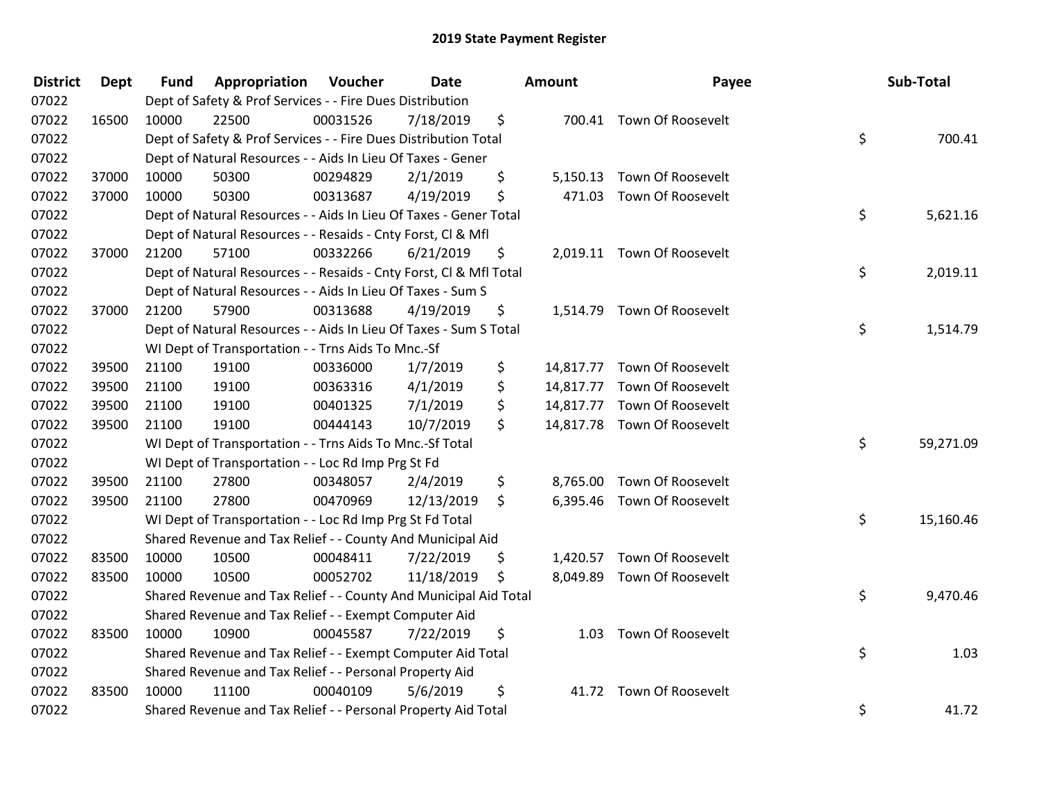| <b>District</b> | <b>Dept</b> | <b>Fund</b> | Appropriation                                                      | Voucher  | Date       | <b>Amount</b>  | Payee                       | Sub-Total       |
|-----------------|-------------|-------------|--------------------------------------------------------------------|----------|------------|----------------|-----------------------------|-----------------|
| 07022           |             |             | Dept of Safety & Prof Services - - Fire Dues Distribution          |          |            |                |                             |                 |
| 07022           | 16500       | 10000       | 22500                                                              | 00031526 | 7/18/2019  | \$             | 700.41 Town Of Roosevelt    |                 |
| 07022           |             |             | Dept of Safety & Prof Services - - Fire Dues Distribution Total    |          |            |                |                             | \$<br>700.41    |
| 07022           |             |             | Dept of Natural Resources - - Aids In Lieu Of Taxes - Gener        |          |            |                |                             |                 |
| 07022           | 37000       | 10000       | 50300                                                              | 00294829 | 2/1/2019   | \$<br>5,150.13 | Town Of Roosevelt           |                 |
| 07022           | 37000       | 10000       | 50300                                                              | 00313687 | 4/19/2019  | \$             | 471.03 Town Of Roosevelt    |                 |
| 07022           |             |             | Dept of Natural Resources - - Aids In Lieu Of Taxes - Gener Total  |          |            |                |                             | \$<br>5,621.16  |
| 07022           |             |             | Dept of Natural Resources - - Resaids - Cnty Forst, Cl & Mfl       |          |            |                |                             |                 |
| 07022           | 37000       | 21200       | 57100                                                              | 00332266 | 6/21/2019  | \$             | 2,019.11 Town Of Roosevelt  |                 |
| 07022           |             |             | Dept of Natural Resources - - Resaids - Cnty Forst, Cl & Mfl Total |          |            |                |                             | \$<br>2,019.11  |
| 07022           |             |             | Dept of Natural Resources - - Aids In Lieu Of Taxes - Sum S        |          |            |                |                             |                 |
| 07022           | 37000       | 21200       | 57900                                                              | 00313688 | 4/19/2019  | \$             | 1,514.79 Town Of Roosevelt  |                 |
| 07022           |             |             | Dept of Natural Resources - - Aids In Lieu Of Taxes - Sum S Total  |          |            |                |                             | \$<br>1,514.79  |
| 07022           |             |             | WI Dept of Transportation - - Trns Aids To Mnc.-Sf                 |          |            |                |                             |                 |
| 07022           | 39500       | 21100       | 19100                                                              | 00336000 | 1/7/2019   | \$             | 14,817.77 Town Of Roosevelt |                 |
| 07022           | 39500       | 21100       | 19100                                                              | 00363316 | 4/1/2019   | \$             | 14,817.77 Town Of Roosevelt |                 |
| 07022           | 39500       | 21100       | 19100                                                              | 00401325 | 7/1/2019   | \$             | 14,817.77 Town Of Roosevelt |                 |
| 07022           | 39500       | 21100       | 19100                                                              | 00444143 | 10/7/2019  | \$             | 14,817.78 Town Of Roosevelt |                 |
| 07022           |             |             | WI Dept of Transportation - - Trns Aids To Mnc .- Sf Total         |          |            |                |                             | \$<br>59,271.09 |
| 07022           |             |             | WI Dept of Transportation - - Loc Rd Imp Prg St Fd                 |          |            |                |                             |                 |
| 07022           | 39500       | 21100       | 27800                                                              | 00348057 | 2/4/2019   | \$             | 8,765.00 Town Of Roosevelt  |                 |
| 07022           | 39500       | 21100       | 27800                                                              | 00470969 | 12/13/2019 | \$             | 6,395.46 Town Of Roosevelt  |                 |
| 07022           |             |             | WI Dept of Transportation - - Loc Rd Imp Prg St Fd Total           |          |            |                |                             | \$<br>15,160.46 |
| 07022           |             |             | Shared Revenue and Tax Relief - - County And Municipal Aid         |          |            |                |                             |                 |
| 07022           | 83500       | 10000       | 10500                                                              | 00048411 | 7/22/2019  | \$             | 1,420.57 Town Of Roosevelt  |                 |
| 07022           | 83500       | 10000       | 10500                                                              | 00052702 | 11/18/2019 | \$             | 8,049.89 Town Of Roosevelt  |                 |
| 07022           |             |             | Shared Revenue and Tax Relief - - County And Municipal Aid Total   |          |            |                |                             | \$<br>9,470.46  |
| 07022           |             |             | Shared Revenue and Tax Relief - - Exempt Computer Aid              |          |            |                |                             |                 |
| 07022           | 83500       | 10000       | 10900                                                              | 00045587 | 7/22/2019  | \$             | 1.03 Town Of Roosevelt      |                 |
| 07022           |             |             | Shared Revenue and Tax Relief - - Exempt Computer Aid Total        |          |            |                |                             | \$<br>1.03      |
| 07022           |             |             | Shared Revenue and Tax Relief - - Personal Property Aid            |          |            |                |                             |                 |
| 07022           | 83500       | 10000       | 11100                                                              | 00040109 | 5/6/2019   | \$             | 41.72 Town Of Roosevelt     |                 |
| 07022           |             |             | Shared Revenue and Tax Relief - - Personal Property Aid Total      |          |            |                |                             | \$<br>41.72     |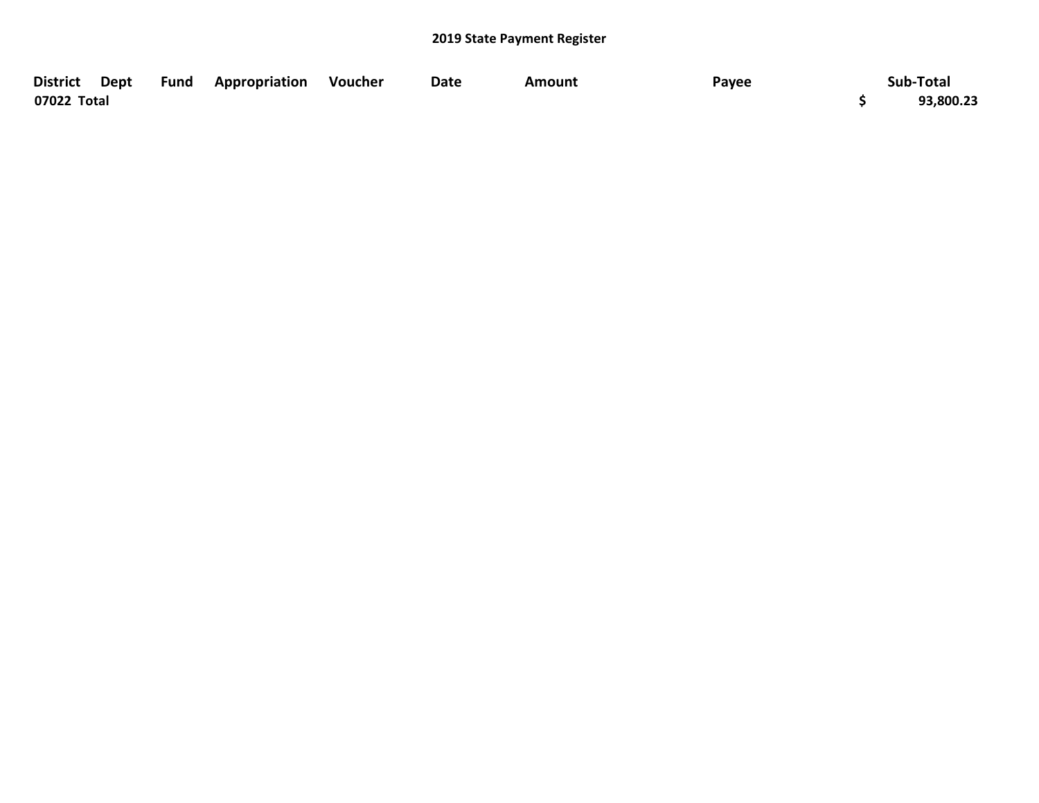|             |  | District Dept Fund Appropriation Voucher | Date | <b>Amount</b> | Payee | Sub-Total |
|-------------|--|------------------------------------------|------|---------------|-------|-----------|
| 07022 Total |  |                                          |      |               |       | 93,800.23 |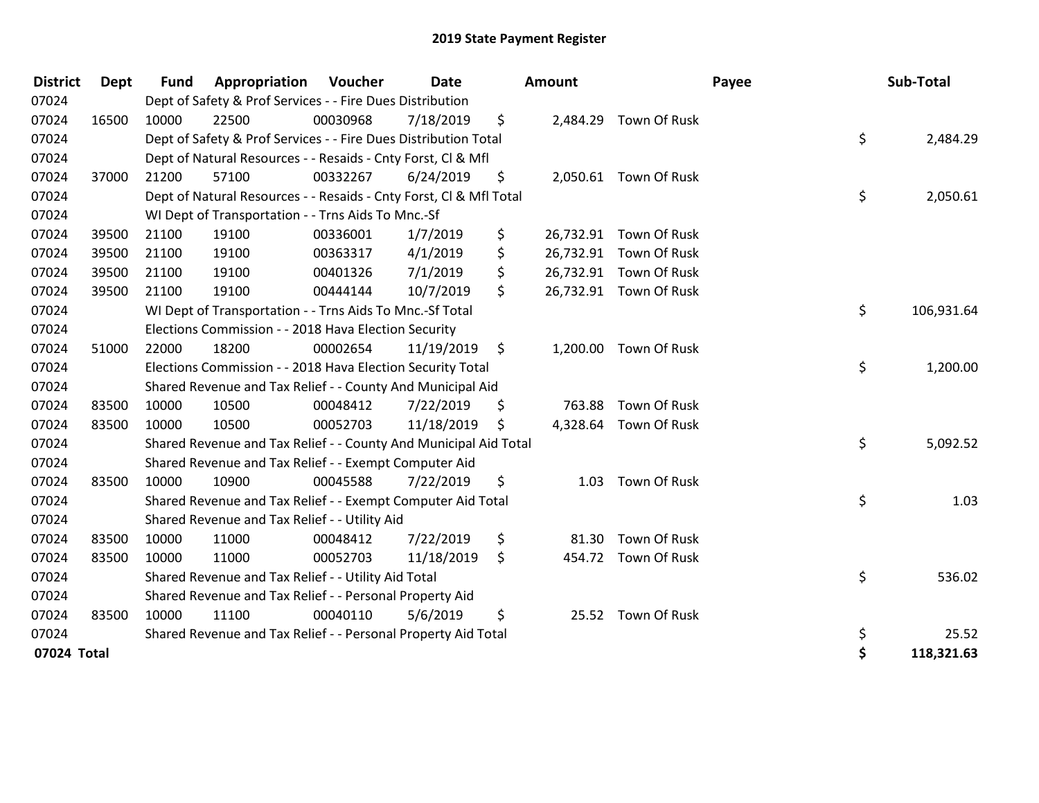| <b>District</b> | <b>Dept</b> | <b>Fund</b> | Appropriation                                                      | Voucher  | Date       | <b>Amount</b> |                        | Payee | Sub-Total  |
|-----------------|-------------|-------------|--------------------------------------------------------------------|----------|------------|---------------|------------------------|-------|------------|
| 07024           |             |             | Dept of Safety & Prof Services - - Fire Dues Distribution          |          |            |               |                        |       |            |
| 07024           | 16500       | 10000       | 22500                                                              | 00030968 | 7/18/2019  | \$            | 2,484.29 Town Of Rusk  |       |            |
| 07024           |             |             | Dept of Safety & Prof Services - - Fire Dues Distribution Total    |          |            |               |                        | \$    | 2,484.29   |
| 07024           |             |             | Dept of Natural Resources - - Resaids - Cnty Forst, Cl & Mfl       |          |            |               |                        |       |            |
| 07024           | 37000       | 21200       | 57100                                                              | 00332267 | 6/24/2019  | \$            | 2,050.61 Town Of Rusk  |       |            |
| 07024           |             |             | Dept of Natural Resources - - Resaids - Cnty Forst, CI & Mfl Total |          |            |               |                        | \$    | 2,050.61   |
| 07024           |             |             | WI Dept of Transportation - - Trns Aids To Mnc.-Sf                 |          |            |               |                        |       |            |
| 07024           | 39500       | 21100       | 19100                                                              | 00336001 | 1/7/2019   | \$            | 26,732.91 Town Of Rusk |       |            |
| 07024           | 39500       | 21100       | 19100                                                              | 00363317 | 4/1/2019   | \$            | 26,732.91 Town Of Rusk |       |            |
| 07024           | 39500       | 21100       | 19100                                                              | 00401326 | 7/1/2019   | \$            | 26,732.91 Town Of Rusk |       |            |
| 07024           | 39500       | 21100       | 19100                                                              | 00444144 | 10/7/2019  | \$            | 26,732.91 Town Of Rusk |       |            |
| 07024           |             |             | WI Dept of Transportation - - Trns Aids To Mnc.-Sf Total           |          |            |               |                        | \$    | 106,931.64 |
| 07024           |             |             | Elections Commission - - 2018 Hava Election Security               |          |            |               |                        |       |            |
| 07024           | 51000       | 22000       | 18200                                                              | 00002654 | 11/19/2019 | \$            | 1,200.00 Town Of Rusk  |       |            |
| 07024           |             |             | Elections Commission - - 2018 Hava Election Security Total         |          |            |               |                        | \$    | 1,200.00   |
| 07024           |             |             | Shared Revenue and Tax Relief - - County And Municipal Aid         |          |            |               |                        |       |            |
| 07024           | 83500       | 10000       | 10500                                                              | 00048412 | 7/22/2019  | \$<br>763.88  | Town Of Rusk           |       |            |
| 07024           | 83500       | 10000       | 10500                                                              | 00052703 | 11/18/2019 | \$            | 4,328.64 Town Of Rusk  |       |            |
| 07024           |             |             | Shared Revenue and Tax Relief - - County And Municipal Aid Total   |          |            |               |                        | \$    | 5,092.52   |
| 07024           |             |             | Shared Revenue and Tax Relief - - Exempt Computer Aid              |          |            |               |                        |       |            |
| 07024           | 83500       | 10000       | 10900                                                              | 00045588 | 7/22/2019  | \$<br>1.03    | Town Of Rusk           |       |            |
| 07024           |             |             | Shared Revenue and Tax Relief - - Exempt Computer Aid Total        |          |            |               |                        | \$    | 1.03       |
| 07024           |             |             | Shared Revenue and Tax Relief - - Utility Aid                      |          |            |               |                        |       |            |
| 07024           | 83500       | 10000       | 11000                                                              | 00048412 | 7/22/2019  | \$<br>81.30   | Town Of Rusk           |       |            |
| 07024           | 83500       | 10000       | 11000                                                              | 00052703 | 11/18/2019 | \$            | 454.72 Town Of Rusk    |       |            |
| 07024           |             |             | Shared Revenue and Tax Relief - - Utility Aid Total                |          |            |               |                        | \$    | 536.02     |
| 07024           |             |             | Shared Revenue and Tax Relief - - Personal Property Aid            |          |            |               |                        |       |            |
| 07024           | 83500       | 10000       | 11100                                                              | 00040110 | 5/6/2019   | \$            | 25.52 Town Of Rusk     |       |            |
| 07024           |             |             | Shared Revenue and Tax Relief - - Personal Property Aid Total      |          |            |               |                        | \$    | 25.52      |
| 07024 Total     |             |             |                                                                    |          |            |               |                        | \$    | 118,321.63 |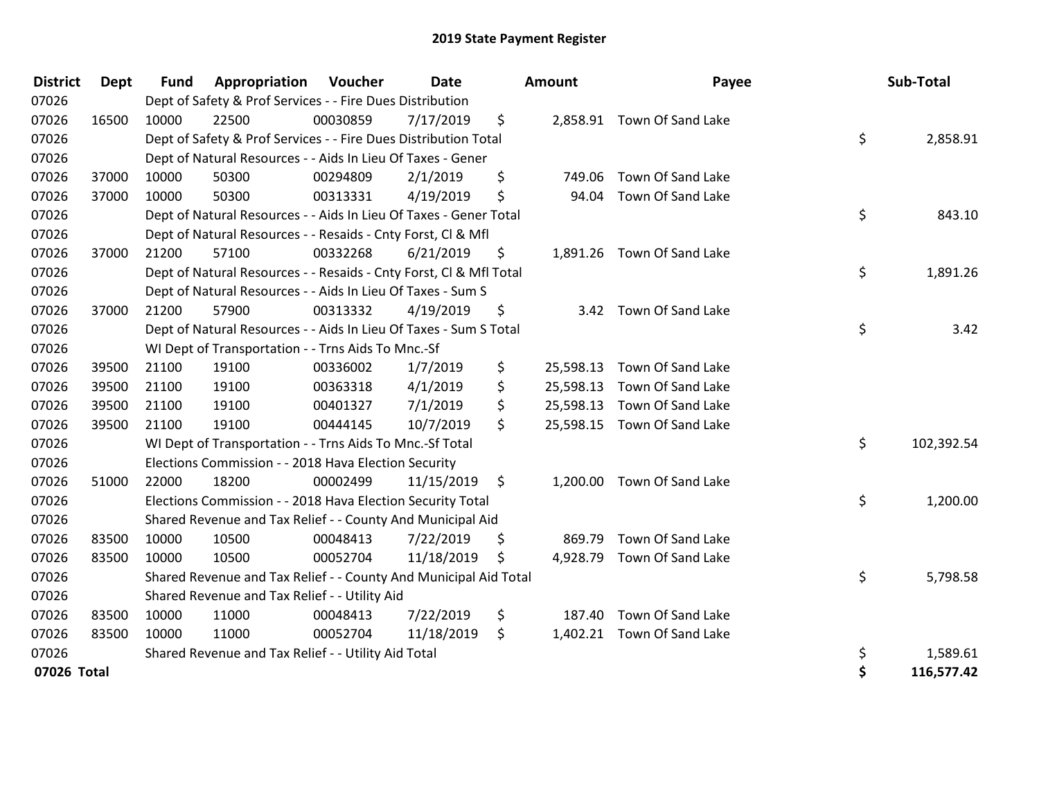| <b>District</b> | <b>Dept</b> | <b>Fund</b> | Appropriation                                                      | Voucher  | <b>Date</b> |                | <b>Amount</b> | Payee                       | Sub-Total        |
|-----------------|-------------|-------------|--------------------------------------------------------------------|----------|-------------|----------------|---------------|-----------------------------|------------------|
| 07026           |             |             | Dept of Safety & Prof Services - - Fire Dues Distribution          |          |             |                |               |                             |                  |
| 07026           | 16500       | 10000       | 22500                                                              | 00030859 | 7/17/2019   | \$             |               | 2,858.91 Town Of Sand Lake  |                  |
| 07026           |             |             | Dept of Safety & Prof Services - - Fire Dues Distribution Total    |          |             |                |               |                             | \$<br>2,858.91   |
| 07026           |             |             | Dept of Natural Resources - - Aids In Lieu Of Taxes - Gener        |          |             |                |               |                             |                  |
| 07026           | 37000       | 10000       | 50300                                                              | 00294809 | 2/1/2019    | \$             | 749.06        | Town Of Sand Lake           |                  |
| 07026           | 37000       | 10000       | 50300                                                              | 00313331 | 4/19/2019   | \$             | 94.04         | Town Of Sand Lake           |                  |
| 07026           |             |             | Dept of Natural Resources - - Aids In Lieu Of Taxes - Gener Total  |          |             |                |               |                             | \$<br>843.10     |
| 07026           |             |             | Dept of Natural Resources - - Resaids - Cnty Forst, Cl & Mfl       |          |             |                |               |                             |                  |
| 07026           | 37000       | 21200       | 57100                                                              | 00332268 | 6/21/2019   | \$             |               | 1,891.26 Town Of Sand Lake  |                  |
| 07026           |             |             | Dept of Natural Resources - - Resaids - Cnty Forst, CI & Mfl Total |          |             |                |               |                             | \$<br>1,891.26   |
| 07026           |             |             | Dept of Natural Resources - - Aids In Lieu Of Taxes - Sum S        |          |             |                |               |                             |                  |
| 07026           | 37000       | 21200       | 57900                                                              | 00313332 | 4/19/2019   | \$             |               | 3.42 Town Of Sand Lake      |                  |
| 07026           |             |             | Dept of Natural Resources - - Aids In Lieu Of Taxes - Sum S Total  |          |             |                |               |                             | \$<br>3.42       |
| 07026           |             |             | WI Dept of Transportation - - Trns Aids To Mnc.-Sf                 |          |             |                |               |                             |                  |
| 07026           | 39500       | 21100       | 19100                                                              | 00336002 | 1/7/2019    | \$             | 25,598.13     | Town Of Sand Lake           |                  |
| 07026           | 39500       | 21100       | 19100                                                              | 00363318 | 4/1/2019    | \$             | 25,598.13     | Town Of Sand Lake           |                  |
| 07026           | 39500       | 21100       | 19100                                                              | 00401327 | 7/1/2019    | \$             | 25,598.13     | Town Of Sand Lake           |                  |
| 07026           | 39500       | 21100       | 19100                                                              | 00444145 | 10/7/2019   | \$             |               | 25,598.15 Town Of Sand Lake |                  |
| 07026           |             |             | WI Dept of Transportation - - Trns Aids To Mnc.-Sf Total           |          |             |                |               |                             | \$<br>102,392.54 |
| 07026           |             |             | Elections Commission - - 2018 Hava Election Security               |          |             |                |               |                             |                  |
| 07026           | 51000       | 22000       | 18200                                                              | 00002499 | 11/15/2019  | \$             |               | 1,200.00 Town Of Sand Lake  |                  |
| 07026           |             |             | Elections Commission - - 2018 Hava Election Security Total         |          |             |                |               |                             | \$<br>1,200.00   |
| 07026           |             |             | Shared Revenue and Tax Relief - - County And Municipal Aid         |          |             |                |               |                             |                  |
| 07026           | 83500       | 10000       | 10500                                                              | 00048413 | 7/22/2019   | \$             | 869.79        | Town Of Sand Lake           |                  |
| 07026           | 83500       | 10000       | 10500                                                              | 00052704 | 11/18/2019  | $\ddot{\zeta}$ |               | 4,928.79 Town Of Sand Lake  |                  |
| 07026           |             |             | Shared Revenue and Tax Relief - - County And Municipal Aid Total   |          |             |                |               |                             | \$<br>5,798.58   |
| 07026           |             |             | Shared Revenue and Tax Relief - - Utility Aid                      |          |             |                |               |                             |                  |
| 07026           | 83500       | 10000       | 11000                                                              | 00048413 | 7/22/2019   | \$             | 187.40        | Town Of Sand Lake           |                  |
| 07026           | 83500       | 10000       | 11000                                                              | 00052704 | 11/18/2019  | \$             |               | 1,402.21 Town Of Sand Lake  |                  |
| 07026           |             |             | Shared Revenue and Tax Relief - - Utility Aid Total                |          |             |                |               |                             | \$<br>1,589.61   |
| 07026 Total     |             |             |                                                                    |          |             |                |               |                             | \$<br>116,577.42 |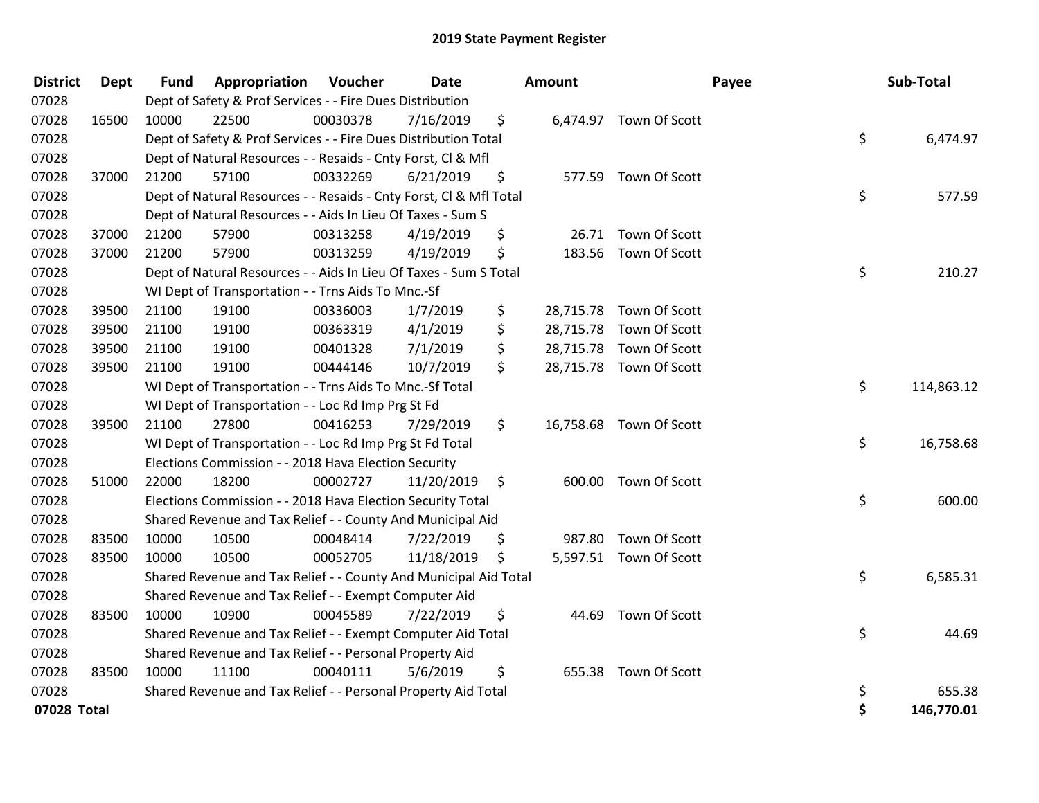| <b>District</b> | Dept  | <b>Fund</b> | Appropriation                                                      | Voucher  | <b>Date</b> | Amount          |                         | Payee | Sub-Total  |
|-----------------|-------|-------------|--------------------------------------------------------------------|----------|-------------|-----------------|-------------------------|-------|------------|
| 07028           |       |             | Dept of Safety & Prof Services - - Fire Dues Distribution          |          |             |                 |                         |       |            |
| 07028           | 16500 | 10000       | 22500                                                              | 00030378 | 7/16/2019   | \$              | 6,474.97 Town Of Scott  |       |            |
| 07028           |       |             | Dept of Safety & Prof Services - - Fire Dues Distribution Total    |          |             |                 |                         | \$    | 6,474.97   |
| 07028           |       |             | Dept of Natural Resources - - Resaids - Cnty Forst, Cl & Mfl       |          |             |                 |                         |       |            |
| 07028           | 37000 | 21200       | 57100                                                              | 00332269 | 6/21/2019   | \$              | 577.59 Town Of Scott    |       |            |
| 07028           |       |             | Dept of Natural Resources - - Resaids - Cnty Forst, Cl & Mfl Total |          |             |                 |                         | \$    | 577.59     |
| 07028           |       |             | Dept of Natural Resources - - Aids In Lieu Of Taxes - Sum S        |          |             |                 |                         |       |            |
| 07028           | 37000 | 21200       | 57900                                                              | 00313258 | 4/19/2019   | \$              | 26.71 Town Of Scott     |       |            |
| 07028           | 37000 | 21200       | 57900                                                              | 00313259 | 4/19/2019   | \$              | 183.56 Town Of Scott    |       |            |
| 07028           |       |             | Dept of Natural Resources - - Aids In Lieu Of Taxes - Sum S Total  |          |             |                 |                         | \$    | 210.27     |
| 07028           |       |             | WI Dept of Transportation - - Trns Aids To Mnc.-Sf                 |          |             |                 |                         |       |            |
| 07028           | 39500 | 21100       | 19100                                                              | 00336003 | 1/7/2019    | \$              | 28,715.78 Town Of Scott |       |            |
| 07028           | 39500 | 21100       | 19100                                                              | 00363319 | 4/1/2019    | \$<br>28,715.78 | Town Of Scott           |       |            |
| 07028           | 39500 | 21100       | 19100                                                              | 00401328 | 7/1/2019    | \$<br>28,715.78 | Town Of Scott           |       |            |
| 07028           | 39500 | 21100       | 19100                                                              | 00444146 | 10/7/2019   | \$              | 28,715.78 Town Of Scott |       |            |
| 07028           |       |             | WI Dept of Transportation - - Trns Aids To Mnc.-Sf Total           |          |             |                 |                         | \$    | 114,863.12 |
| 07028           |       |             | WI Dept of Transportation - - Loc Rd Imp Prg St Fd                 |          |             |                 |                         |       |            |
| 07028           | 39500 | 21100       | 27800                                                              | 00416253 | 7/29/2019   | \$              | 16,758.68 Town Of Scott |       |            |
| 07028           |       |             | WI Dept of Transportation - - Loc Rd Imp Prg St Fd Total           |          |             |                 |                         | \$    | 16,758.68  |
| 07028           |       |             | Elections Commission - - 2018 Hava Election Security               |          |             |                 |                         |       |            |
| 07028           | 51000 | 22000       | 18200                                                              | 00002727 | 11/20/2019  | \$              | 600.00 Town Of Scott    |       |            |
| 07028           |       |             | Elections Commission - - 2018 Hava Election Security Total         |          |             |                 |                         | \$    | 600.00     |
| 07028           |       |             | Shared Revenue and Tax Relief - - County And Municipal Aid         |          |             |                 |                         |       |            |
| 07028           | 83500 | 10000       | 10500                                                              | 00048414 | 7/22/2019   | \$              | 987.80 Town Of Scott    |       |            |
| 07028           | 83500 | 10000       | 10500                                                              | 00052705 | 11/18/2019  | \$              | 5,597.51 Town Of Scott  |       |            |
| 07028           |       |             | Shared Revenue and Tax Relief - - County And Municipal Aid Total   |          |             |                 |                         | \$    | 6,585.31   |
| 07028           |       |             | Shared Revenue and Tax Relief - - Exempt Computer Aid              |          |             |                 |                         |       |            |
| 07028           | 83500 | 10000       | 10900                                                              | 00045589 | 7/22/2019   | \$<br>44.69     | Town Of Scott           |       |            |
| 07028           |       |             | Shared Revenue and Tax Relief - - Exempt Computer Aid Total        |          |             |                 |                         | \$    | 44.69      |
| 07028           |       |             | Shared Revenue and Tax Relief - - Personal Property Aid            |          |             |                 |                         |       |            |
| 07028           | 83500 | 10000       | 11100                                                              | 00040111 | 5/6/2019    | \$<br>655.38    | Town Of Scott           |       |            |
| 07028           |       |             | Shared Revenue and Tax Relief - - Personal Property Aid Total      |          |             |                 |                         | \$    | 655.38     |
| 07028 Total     |       |             |                                                                    |          |             |                 |                         | \$    | 146,770.01 |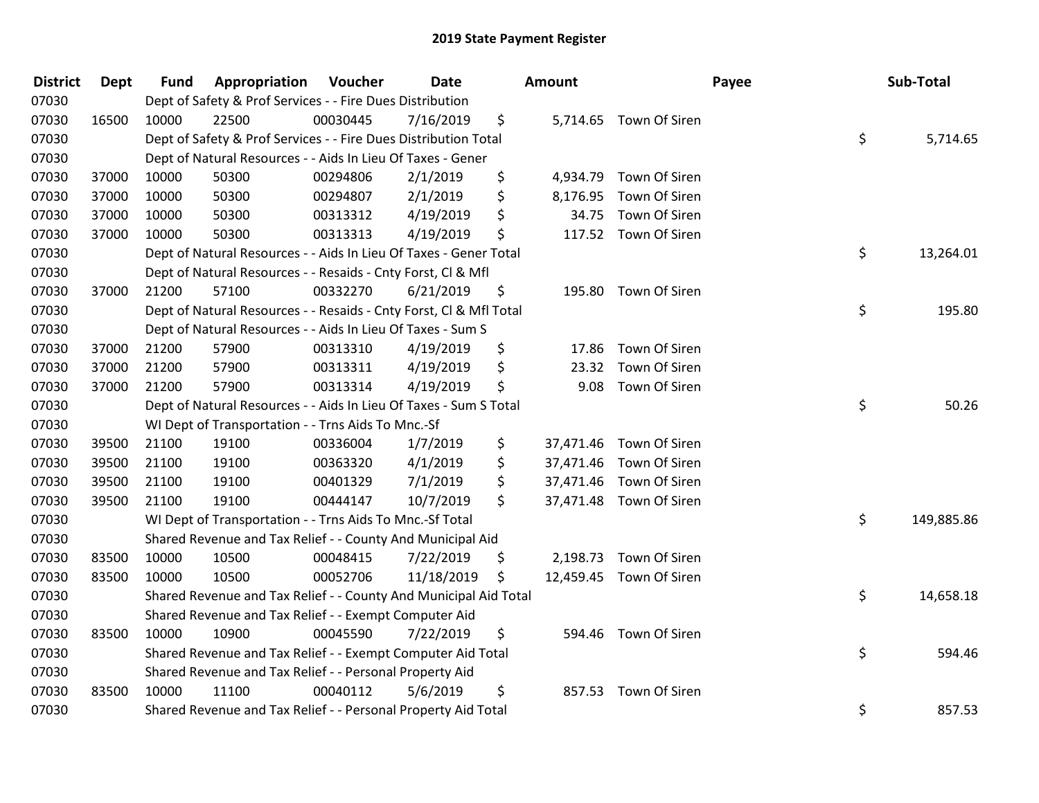| <b>District</b> | <b>Dept</b> | <b>Fund</b> | Appropriation                                                      | Voucher  | Date       | Amount          |                         | Payee | Sub-Total  |
|-----------------|-------------|-------------|--------------------------------------------------------------------|----------|------------|-----------------|-------------------------|-------|------------|
| 07030           |             |             | Dept of Safety & Prof Services - - Fire Dues Distribution          |          |            |                 |                         |       |            |
| 07030           | 16500       | 10000       | 22500                                                              | 00030445 | 7/16/2019  | \$              | 5,714.65 Town Of Siren  |       |            |
| 07030           |             |             | Dept of Safety & Prof Services - - Fire Dues Distribution Total    |          |            |                 |                         | \$    | 5,714.65   |
| 07030           |             |             | Dept of Natural Resources - - Aids In Lieu Of Taxes - Gener        |          |            |                 |                         |       |            |
| 07030           | 37000       | 10000       | 50300                                                              | 00294806 | 2/1/2019   | \$<br>4,934.79  | Town Of Siren           |       |            |
| 07030           | 37000       | 10000       | 50300                                                              | 00294807 | 2/1/2019   | \$              | 8,176.95 Town Of Siren  |       |            |
| 07030           | 37000       | 10000       | 50300                                                              | 00313312 | 4/19/2019  | \$<br>34.75     | Town Of Siren           |       |            |
| 07030           | 37000       | 10000       | 50300                                                              | 00313313 | 4/19/2019  | \$              | 117.52 Town Of Siren    |       |            |
| 07030           |             |             | Dept of Natural Resources - - Aids In Lieu Of Taxes - Gener Total  |          |            |                 |                         | \$    | 13,264.01  |
| 07030           |             |             | Dept of Natural Resources - - Resaids - Cnty Forst, Cl & Mfl       |          |            |                 |                         |       |            |
| 07030           | 37000       | 21200       | 57100                                                              | 00332270 | 6/21/2019  | \$              | 195.80 Town Of Siren    |       |            |
| 07030           |             |             | Dept of Natural Resources - - Resaids - Cnty Forst, Cl & Mfl Total |          |            |                 |                         | \$    | 195.80     |
| 07030           |             |             | Dept of Natural Resources - - Aids In Lieu Of Taxes - Sum S        |          |            |                 |                         |       |            |
| 07030           | 37000       | 21200       | 57900                                                              | 00313310 | 4/19/2019  | \$<br>17.86     | Town Of Siren           |       |            |
| 07030           | 37000       | 21200       | 57900                                                              | 00313311 | 4/19/2019  | \$<br>23.32     | Town Of Siren           |       |            |
| 07030           | 37000       | 21200       | 57900                                                              | 00313314 | 4/19/2019  | \$<br>9.08      | Town Of Siren           |       |            |
| 07030           |             |             | Dept of Natural Resources - - Aids In Lieu Of Taxes - Sum S Total  |          |            |                 |                         | \$    | 50.26      |
| 07030           |             |             | WI Dept of Transportation - - Trns Aids To Mnc.-Sf                 |          |            |                 |                         |       |            |
| 07030           | 39500       | 21100       | 19100                                                              | 00336004 | 1/7/2019   | \$              | 37,471.46 Town Of Siren |       |            |
| 07030           | 39500       | 21100       | 19100                                                              | 00363320 | 4/1/2019   | \$<br>37,471.46 | Town Of Siren           |       |            |
| 07030           | 39500       | 21100       | 19100                                                              | 00401329 | 7/1/2019   | \$<br>37,471.46 | Town Of Siren           |       |            |
| 07030           | 39500       | 21100       | 19100                                                              | 00444147 | 10/7/2019  | \$              | 37,471.48 Town Of Siren |       |            |
| 07030           |             |             | WI Dept of Transportation - - Trns Aids To Mnc .- Sf Total         |          |            |                 |                         | \$    | 149,885.86 |
| 07030           |             |             | Shared Revenue and Tax Relief - - County And Municipal Aid         |          |            |                 |                         |       |            |
| 07030           | 83500       | 10000       | 10500                                                              | 00048415 | 7/22/2019  | \$              | 2,198.73 Town Of Siren  |       |            |
| 07030           | 83500       | 10000       | 10500                                                              | 00052706 | 11/18/2019 | \$              | 12,459.45 Town Of Siren |       |            |
| 07030           |             |             | Shared Revenue and Tax Relief - - County And Municipal Aid Total   |          |            |                 |                         | \$    | 14,658.18  |
| 07030           |             |             | Shared Revenue and Tax Relief - - Exempt Computer Aid              |          |            |                 |                         |       |            |
| 07030           | 83500       | 10000       | 10900                                                              | 00045590 | 7/22/2019  | \$              | 594.46 Town Of Siren    |       |            |
| 07030           |             |             | Shared Revenue and Tax Relief - - Exempt Computer Aid Total        |          |            |                 |                         | \$    | 594.46     |
| 07030           |             |             | Shared Revenue and Tax Relief - - Personal Property Aid            |          |            |                 |                         |       |            |
| 07030           | 83500       | 10000       | 11100                                                              | 00040112 | 5/6/2019   | \$              | 857.53 Town Of Siren    |       |            |
| 07030           |             |             | Shared Revenue and Tax Relief - - Personal Property Aid Total      |          |            |                 |                         | \$    | 857.53     |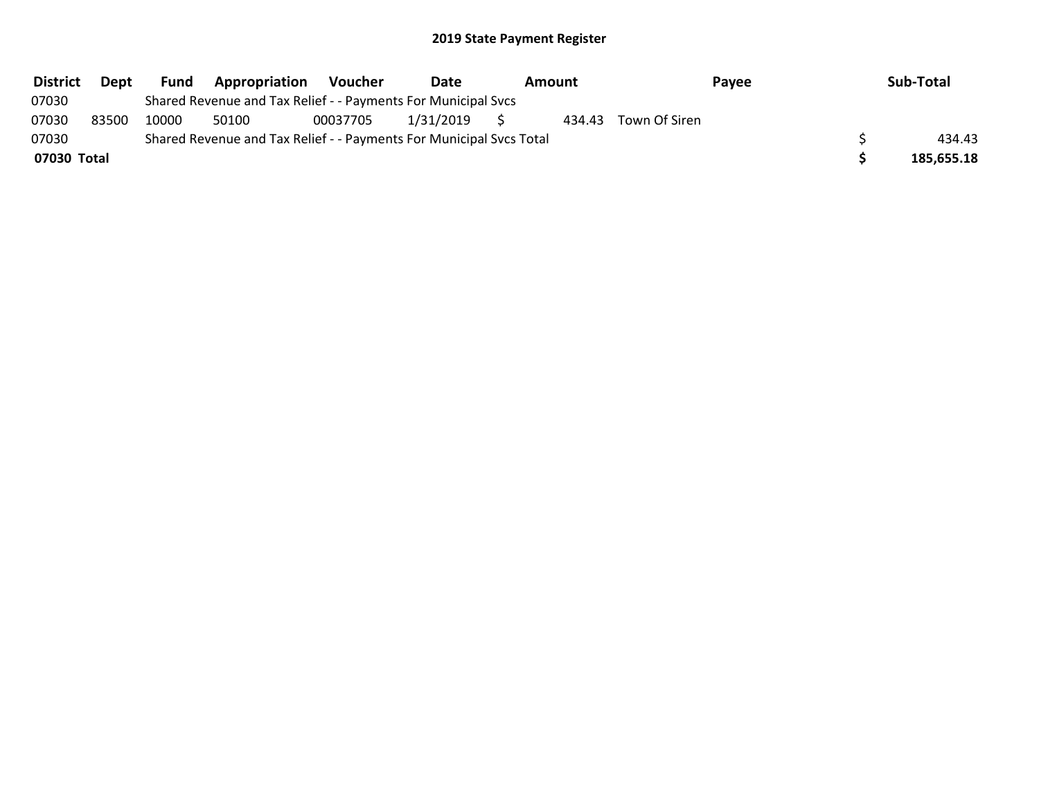| <b>District</b> | Dept  | Fund  | <b>Appropriation</b>                                                | <b>Voucher</b> | Date      | Amount |                      | Payee | Sub-Total  |
|-----------------|-------|-------|---------------------------------------------------------------------|----------------|-----------|--------|----------------------|-------|------------|
| 07030           |       |       | Shared Revenue and Tax Relief - - Payments For Municipal Svcs       |                |           |        |                      |       |            |
| 07030           | 83500 | 10000 | 50100                                                               | 00037705       | 1/31/2019 |        | 434.43 Town Of Siren |       |            |
| 07030           |       |       | Shared Revenue and Tax Relief - - Payments For Municipal Svcs Total |                |           |        |                      |       | 434.43     |
| 07030 Total     |       |       |                                                                     |                |           |        |                      |       | 185,655.18 |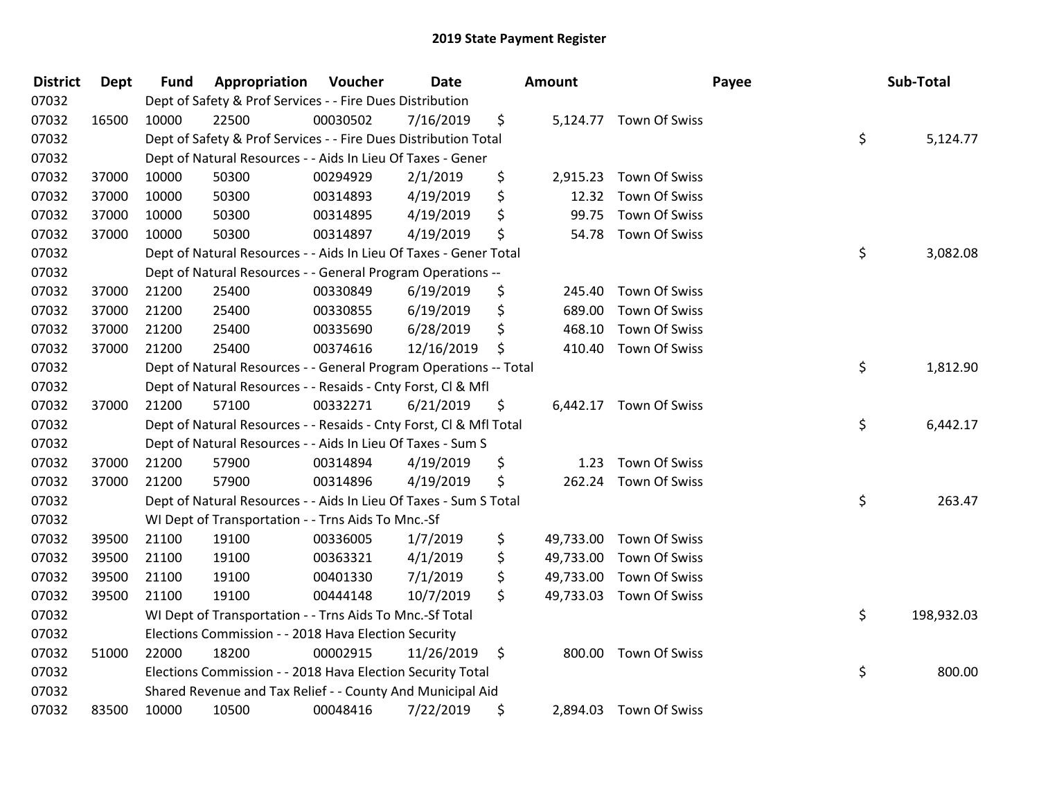| <b>District</b> | <b>Dept</b> | <b>Fund</b> | Appropriation                                                      | Voucher  | Date       | Amount          |                         | Payee | Sub-Total        |
|-----------------|-------------|-------------|--------------------------------------------------------------------|----------|------------|-----------------|-------------------------|-------|------------------|
| 07032           |             |             | Dept of Safety & Prof Services - - Fire Dues Distribution          |          |            |                 |                         |       |                  |
| 07032           | 16500       | 10000       | 22500                                                              | 00030502 | 7/16/2019  | \$              | 5,124.77 Town Of Swiss  |       |                  |
| 07032           |             |             | Dept of Safety & Prof Services - - Fire Dues Distribution Total    |          |            |                 |                         |       | \$<br>5,124.77   |
| 07032           |             |             | Dept of Natural Resources - - Aids In Lieu Of Taxes - Gener        |          |            |                 |                         |       |                  |
| 07032           | 37000       | 10000       | 50300                                                              | 00294929 | 2/1/2019   | \$              | 2,915.23 Town Of Swiss  |       |                  |
| 07032           | 37000       | 10000       | 50300                                                              | 00314893 | 4/19/2019  | \$<br>12.32     | <b>Town Of Swiss</b>    |       |                  |
| 07032           | 37000       | 10000       | 50300                                                              | 00314895 | 4/19/2019  | \$<br>99.75     | Town Of Swiss           |       |                  |
| 07032           | 37000       | 10000       | 50300                                                              | 00314897 | 4/19/2019  | \$              | 54.78 Town Of Swiss     |       |                  |
| 07032           |             |             | Dept of Natural Resources - - Aids In Lieu Of Taxes - Gener Total  |          |            |                 |                         |       | \$<br>3,082.08   |
| 07032           |             |             | Dept of Natural Resources - - General Program Operations --        |          |            |                 |                         |       |                  |
| 07032           | 37000       | 21200       | 25400                                                              | 00330849 | 6/19/2019  | \$<br>245.40    | Town Of Swiss           |       |                  |
| 07032           | 37000       | 21200       | 25400                                                              | 00330855 | 6/19/2019  | \$<br>689.00    | Town Of Swiss           |       |                  |
| 07032           | 37000       | 21200       | 25400                                                              | 00335690 | 6/28/2019  | \$<br>468.10    | Town Of Swiss           |       |                  |
| 07032           | 37000       | 21200       | 25400                                                              | 00374616 | 12/16/2019 | \$<br>410.40    | Town Of Swiss           |       |                  |
| 07032           |             |             | Dept of Natural Resources - - General Program Operations -- Total  |          |            |                 |                         |       | \$<br>1,812.90   |
| 07032           |             |             | Dept of Natural Resources - - Resaids - Cnty Forst, Cl & Mfl       |          |            |                 |                         |       |                  |
| 07032           | 37000       | 21200       | 57100                                                              | 00332271 | 6/21/2019  | \$              | 6,442.17 Town Of Swiss  |       |                  |
| 07032           |             |             | Dept of Natural Resources - - Resaids - Cnty Forst, CI & Mfl Total |          |            |                 |                         |       | \$<br>6,442.17   |
| 07032           |             |             | Dept of Natural Resources - - Aids In Lieu Of Taxes - Sum S        |          |            |                 |                         |       |                  |
| 07032           | 37000       | 21200       | 57900                                                              | 00314894 | 4/19/2019  | \$<br>1.23      | Town Of Swiss           |       |                  |
| 07032           | 37000       | 21200       | 57900                                                              | 00314896 | 4/19/2019  | \$<br>262.24    | Town Of Swiss           |       |                  |
| 07032           |             |             | Dept of Natural Resources - - Aids In Lieu Of Taxes - Sum S Total  |          |            |                 |                         |       | \$<br>263.47     |
| 07032           |             |             | WI Dept of Transportation - - Trns Aids To Mnc.-Sf                 |          |            |                 |                         |       |                  |
| 07032           | 39500       | 21100       | 19100                                                              | 00336005 | 1/7/2019   | \$<br>49,733.00 | Town Of Swiss           |       |                  |
| 07032           | 39500       | 21100       | 19100                                                              | 00363321 | 4/1/2019   | \$<br>49,733.00 | <b>Town Of Swiss</b>    |       |                  |
| 07032           | 39500       | 21100       | 19100                                                              | 00401330 | 7/1/2019   | \$<br>49,733.00 | Town Of Swiss           |       |                  |
| 07032           | 39500       | 21100       | 19100                                                              | 00444148 | 10/7/2019  | \$              | 49,733.03 Town Of Swiss |       |                  |
| 07032           |             |             | WI Dept of Transportation - - Trns Aids To Mnc.-Sf Total           |          |            |                 |                         |       | \$<br>198,932.03 |
| 07032           |             |             | Elections Commission - - 2018 Hava Election Security               |          |            |                 |                         |       |                  |
| 07032           | 51000       | 22000       | 18200                                                              | 00002915 | 11/26/2019 | \$              | 800.00 Town Of Swiss    |       |                  |
| 07032           |             |             | Elections Commission - - 2018 Hava Election Security Total         |          |            |                 |                         |       | \$<br>800.00     |
| 07032           |             |             | Shared Revenue and Tax Relief - - County And Municipal Aid         |          |            |                 |                         |       |                  |
| 07032           | 83500       | 10000       | 10500                                                              | 00048416 | 7/22/2019  | \$              | 2,894.03 Town Of Swiss  |       |                  |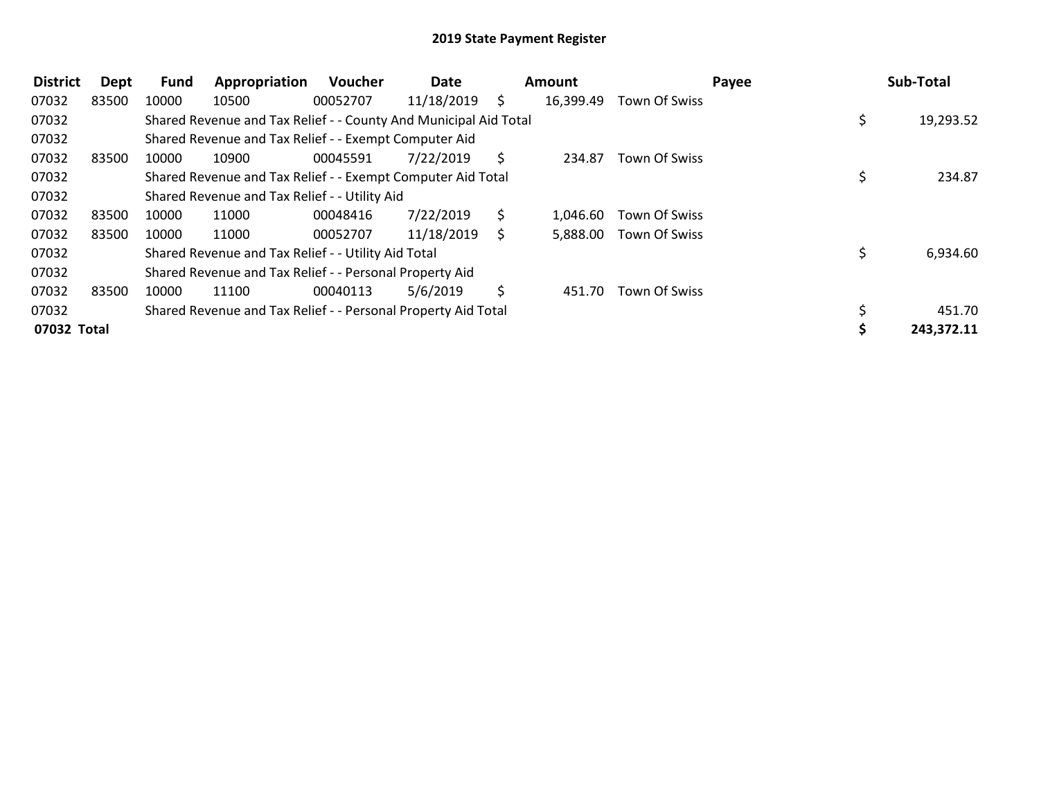| <b>District</b> | Dept  | Fund  | Appropriation                                                    | Voucher  | Date       |    | <b>Amount</b> |               | Payee | Sub-Total  |
|-----------------|-------|-------|------------------------------------------------------------------|----------|------------|----|---------------|---------------|-------|------------|
| 07032           | 83500 | 10000 | 10500                                                            | 00052707 | 11/18/2019 | S. | 16,399.49     | Town Of Swiss |       |            |
| 07032           |       |       | Shared Revenue and Tax Relief - - County And Municipal Aid Total |          |            |    |               |               |       | 19,293.52  |
| 07032           |       |       | Shared Revenue and Tax Relief - - Exempt Computer Aid            |          |            |    |               |               |       |            |
| 07032           | 83500 | 10000 | 10900                                                            | 00045591 | 7/22/2019  | S  | 234.87        | Town Of Swiss |       |            |
| 07032           |       |       | Shared Revenue and Tax Relief - - Exempt Computer Aid Total      |          |            |    |               |               |       | 234.87     |
| 07032           |       |       | Shared Revenue and Tax Relief - - Utility Aid                    |          |            |    |               |               |       |            |
| 07032           | 83500 | 10000 | 11000                                                            | 00048416 | 7/22/2019  | S  | 1,046.60      | Town Of Swiss |       |            |
| 07032           | 83500 | 10000 | 11000                                                            | 00052707 | 11/18/2019 | S  | 5,888.00      | Town Of Swiss |       |            |
| 07032           |       |       | Shared Revenue and Tax Relief - - Utility Aid Total              |          |            |    |               |               |       | 6,934.60   |
| 07032           |       |       | Shared Revenue and Tax Relief - - Personal Property Aid          |          |            |    |               |               |       |            |
| 07032           | 83500 | 10000 | 11100                                                            | 00040113 | 5/6/2019   | S. | 451.70        | Town Of Swiss |       |            |
| 07032           |       |       | Shared Revenue and Tax Relief - - Personal Property Aid Total    |          |            |    |               |               |       | 451.70     |
| 07032 Total     |       |       |                                                                  |          |            |    |               |               |       | 243,372.11 |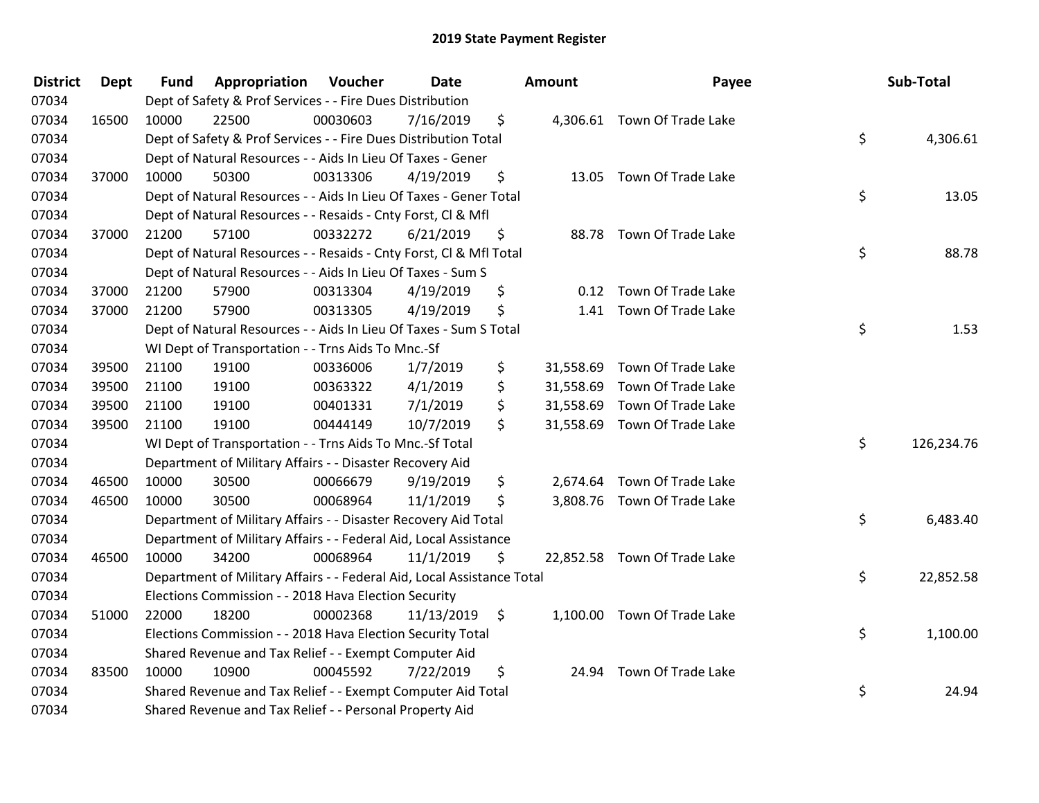| <b>District</b> | <b>Dept</b> | <b>Fund</b> | <b>Appropriation Voucher</b>                                           |          | <b>Date</b> | <b>Amount</b>   | Payee                        | Sub-Total        |
|-----------------|-------------|-------------|------------------------------------------------------------------------|----------|-------------|-----------------|------------------------------|------------------|
| 07034           |             |             | Dept of Safety & Prof Services - - Fire Dues Distribution              |          |             |                 |                              |                  |
| 07034           | 16500       | 10000       | 22500                                                                  | 00030603 | 7/16/2019   | \$              | 4,306.61 Town Of Trade Lake  |                  |
| 07034           |             |             | Dept of Safety & Prof Services - - Fire Dues Distribution Total        |          |             |                 |                              | \$<br>4,306.61   |
| 07034           |             |             | Dept of Natural Resources - - Aids In Lieu Of Taxes - Gener            |          |             |                 |                              |                  |
| 07034           | 37000       | 10000       | 50300                                                                  | 00313306 | 4/19/2019   | \$<br>13.05     | Town Of Trade Lake           |                  |
| 07034           |             |             | Dept of Natural Resources - - Aids In Lieu Of Taxes - Gener Total      |          |             |                 |                              | \$<br>13.05      |
| 07034           |             |             | Dept of Natural Resources - - Resaids - Cnty Forst, Cl & Mfl           |          |             |                 |                              |                  |
| 07034           | 37000       | 21200       | 57100                                                                  | 00332272 | 6/21/2019   | \$              | 88.78 Town Of Trade Lake     |                  |
| 07034           |             |             | Dept of Natural Resources - - Resaids - Cnty Forst, Cl & Mfl Total     |          |             |                 |                              | \$<br>88.78      |
| 07034           |             |             | Dept of Natural Resources - - Aids In Lieu Of Taxes - Sum S            |          |             |                 |                              |                  |
| 07034           | 37000       | 21200       | 57900                                                                  | 00313304 | 4/19/2019   | \$              | 0.12 Town Of Trade Lake      |                  |
| 07034           | 37000       | 21200       | 57900                                                                  | 00313305 | 4/19/2019   | \$              | 1.41 Town Of Trade Lake      |                  |
| 07034           |             |             | Dept of Natural Resources - - Aids In Lieu Of Taxes - Sum S Total      |          |             |                 |                              | \$<br>1.53       |
| 07034           |             |             | WI Dept of Transportation - - Trns Aids To Mnc.-Sf                     |          |             |                 |                              |                  |
| 07034           | 39500       | 21100       | 19100                                                                  | 00336006 | 1/7/2019    | \$<br>31,558.69 | Town Of Trade Lake           |                  |
| 07034           | 39500       | 21100       | 19100                                                                  | 00363322 | 4/1/2019    | \$<br>31,558.69 | Town Of Trade Lake           |                  |
| 07034           | 39500       | 21100       | 19100                                                                  | 00401331 | 7/1/2019    | \$<br>31,558.69 | Town Of Trade Lake           |                  |
| 07034           | 39500       | 21100       | 19100                                                                  | 00444149 | 10/7/2019   | \$              | 31,558.69 Town Of Trade Lake |                  |
| 07034           |             |             | WI Dept of Transportation - - Trns Aids To Mnc.-Sf Total               |          |             |                 |                              | \$<br>126,234.76 |
| 07034           |             |             | Department of Military Affairs - - Disaster Recovery Aid               |          |             |                 |                              |                  |
| 07034           | 46500       | 10000       | 30500                                                                  | 00066679 | 9/19/2019   | \$              | 2,674.64 Town Of Trade Lake  |                  |
| 07034           | 46500       | 10000       | 30500                                                                  | 00068964 | 11/1/2019   | \$              | 3,808.76 Town Of Trade Lake  |                  |
| 07034           |             |             | Department of Military Affairs - - Disaster Recovery Aid Total         |          |             |                 |                              | \$<br>6,483.40   |
| 07034           |             |             | Department of Military Affairs - - Federal Aid, Local Assistance       |          |             |                 |                              |                  |
| 07034           | 46500       | 10000       | 34200                                                                  | 00068964 | 11/1/2019   | \$              | 22,852.58 Town Of Trade Lake |                  |
| 07034           |             |             | Department of Military Affairs - - Federal Aid, Local Assistance Total |          |             |                 |                              | \$<br>22,852.58  |
| 07034           |             |             | Elections Commission - - 2018 Hava Election Security                   |          |             |                 |                              |                  |
| 07034           | 51000       | 22000       | 18200                                                                  | 00002368 | 11/13/2019  | \$              | 1,100.00 Town Of Trade Lake  |                  |
| 07034           |             |             | Elections Commission - - 2018 Hava Election Security Total             |          |             |                 |                              | \$<br>1,100.00   |
| 07034           |             |             | Shared Revenue and Tax Relief - - Exempt Computer Aid                  |          |             |                 |                              |                  |
| 07034           | 83500       | 10000       | 10900                                                                  | 00045592 | 7/22/2019   | \$              | 24.94 Town Of Trade Lake     |                  |
| 07034           |             |             | Shared Revenue and Tax Relief - - Exempt Computer Aid Total            |          |             |                 |                              | \$<br>24.94      |
| 07034           |             |             | Shared Revenue and Tax Relief - - Personal Property Aid                |          |             |                 |                              |                  |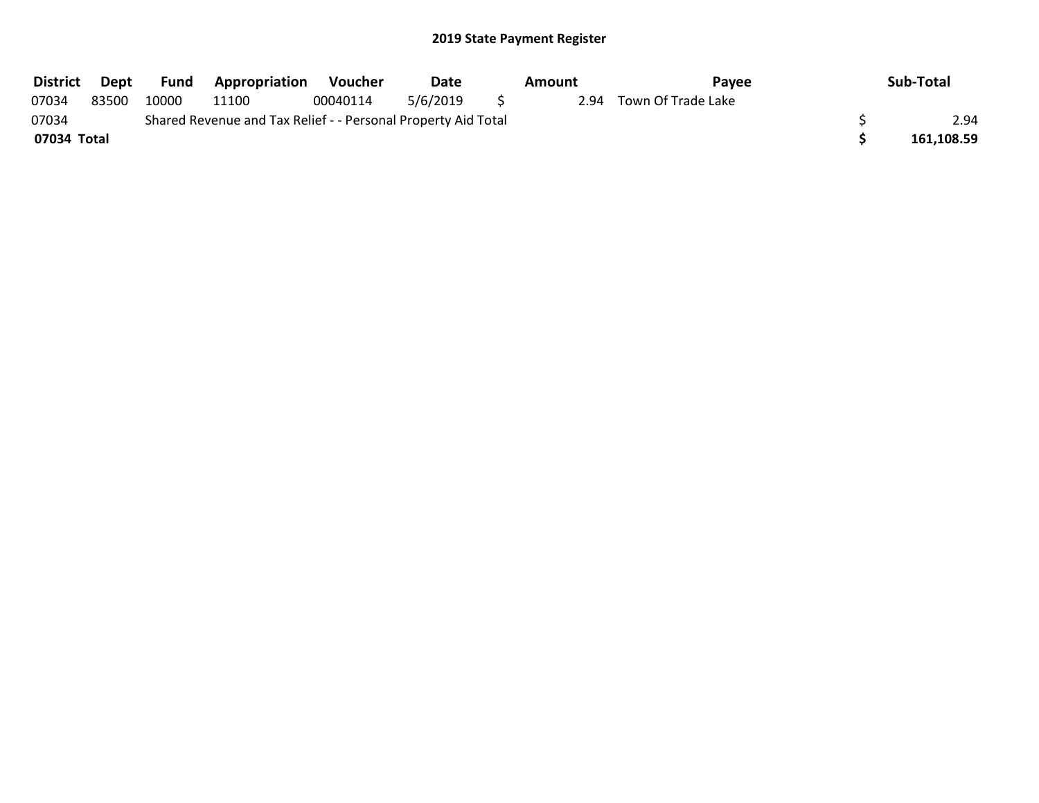| <b>District</b> | Dept  | <b>Fund</b> | Appropriation                                                 | Voucher  | <b>Date</b> | Amount | Pavee              | Sub-Total  |
|-----------------|-------|-------------|---------------------------------------------------------------|----------|-------------|--------|--------------------|------------|
| 07034           | 83500 | 10000       | 11100                                                         | 00040114 | 5/6/2019    | 2.94   | Town Of Trade Lake |            |
| 07034           |       |             | Shared Revenue and Tax Relief - - Personal Property Aid Total |          |             |        |                    | 2.94       |
| 07034 Total     |       |             |                                                               |          |             |        |                    | 161,108.59 |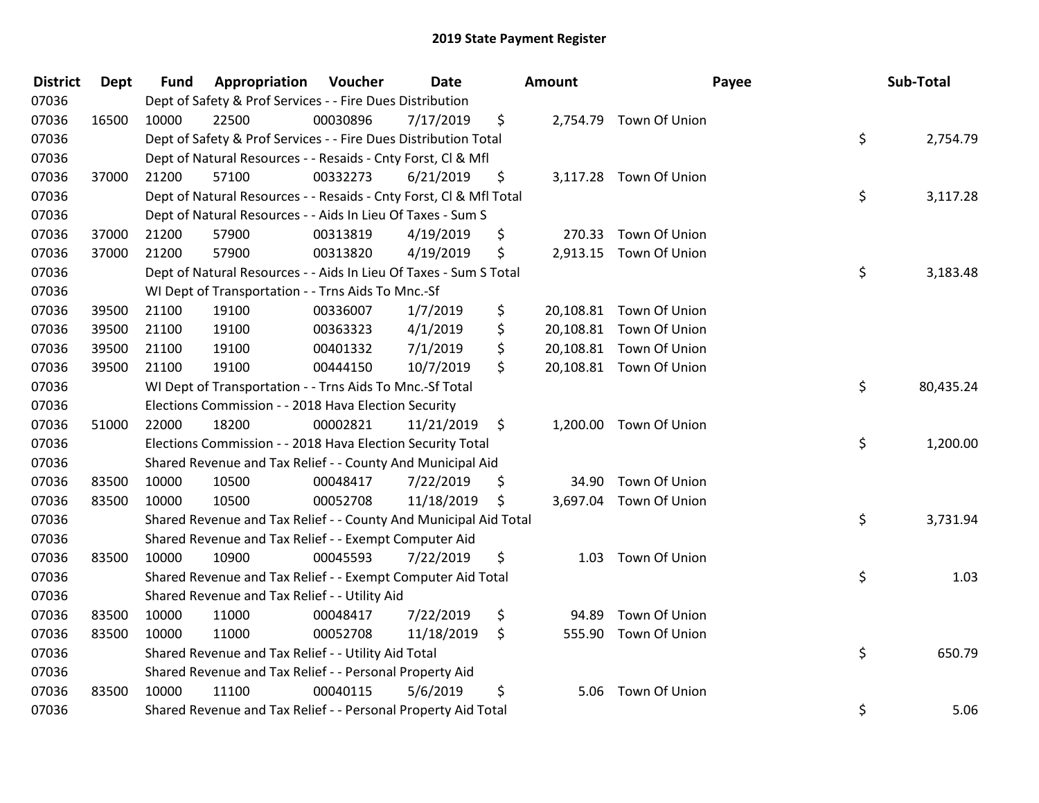| <b>District</b> | Dept  | <b>Fund</b> | Appropriation                                                      | Voucher  | <b>Date</b> | <b>Amount</b>   |                         | Payee | Sub-Total |
|-----------------|-------|-------------|--------------------------------------------------------------------|----------|-------------|-----------------|-------------------------|-------|-----------|
| 07036           |       |             | Dept of Safety & Prof Services - - Fire Dues Distribution          |          |             |                 |                         |       |           |
| 07036           | 16500 | 10000       | 22500                                                              | 00030896 | 7/17/2019   | \$              | 2,754.79 Town Of Union  |       |           |
| 07036           |       |             | Dept of Safety & Prof Services - - Fire Dues Distribution Total    |          |             |                 |                         | \$    | 2,754.79  |
| 07036           |       |             | Dept of Natural Resources - - Resaids - Cnty Forst, Cl & Mfl       |          |             |                 |                         |       |           |
| 07036           | 37000 | 21200       | 57100                                                              | 00332273 | 6/21/2019   | \$              | 3,117.28 Town Of Union  |       |           |
| 07036           |       |             | Dept of Natural Resources - - Resaids - Cnty Forst, CI & Mfl Total |          |             |                 |                         | \$    | 3,117.28  |
| 07036           |       |             | Dept of Natural Resources - - Aids In Lieu Of Taxes - Sum S        |          |             |                 |                         |       |           |
| 07036           | 37000 | 21200       | 57900                                                              | 00313819 | 4/19/2019   | \$<br>270.33    | Town Of Union           |       |           |
| 07036           | 37000 | 21200       | 57900                                                              | 00313820 | 4/19/2019   | \$              | 2,913.15 Town Of Union  |       |           |
| 07036           |       |             | Dept of Natural Resources - - Aids In Lieu Of Taxes - Sum S Total  |          |             |                 |                         | \$    | 3,183.48  |
| 07036           |       |             | WI Dept of Transportation - - Trns Aids To Mnc.-Sf                 |          |             |                 |                         |       |           |
| 07036           | 39500 | 21100       | 19100                                                              | 00336007 | 1/7/2019    | \$<br>20,108.81 | Town Of Union           |       |           |
| 07036           | 39500 | 21100       | 19100                                                              | 00363323 | 4/1/2019    | \$              | 20,108.81 Town Of Union |       |           |
| 07036           | 39500 | 21100       | 19100                                                              | 00401332 | 7/1/2019    | \$              | 20,108.81 Town Of Union |       |           |
| 07036           | 39500 | 21100       | 19100                                                              | 00444150 | 10/7/2019   | \$              | 20,108.81 Town Of Union |       |           |
| 07036           |       |             | WI Dept of Transportation - - Trns Aids To Mnc.-Sf Total           |          |             |                 |                         | \$    | 80,435.24 |
| 07036           |       |             | Elections Commission - - 2018 Hava Election Security               |          |             |                 |                         |       |           |
| 07036           | 51000 | 22000       | 18200                                                              | 00002821 | 11/21/2019  | \$              | 1,200.00 Town Of Union  |       |           |
| 07036           |       |             | Elections Commission - - 2018 Hava Election Security Total         |          |             |                 |                         | \$    | 1,200.00  |
| 07036           |       |             | Shared Revenue and Tax Relief - - County And Municipal Aid         |          |             |                 |                         |       |           |
| 07036           | 83500 | 10000       | 10500                                                              | 00048417 | 7/22/2019   | \$              | 34.90 Town Of Union     |       |           |
| 07036           | 83500 | 10000       | 10500                                                              | 00052708 | 11/18/2019  | \$              | 3,697.04 Town Of Union  |       |           |
| 07036           |       |             | Shared Revenue and Tax Relief - - County And Municipal Aid Total   |          |             |                 |                         | \$    | 3,731.94  |
| 07036           |       |             | Shared Revenue and Tax Relief - - Exempt Computer Aid              |          |             |                 |                         |       |           |
| 07036           | 83500 | 10000       | 10900                                                              | 00045593 | 7/22/2019   | \$<br>1.03      | Town Of Union           |       |           |
| 07036           |       |             | Shared Revenue and Tax Relief - - Exempt Computer Aid Total        |          |             |                 |                         | \$    | 1.03      |
| 07036           |       |             | Shared Revenue and Tax Relief - - Utility Aid                      |          |             |                 |                         |       |           |
| 07036           | 83500 | 10000       | 11000                                                              | 00048417 | 7/22/2019   | \$<br>94.89     | Town Of Union           |       |           |
| 07036           | 83500 | 10000       | 11000                                                              | 00052708 | 11/18/2019  | \$              | 555.90 Town Of Union    |       |           |
| 07036           |       |             | Shared Revenue and Tax Relief - - Utility Aid Total                |          |             |                 |                         | \$    | 650.79    |
| 07036           |       |             | Shared Revenue and Tax Relief - - Personal Property Aid            |          |             |                 |                         |       |           |
| 07036           | 83500 | 10000       | 11100                                                              | 00040115 | 5/6/2019    | \$<br>5.06      | Town Of Union           |       |           |
| 07036           |       |             | Shared Revenue and Tax Relief - - Personal Property Aid Total      |          |             |                 |                         | \$    | 5.06      |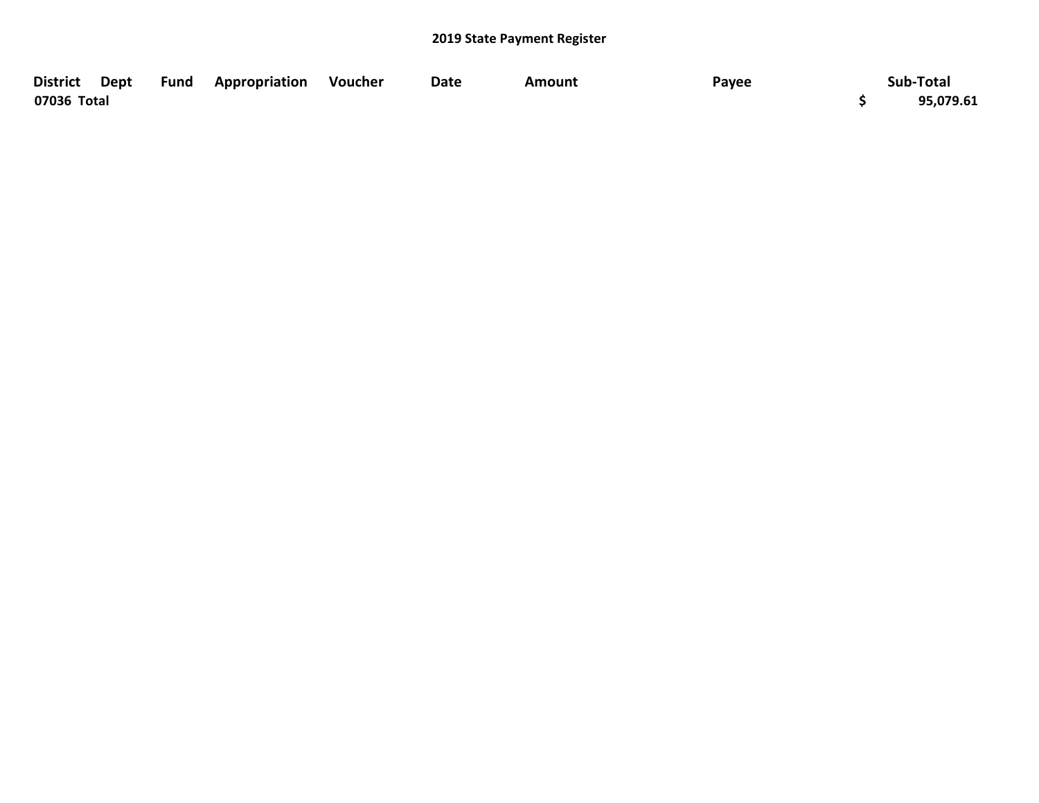| District Dept Fund Appropriation Voucher |  | <b>Date</b> | <b>Amount</b> | Payee | Sub-Total |
|------------------------------------------|--|-------------|---------------|-------|-----------|
| 07036 Total                              |  |             |               |       | 95,079.61 |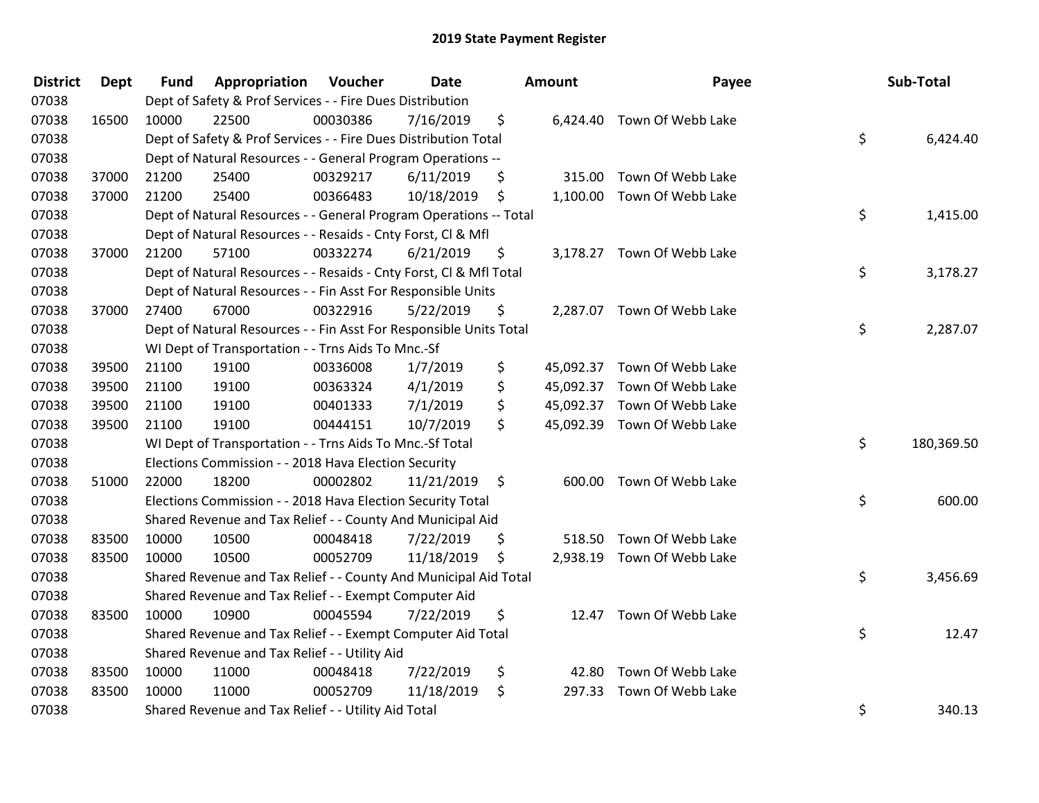| <b>District</b> | <b>Dept</b> | <b>Fund</b> | Appropriation                                                      | Voucher  | Date       | <b>Amount</b> | Payee                       | Sub-Total        |
|-----------------|-------------|-------------|--------------------------------------------------------------------|----------|------------|---------------|-----------------------------|------------------|
| 07038           |             |             | Dept of Safety & Prof Services - - Fire Dues Distribution          |          |            |               |                             |                  |
| 07038           | 16500       | 10000       | 22500                                                              | 00030386 | 7/16/2019  | \$            | 6,424.40 Town Of Webb Lake  |                  |
| 07038           |             |             | Dept of Safety & Prof Services - - Fire Dues Distribution Total    |          |            |               |                             | \$<br>6,424.40   |
| 07038           |             |             | Dept of Natural Resources - - General Program Operations --        |          |            |               |                             |                  |
| 07038           | 37000       | 21200       | 25400                                                              | 00329217 | 6/11/2019  | \$            | 315.00 Town Of Webb Lake    |                  |
| 07038           | 37000       | 21200       | 25400                                                              | 00366483 | 10/18/2019 | \$            | 1,100.00 Town Of Webb Lake  |                  |
| 07038           |             |             | Dept of Natural Resources - - General Program Operations -- Total  |          |            |               |                             | \$<br>1,415.00   |
| 07038           |             |             | Dept of Natural Resources - - Resaids - Cnty Forst, Cl & Mfl       |          |            |               |                             |                  |
| 07038           | 37000       | 21200       | 57100                                                              | 00332274 | 6/21/2019  | \$            | 3,178.27 Town Of Webb Lake  |                  |
| 07038           |             |             | Dept of Natural Resources - - Resaids - Cnty Forst, Cl & Mfl Total |          |            |               |                             | \$<br>3,178.27   |
| 07038           |             |             | Dept of Natural Resources - - Fin Asst For Responsible Units       |          |            |               |                             |                  |
| 07038           | 37000       | 27400       | 67000                                                              | 00322916 | 5/22/2019  | \$            | 2,287.07 Town Of Webb Lake  |                  |
| 07038           |             |             | Dept of Natural Resources - - Fin Asst For Responsible Units Total |          |            |               |                             | \$<br>2,287.07   |
| 07038           |             |             | WI Dept of Transportation - - Trns Aids To Mnc.-Sf                 |          |            |               |                             |                  |
| 07038           | 39500       | 21100       | 19100                                                              | 00336008 | 1/7/2019   | \$            | 45,092.37 Town Of Webb Lake |                  |
| 07038           | 39500       | 21100       | 19100                                                              | 00363324 | 4/1/2019   | \$            | 45,092.37 Town Of Webb Lake |                  |
| 07038           | 39500       | 21100       | 19100                                                              | 00401333 | 7/1/2019   | \$            | 45,092.37 Town Of Webb Lake |                  |
| 07038           | 39500       | 21100       | 19100                                                              | 00444151 | 10/7/2019  | \$            | 45,092.39 Town Of Webb Lake |                  |
| 07038           |             |             | WI Dept of Transportation - - Trns Aids To Mnc.-Sf Total           |          |            |               |                             | \$<br>180,369.50 |
| 07038           |             |             | Elections Commission - - 2018 Hava Election Security               |          |            |               |                             |                  |
| 07038           | 51000       | 22000       | 18200                                                              | 00002802 | 11/21/2019 | \$            | 600.00 Town Of Webb Lake    |                  |
| 07038           |             |             | Elections Commission - - 2018 Hava Election Security Total         |          |            |               |                             | \$<br>600.00     |
| 07038           |             |             | Shared Revenue and Tax Relief - - County And Municipal Aid         |          |            |               |                             |                  |
| 07038           | 83500       | 10000       | 10500                                                              | 00048418 | 7/22/2019  | \$            | 518.50 Town Of Webb Lake    |                  |
| 07038           | 83500       | 10000       | 10500                                                              | 00052709 | 11/18/2019 | \$            | 2,938.19 Town Of Webb Lake  |                  |
| 07038           |             |             | Shared Revenue and Tax Relief - - County And Municipal Aid Total   |          |            |               |                             | \$<br>3,456.69   |
| 07038           |             |             | Shared Revenue and Tax Relief - - Exempt Computer Aid              |          |            |               |                             |                  |
| 07038           | 83500       | 10000       | 10900                                                              | 00045594 | 7/22/2019  | \$            | 12.47 Town Of Webb Lake     |                  |
| 07038           |             |             | Shared Revenue and Tax Relief - - Exempt Computer Aid Total        |          |            |               |                             | \$<br>12.47      |
| 07038           |             |             | Shared Revenue and Tax Relief - - Utility Aid                      |          |            |               |                             |                  |
| 07038           | 83500       | 10000       | 11000                                                              | 00048418 | 7/22/2019  | \$<br>42.80   | Town Of Webb Lake           |                  |
| 07038           | 83500       | 10000       | 11000                                                              | 00052709 | 11/18/2019 | \$<br>297.33  | Town Of Webb Lake           |                  |
| 07038           |             |             | Shared Revenue and Tax Relief - - Utility Aid Total                |          |            |               |                             | \$<br>340.13     |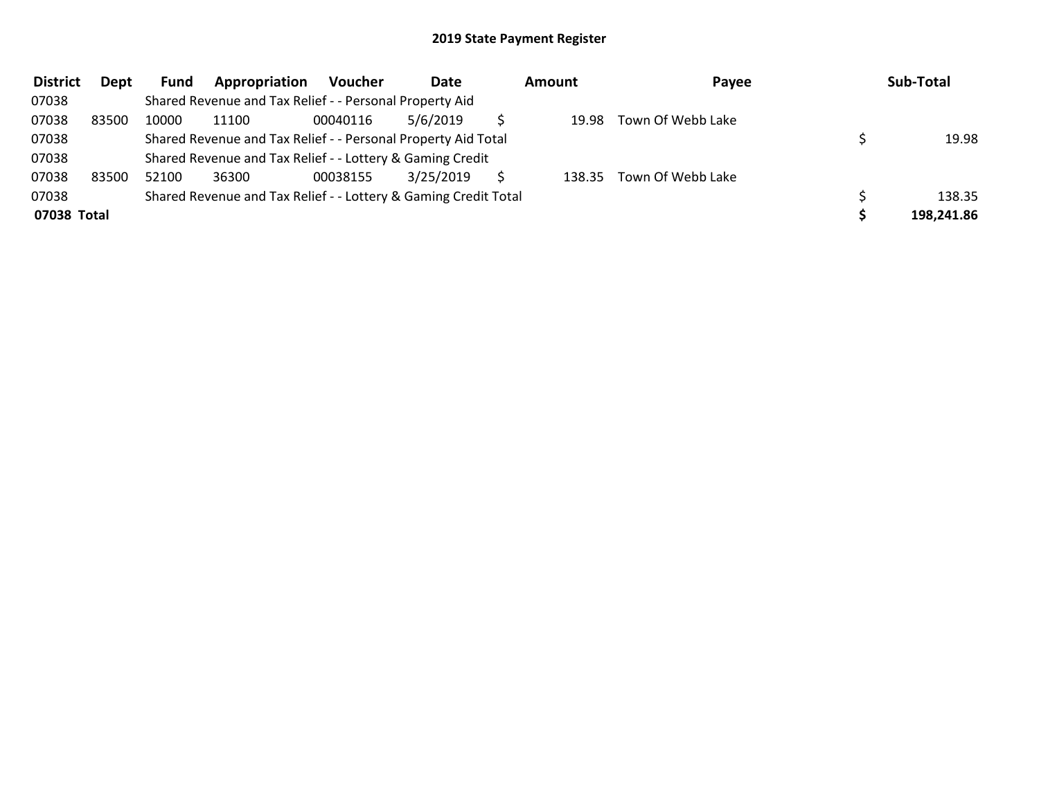| <b>District</b> | Dept  | Fund  | Appropriation                                                   | <b>Voucher</b> | Date      | Amount | Payee             | Sub-Total  |
|-----------------|-------|-------|-----------------------------------------------------------------|----------------|-----------|--------|-------------------|------------|
| 07038           |       |       | Shared Revenue and Tax Relief - - Personal Property Aid         |                |           |        |                   |            |
| 07038           | 83500 | 10000 | 11100                                                           | 00040116       | 5/6/2019  | 19.98  | Town Of Webb Lake |            |
| 07038           |       |       | Shared Revenue and Tax Relief - - Personal Property Aid Total   |                |           |        |                   | 19.98      |
| 07038           |       |       | Shared Revenue and Tax Relief - - Lottery & Gaming Credit       |                |           |        |                   |            |
| 07038           | 83500 | 52100 | 36300                                                           | 00038155       | 3/25/2019 | 138.35 | Town Of Webb Lake |            |
| 07038           |       |       | Shared Revenue and Tax Relief - - Lottery & Gaming Credit Total |                |           |        |                   | 138.35     |
| 07038 Total     |       |       |                                                                 |                |           |        |                   | 198,241.86 |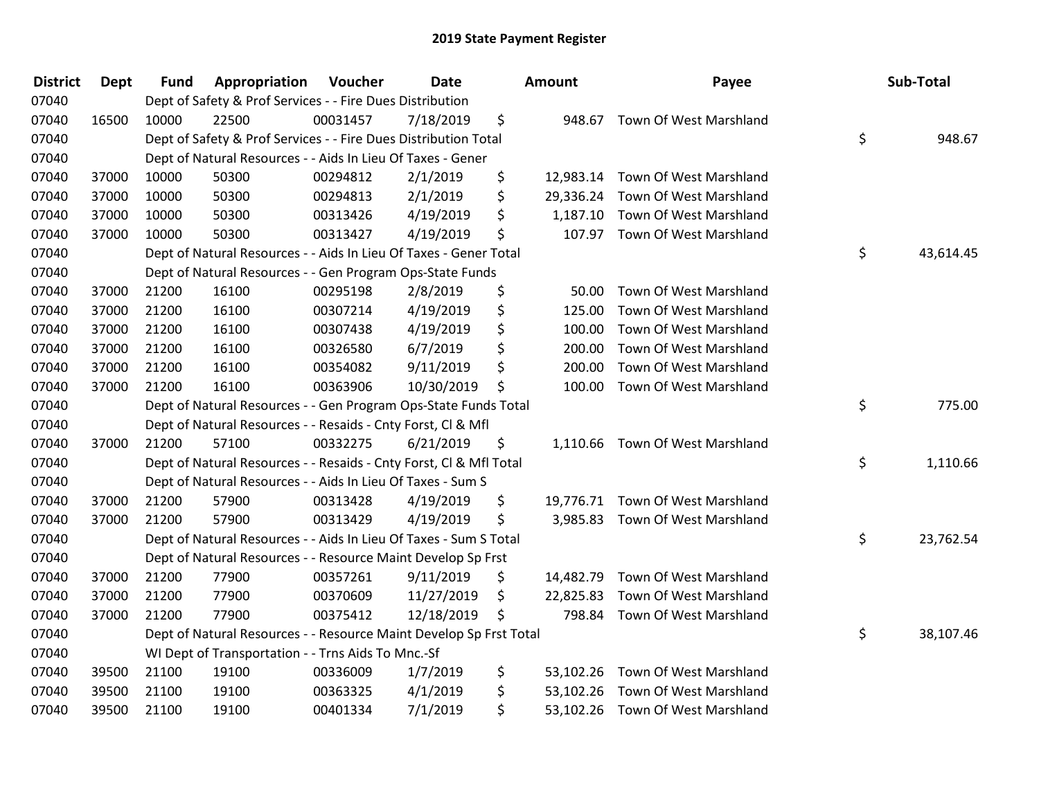| <b>District</b> | <b>Dept</b> | <b>Fund</b> | Appropriation                                                      | Voucher  | Date       | Amount          | Payee                            | Sub-Total       |
|-----------------|-------------|-------------|--------------------------------------------------------------------|----------|------------|-----------------|----------------------------------|-----------------|
| 07040           |             |             | Dept of Safety & Prof Services - - Fire Dues Distribution          |          |            |                 |                                  |                 |
| 07040           | 16500       | 10000       | 22500                                                              | 00031457 | 7/18/2019  | \$<br>948.67    | Town Of West Marshland           |                 |
| 07040           |             |             | Dept of Safety & Prof Services - - Fire Dues Distribution Total    |          |            |                 |                                  | \$<br>948.67    |
| 07040           |             |             | Dept of Natural Resources - - Aids In Lieu Of Taxes - Gener        |          |            |                 |                                  |                 |
| 07040           | 37000       | 10000       | 50300                                                              | 00294812 | 2/1/2019   | \$<br>12,983.14 | Town Of West Marshland           |                 |
| 07040           | 37000       | 10000       | 50300                                                              | 00294813 | 2/1/2019   | \$<br>29,336.24 | Town Of West Marshland           |                 |
| 07040           | 37000       | 10000       | 50300                                                              | 00313426 | 4/19/2019  | \$<br>1,187.10  | Town Of West Marshland           |                 |
| 07040           | 37000       | 10000       | 50300                                                              | 00313427 | 4/19/2019  | \$              | 107.97 Town Of West Marshland    |                 |
| 07040           |             |             | Dept of Natural Resources - - Aids In Lieu Of Taxes - Gener Total  |          |            |                 |                                  | \$<br>43,614.45 |
| 07040           |             |             | Dept of Natural Resources - - Gen Program Ops-State Funds          |          |            |                 |                                  |                 |
| 07040           | 37000       | 21200       | 16100                                                              | 00295198 | 2/8/2019   | \$<br>50.00     | Town Of West Marshland           |                 |
| 07040           | 37000       | 21200       | 16100                                                              | 00307214 | 4/19/2019  | \$<br>125.00    | Town Of West Marshland           |                 |
| 07040           | 37000       | 21200       | 16100                                                              | 00307438 | 4/19/2019  | \$<br>100.00    | Town Of West Marshland           |                 |
| 07040           | 37000       | 21200       | 16100                                                              | 00326580 | 6/7/2019   | \$<br>200.00    | Town Of West Marshland           |                 |
| 07040           | 37000       | 21200       | 16100                                                              | 00354082 | 9/11/2019  | \$<br>200.00    | Town Of West Marshland           |                 |
| 07040           | 37000       | 21200       | 16100                                                              | 00363906 | 10/30/2019 | \$<br>100.00    | Town Of West Marshland           |                 |
| 07040           |             |             | Dept of Natural Resources - - Gen Program Ops-State Funds Total    |          |            |                 |                                  | \$<br>775.00    |
| 07040           |             |             | Dept of Natural Resources - - Resaids - Cnty Forst, Cl & Mfl       |          |            |                 |                                  |                 |
| 07040           | 37000       | 21200       | 57100                                                              | 00332275 | 6/21/2019  | \$              | 1,110.66 Town Of West Marshland  |                 |
| 07040           |             |             | Dept of Natural Resources - - Resaids - Cnty Forst, Cl & Mfl Total |          |            |                 |                                  | \$<br>1,110.66  |
| 07040           |             |             | Dept of Natural Resources - - Aids In Lieu Of Taxes - Sum S        |          |            |                 |                                  |                 |
| 07040           | 37000       | 21200       | 57900                                                              | 00313428 | 4/19/2019  | \$              | 19,776.71 Town Of West Marshland |                 |
| 07040           | 37000       | 21200       | 57900                                                              | 00313429 | 4/19/2019  | \$              | 3,985.83 Town Of West Marshland  |                 |
| 07040           |             |             | Dept of Natural Resources - - Aids In Lieu Of Taxes - Sum S Total  |          |            |                 |                                  | \$<br>23,762.54 |
| 07040           |             |             | Dept of Natural Resources - - Resource Maint Develop Sp Frst       |          |            |                 |                                  |                 |
| 07040           | 37000       | 21200       | 77900                                                              | 00357261 | 9/11/2019  | \$<br>14,482.79 | Town Of West Marshland           |                 |
| 07040           | 37000       | 21200       | 77900                                                              | 00370609 | 11/27/2019 | \$<br>22,825.83 | Town Of West Marshland           |                 |
| 07040           | 37000       | 21200       | 77900                                                              | 00375412 | 12/18/2019 | \$<br>798.84    | Town Of West Marshland           |                 |
| 07040           |             |             | Dept of Natural Resources - - Resource Maint Develop Sp Frst Total |          |            |                 |                                  | \$<br>38,107.46 |
| 07040           |             |             | WI Dept of Transportation - - Trns Aids To Mnc.-Sf                 |          |            |                 |                                  |                 |
| 07040           | 39500       | 21100       | 19100                                                              | 00336009 | 1/7/2019   | \$<br>53,102.26 | Town Of West Marshland           |                 |
| 07040           | 39500       | 21100       | 19100                                                              | 00363325 | 4/1/2019   | \$<br>53,102.26 | Town Of West Marshland           |                 |
| 07040           | 39500       | 21100       | 19100                                                              | 00401334 | 7/1/2019   | \$              | 53,102.26 Town Of West Marshland |                 |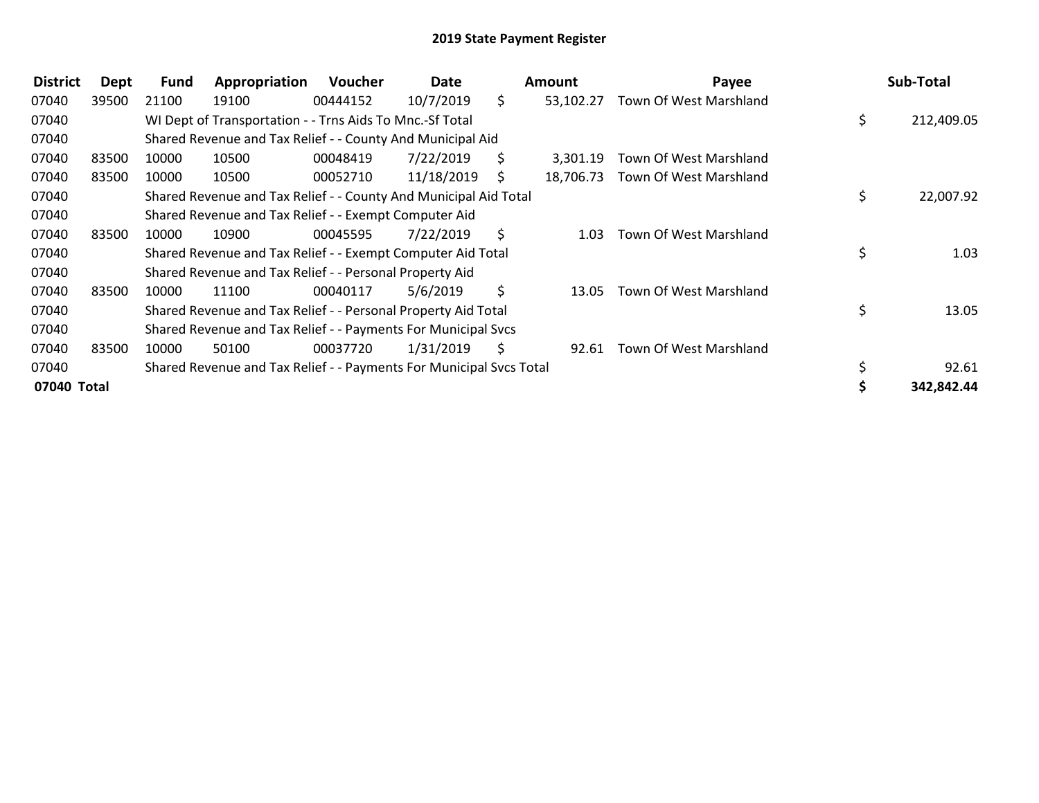| <b>District</b> | Dept  | <b>Fund</b> | Appropriation                                                       | <b>Voucher</b> | Date       |     | <b>Amount</b> | Payee                  | Sub-Total        |
|-----------------|-------|-------------|---------------------------------------------------------------------|----------------|------------|-----|---------------|------------------------|------------------|
| 07040           | 39500 | 21100       | 19100                                                               | 00444152       | 10/7/2019  | \$. | 53,102.27     | Town Of West Marshland |                  |
| 07040           |       |             | WI Dept of Transportation - - Trns Aids To Mnc.-Sf Total            |                |            |     |               |                        | \$<br>212,409.05 |
| 07040           |       |             | Shared Revenue and Tax Relief - - County And Municipal Aid          |                |            |     |               |                        |                  |
| 07040           | 83500 | 10000       | 10500                                                               | 00048419       | 7/22/2019  | S.  | 3.301.19      | Town Of West Marshland |                  |
| 07040           | 83500 | 10000       | 10500                                                               | 00052710       | 11/18/2019 | S.  | 18,706.73     | Town Of West Marshland |                  |
| 07040           |       |             | Shared Revenue and Tax Relief - - County And Municipal Aid Total    |                |            |     |               |                        | \$<br>22,007.92  |
| 07040           |       |             | Shared Revenue and Tax Relief - - Exempt Computer Aid               |                |            |     |               |                        |                  |
| 07040           | 83500 | 10000       | 10900                                                               | 00045595       | 7/22/2019  | S.  | 1.03          | Town Of West Marshland |                  |
| 07040           |       |             | Shared Revenue and Tax Relief - - Exempt Computer Aid Total         |                |            |     |               |                        | \$<br>1.03       |
| 07040           |       |             | Shared Revenue and Tax Relief - - Personal Property Aid             |                |            |     |               |                        |                  |
| 07040           | 83500 | 10000       | 11100                                                               | 00040117       | 5/6/2019   | \$  | 13.05         | Town Of West Marshland |                  |
| 07040           |       |             | Shared Revenue and Tax Relief - - Personal Property Aid Total       |                |            |     |               |                        | 13.05            |
| 07040           |       |             | Shared Revenue and Tax Relief - - Payments For Municipal Svcs       |                |            |     |               |                        |                  |
| 07040           | 83500 | 10000       | 50100                                                               | 00037720       | 1/31/2019  | S   | 92.61         | Town Of West Marshland |                  |
| 07040           |       |             | Shared Revenue and Tax Relief - - Payments For Municipal Svcs Total |                |            |     |               |                        | 92.61            |
| 07040 Total     |       |             |                                                                     |                |            |     |               |                        | 342,842.44       |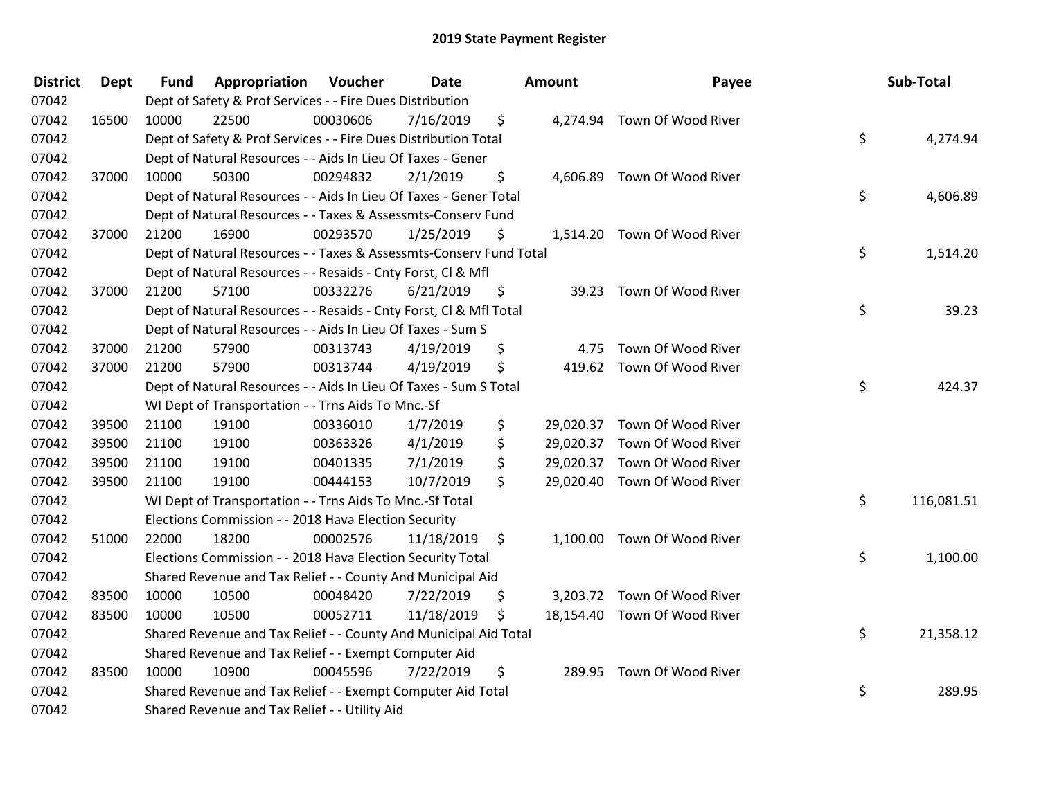| <b>District</b> | <b>Dept</b> | <b>Fund</b> | <b>Appropriation Voucher</b>                                       |          | Date       |    | Amount | Payee                        |    | Sub-Total  |
|-----------------|-------------|-------------|--------------------------------------------------------------------|----------|------------|----|--------|------------------------------|----|------------|
| 07042           |             |             | Dept of Safety & Prof Services - - Fire Dues Distribution          |          |            |    |        |                              |    |            |
| 07042           | 16500       | 10000       | 22500                                                              | 00030606 | 7/16/2019  | \$ |        | 4,274.94 Town Of Wood River  |    |            |
| 07042           |             |             | Dept of Safety & Prof Services - - Fire Dues Distribution Total    |          |            |    |        |                              | \$ | 4,274.94   |
| 07042           |             |             | Dept of Natural Resources - - Aids In Lieu Of Taxes - Gener        |          |            |    |        |                              |    |            |
| 07042           | 37000       | 10000       | 50300                                                              | 00294832 | 2/1/2019   | \$ |        | 4,606.89 Town Of Wood River  |    |            |
| 07042           |             |             | Dept of Natural Resources - - Aids In Lieu Of Taxes - Gener Total  |          |            |    |        |                              | \$ | 4,606.89   |
| 07042           |             |             | Dept of Natural Resources - - Taxes & Assessmts-Conserv Fund       |          |            |    |        |                              |    |            |
| 07042           | 37000       | 21200       | 16900                                                              | 00293570 | 1/25/2019  | \$ |        | 1,514.20 Town Of Wood River  |    |            |
| 07042           |             |             | Dept of Natural Resources - - Taxes & Assessmts-Conserv Fund Total |          |            |    |        |                              | \$ | 1,514.20   |
| 07042           |             |             | Dept of Natural Resources - - Resaids - Cnty Forst, Cl & Mfl       |          |            |    |        |                              |    |            |
| 07042           | 37000       | 21200       | 57100                                                              | 00332276 | 6/21/2019  | \$ |        | 39.23 Town Of Wood River     |    |            |
| 07042           |             |             | Dept of Natural Resources - - Resaids - Cnty Forst, Cl & Mfl Total |          |            |    |        |                              | \$ | 39.23      |
| 07042           |             |             | Dept of Natural Resources - - Aids In Lieu Of Taxes - Sum S        |          |            |    |        |                              |    |            |
| 07042           | 37000       | 21200       | 57900                                                              | 00313743 | 4/19/2019  | \$ | 4.75   | Town Of Wood River           |    |            |
| 07042           | 37000       | 21200       | 57900                                                              | 00313744 | 4/19/2019  | \$ |        | 419.62 Town Of Wood River    |    |            |
| 07042           |             |             | Dept of Natural Resources - - Aids In Lieu Of Taxes - Sum S Total  |          |            |    |        |                              | \$ | 424.37     |
| 07042           |             |             | WI Dept of Transportation - - Trns Aids To Mnc.-Sf                 |          |            |    |        |                              |    |            |
| 07042           | 39500       | 21100       | 19100                                                              | 00336010 | 1/7/2019   | \$ |        | 29,020.37 Town Of Wood River |    |            |
| 07042           | 39500       | 21100       | 19100                                                              | 00363326 | 4/1/2019   | \$ |        | 29,020.37 Town Of Wood River |    |            |
| 07042           | 39500       | 21100       | 19100                                                              | 00401335 | 7/1/2019   | \$ |        | 29,020.37 Town Of Wood River |    |            |
| 07042           | 39500       | 21100       | 19100                                                              | 00444153 | 10/7/2019  | \$ |        | 29,020.40 Town Of Wood River |    |            |
| 07042           |             |             | WI Dept of Transportation - - Trns Aids To Mnc.-Sf Total           |          |            |    |        |                              | \$ | 116,081.51 |
| 07042           |             |             | Elections Commission - - 2018 Hava Election Security               |          |            |    |        |                              |    |            |
| 07042           | 51000       | 22000       | 18200                                                              | 00002576 | 11/18/2019 | \$ |        | 1,100.00 Town Of Wood River  |    |            |
| 07042           |             |             | Elections Commission - - 2018 Hava Election Security Total         |          |            |    |        |                              | \$ | 1,100.00   |
| 07042           |             |             | Shared Revenue and Tax Relief - - County And Municipal Aid         |          |            |    |        |                              |    |            |
| 07042           | 83500       | 10000       | 10500                                                              | 00048420 | 7/22/2019  | \$ |        | 3,203.72 Town Of Wood River  |    |            |
| 07042           | 83500       | 10000       | 10500                                                              | 00052711 | 11/18/2019 | \$ |        | 18,154.40 Town Of Wood River |    |            |
| 07042           |             |             | Shared Revenue and Tax Relief - - County And Municipal Aid Total   |          |            |    |        |                              | \$ | 21,358.12  |
| 07042           |             |             | Shared Revenue and Tax Relief - - Exempt Computer Aid              |          |            |    |        |                              |    |            |
| 07042           | 83500       | 10000       | 10900                                                              | 00045596 | 7/22/2019  | \$ |        | 289.95 Town Of Wood River    |    |            |
| 07042           |             |             | Shared Revenue and Tax Relief - - Exempt Computer Aid Total        |          |            |    |        |                              | \$ | 289.95     |
| 07042           |             |             | Shared Revenue and Tax Relief - - Utility Aid                      |          |            |    |        |                              |    |            |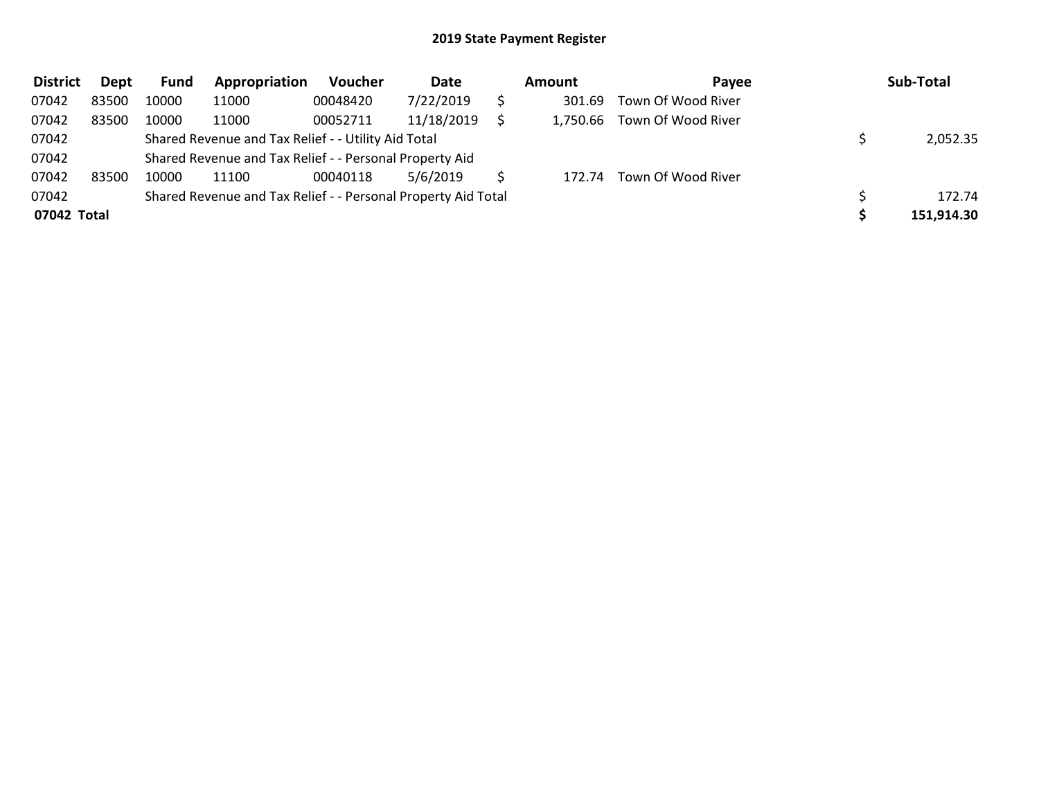| <b>District</b> | Dept  | Fund  | Appropriation                                                 | <b>Voucher</b> | Date       | Amount   | Payee              | Sub-Total  |
|-----------------|-------|-------|---------------------------------------------------------------|----------------|------------|----------|--------------------|------------|
| 07042           | 83500 | 10000 | 11000                                                         | 00048420       | 7/22/2019  | 301.69   | Town Of Wood River |            |
| 07042           | 83500 | 10000 | 11000                                                         | 00052711       | 11/18/2019 | 1,750.66 | Town Of Wood River |            |
| 07042           |       |       | Shared Revenue and Tax Relief - - Utility Aid Total           |                |            |          |                    | 2,052.35   |
| 07042           |       |       | Shared Revenue and Tax Relief - - Personal Property Aid       |                |            |          |                    |            |
| 07042           | 83500 | 10000 | 11100                                                         | 00040118       | 5/6/2019   | 172.74   | Town Of Wood River |            |
| 07042           |       |       | Shared Revenue and Tax Relief - - Personal Property Aid Total |                |            |          |                    | 172.74     |
| 07042 Total     |       |       |                                                               |                |            |          |                    | 151,914.30 |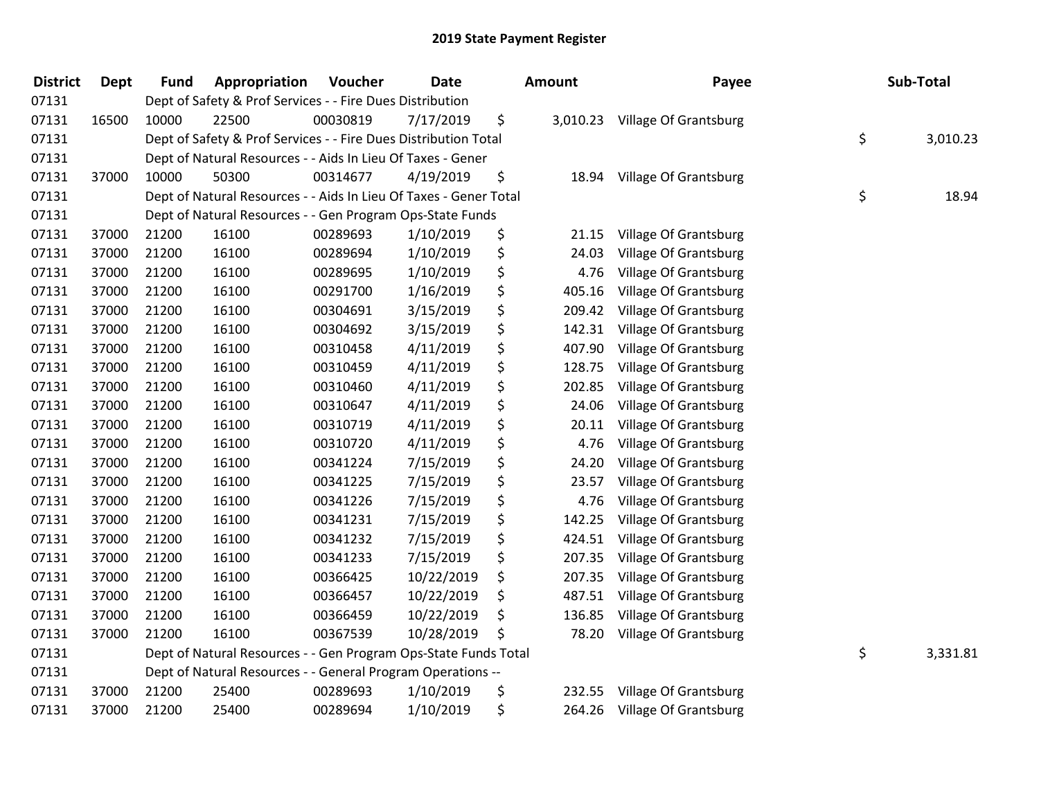| <b>District</b> | <b>Dept</b> | <b>Fund</b>                                               | Appropriation                                                     | Voucher  | <b>Date</b> |    | Amount | Payee                          | Sub-Total      |
|-----------------|-------------|-----------------------------------------------------------|-------------------------------------------------------------------|----------|-------------|----|--------|--------------------------------|----------------|
| 07131           |             |                                                           | Dept of Safety & Prof Services - - Fire Dues Distribution         |          |             |    |        |                                |                |
| 07131           | 16500       | 10000                                                     | 22500                                                             | 00030819 | 7/17/2019   | \$ |        | 3,010.23 Village Of Grantsburg |                |
| 07131           |             |                                                           | Dept of Safety & Prof Services - - Fire Dues Distribution Total   |          |             |    |        |                                | \$<br>3,010.23 |
| 07131           |             |                                                           | Dept of Natural Resources - - Aids In Lieu Of Taxes - Gener       |          |             |    |        |                                |                |
| 07131           | 37000       | 10000                                                     | 50300                                                             | 00314677 | 4/19/2019   | \$ | 18.94  | Village Of Grantsburg          |                |
| 07131           |             |                                                           | Dept of Natural Resources - - Aids In Lieu Of Taxes - Gener Total |          |             |    |        |                                | \$<br>18.94    |
| 07131           |             | Dept of Natural Resources - - Gen Program Ops-State Funds |                                                                   |          |             |    |        |                                |                |
| 07131           | 37000       | 21200                                                     | 16100                                                             | 00289693 | 1/10/2019   | \$ | 21.15  | Village Of Grantsburg          |                |
| 07131           | 37000       | 21200                                                     | 16100                                                             | 00289694 | 1/10/2019   | \$ | 24.03  | Village Of Grantsburg          |                |
| 07131           | 37000       | 21200                                                     | 16100                                                             | 00289695 | 1/10/2019   | \$ | 4.76   | Village Of Grantsburg          |                |
| 07131           | 37000       | 21200                                                     | 16100                                                             | 00291700 | 1/16/2019   | \$ | 405.16 | Village Of Grantsburg          |                |
| 07131           | 37000       | 21200                                                     | 16100                                                             | 00304691 | 3/15/2019   | \$ | 209.42 | Village Of Grantsburg          |                |
| 07131           | 37000       | 21200                                                     | 16100                                                             | 00304692 | 3/15/2019   | \$ | 142.31 | Village Of Grantsburg          |                |
| 07131           | 37000       | 21200                                                     | 16100                                                             | 00310458 | 4/11/2019   | \$ | 407.90 | Village Of Grantsburg          |                |
| 07131           | 37000       | 21200                                                     | 16100                                                             | 00310459 | 4/11/2019   | \$ | 128.75 | Village Of Grantsburg          |                |
| 07131           | 37000       | 21200                                                     | 16100                                                             | 00310460 | 4/11/2019   | \$ | 202.85 | Village Of Grantsburg          |                |
| 07131           | 37000       | 21200                                                     | 16100                                                             | 00310647 | 4/11/2019   | \$ | 24.06  | Village Of Grantsburg          |                |
| 07131           | 37000       | 21200                                                     | 16100                                                             | 00310719 | 4/11/2019   | \$ | 20.11  | Village Of Grantsburg          |                |
| 07131           | 37000       | 21200                                                     | 16100                                                             | 00310720 | 4/11/2019   | \$ | 4.76   | Village Of Grantsburg          |                |
| 07131           | 37000       | 21200                                                     | 16100                                                             | 00341224 | 7/15/2019   | \$ | 24.20  | Village Of Grantsburg          |                |
| 07131           | 37000       | 21200                                                     | 16100                                                             | 00341225 | 7/15/2019   | \$ | 23.57  | Village Of Grantsburg          |                |
| 07131           | 37000       | 21200                                                     | 16100                                                             | 00341226 | 7/15/2019   | \$ | 4.76   | Village Of Grantsburg          |                |
| 07131           | 37000       | 21200                                                     | 16100                                                             | 00341231 | 7/15/2019   | \$ | 142.25 | Village Of Grantsburg          |                |
| 07131           | 37000       | 21200                                                     | 16100                                                             | 00341232 | 7/15/2019   | \$ | 424.51 | Village Of Grantsburg          |                |
| 07131           | 37000       | 21200                                                     | 16100                                                             | 00341233 | 7/15/2019   | \$ | 207.35 | Village Of Grantsburg          |                |
| 07131           | 37000       | 21200                                                     | 16100                                                             | 00366425 | 10/22/2019  | \$ | 207.35 | Village Of Grantsburg          |                |
| 07131           | 37000       | 21200                                                     | 16100                                                             | 00366457 | 10/22/2019  | \$ | 487.51 | Village Of Grantsburg          |                |
| 07131           | 37000       | 21200                                                     | 16100                                                             | 00366459 | 10/22/2019  | \$ | 136.85 | Village Of Grantsburg          |                |
| 07131           | 37000       | 21200                                                     | 16100                                                             | 00367539 | 10/28/2019  | \$ | 78.20  | Village Of Grantsburg          |                |
| 07131           |             |                                                           | Dept of Natural Resources - - Gen Program Ops-State Funds Total   |          |             |    |        |                                | \$<br>3,331.81 |
| 07131           |             |                                                           | Dept of Natural Resources - - General Program Operations --       |          |             |    |        |                                |                |
| 07131           | 37000       | 21200                                                     | 25400                                                             | 00289693 | 1/10/2019   | \$ | 232.55 | Village Of Grantsburg          |                |
| 07131           | 37000       | 21200                                                     | 25400                                                             | 00289694 | 1/10/2019   | \$ | 264.26 | <b>Village Of Grantsburg</b>   |                |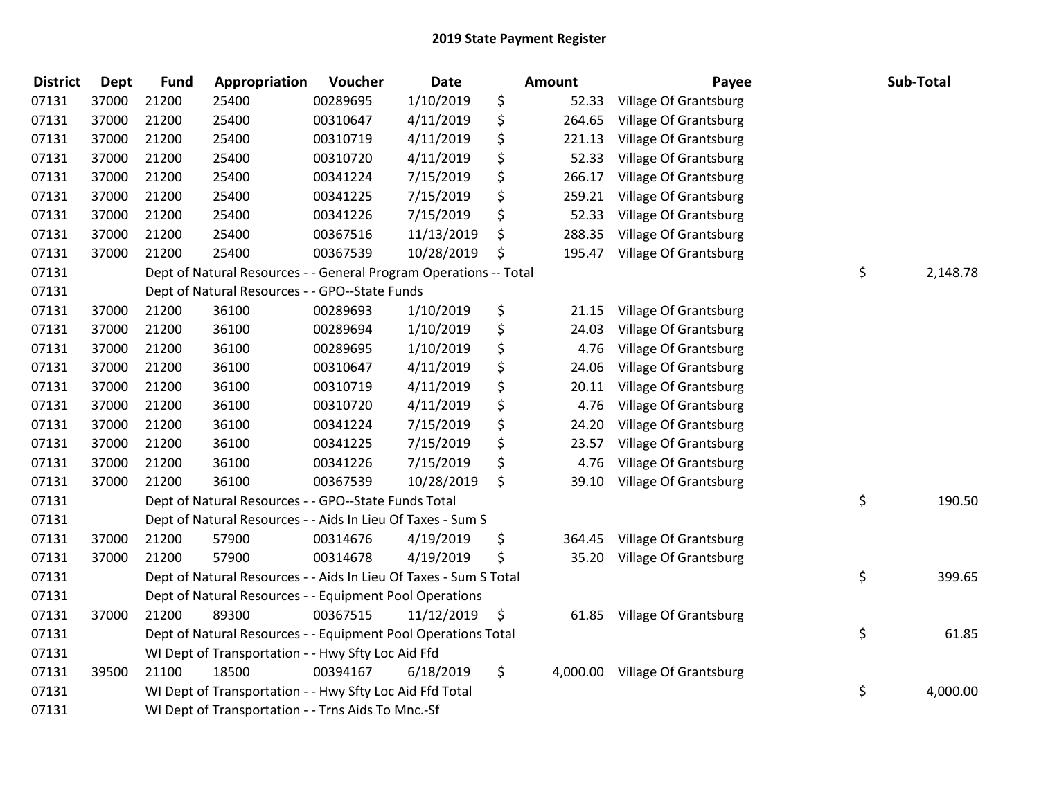| <b>District</b> | <b>Dept</b> | <b>Fund</b> | Appropriation                                                     | Voucher  | <b>Date</b> | Amount         | Payee                        | Sub-Total      |
|-----------------|-------------|-------------|-------------------------------------------------------------------|----------|-------------|----------------|------------------------------|----------------|
| 07131           | 37000       | 21200       | 25400                                                             | 00289695 | 1/10/2019   | \$<br>52.33    | Village Of Grantsburg        |                |
| 07131           | 37000       | 21200       | 25400                                                             | 00310647 | 4/11/2019   | \$<br>264.65   | Village Of Grantsburg        |                |
| 07131           | 37000       | 21200       | 25400                                                             | 00310719 | 4/11/2019   | \$<br>221.13   | Village Of Grantsburg        |                |
| 07131           | 37000       | 21200       | 25400                                                             | 00310720 | 4/11/2019   | \$<br>52.33    | Village Of Grantsburg        |                |
| 07131           | 37000       | 21200       | 25400                                                             | 00341224 | 7/15/2019   | \$<br>266.17   | Village Of Grantsburg        |                |
| 07131           | 37000       | 21200       | 25400                                                             | 00341225 | 7/15/2019   | \$<br>259.21   | Village Of Grantsburg        |                |
| 07131           | 37000       | 21200       | 25400                                                             | 00341226 | 7/15/2019   | \$<br>52.33    | Village Of Grantsburg        |                |
| 07131           | 37000       | 21200       | 25400                                                             | 00367516 | 11/13/2019  | \$<br>288.35   | Village Of Grantsburg        |                |
| 07131           | 37000       | 21200       | 25400                                                             | 00367539 | 10/28/2019  | \$<br>195.47   | Village Of Grantsburg        |                |
| 07131           |             |             | Dept of Natural Resources - - General Program Operations -- Total |          |             |                |                              | \$<br>2,148.78 |
| 07131           |             |             | Dept of Natural Resources - - GPO--State Funds                    |          |             |                |                              |                |
| 07131           | 37000       | 21200       | 36100                                                             | 00289693 | 1/10/2019   | \$<br>21.15    | Village Of Grantsburg        |                |
| 07131           | 37000       | 21200       | 36100                                                             | 00289694 | 1/10/2019   | \$<br>24.03    | <b>Village Of Grantsburg</b> |                |
| 07131           | 37000       | 21200       | 36100                                                             | 00289695 | 1/10/2019   | \$<br>4.76     | Village Of Grantsburg        |                |
| 07131           | 37000       | 21200       | 36100                                                             | 00310647 | 4/11/2019   | \$<br>24.06    | Village Of Grantsburg        |                |
| 07131           | 37000       | 21200       | 36100                                                             | 00310719 | 4/11/2019   | \$<br>20.11    | Village Of Grantsburg        |                |
| 07131           | 37000       | 21200       | 36100                                                             | 00310720 | 4/11/2019   | \$<br>4.76     | Village Of Grantsburg        |                |
| 07131           | 37000       | 21200       | 36100                                                             | 00341224 | 7/15/2019   | \$<br>24.20    | Village Of Grantsburg        |                |
| 07131           | 37000       | 21200       | 36100                                                             | 00341225 | 7/15/2019   | \$<br>23.57    | Village Of Grantsburg        |                |
| 07131           | 37000       | 21200       | 36100                                                             | 00341226 | 7/15/2019   | \$<br>4.76     | Village Of Grantsburg        |                |
| 07131           | 37000       | 21200       | 36100                                                             | 00367539 | 10/28/2019  | \$<br>39.10    | Village Of Grantsburg        |                |
| 07131           |             |             | Dept of Natural Resources - - GPO--State Funds Total              |          |             |                |                              | \$<br>190.50   |
| 07131           |             |             | Dept of Natural Resources - - Aids In Lieu Of Taxes - Sum S       |          |             |                |                              |                |
| 07131           | 37000       | 21200       | 57900                                                             | 00314676 | 4/19/2019   | \$<br>364.45   | Village Of Grantsburg        |                |
| 07131           | 37000       | 21200       | 57900                                                             | 00314678 | 4/19/2019   | \$<br>35.20    | Village Of Grantsburg        |                |
| 07131           |             |             | Dept of Natural Resources - - Aids In Lieu Of Taxes - Sum S Total |          |             |                |                              | \$<br>399.65   |
| 07131           |             |             | Dept of Natural Resources - - Equipment Pool Operations           |          |             |                |                              |                |
| 07131           | 37000       | 21200       | 89300                                                             | 00367515 | 11/12/2019  | \$<br>61.85    | Village Of Grantsburg        |                |
| 07131           |             |             | Dept of Natural Resources - - Equipment Pool Operations Total     |          |             |                |                              | \$<br>61.85    |
| 07131           |             |             | WI Dept of Transportation - - Hwy Sfty Loc Aid Ffd                |          |             |                |                              |                |
| 07131           | 39500       | 21100       | 18500                                                             | 00394167 | 6/18/2019   | \$<br>4,000.00 | Village Of Grantsburg        |                |
| 07131           |             |             | WI Dept of Transportation - - Hwy Sfty Loc Aid Ffd Total          |          |             |                |                              | \$<br>4,000.00 |
| 07131           |             |             | WI Dept of Transportation - - Trns Aids To Mnc.-Sf                |          |             |                |                              |                |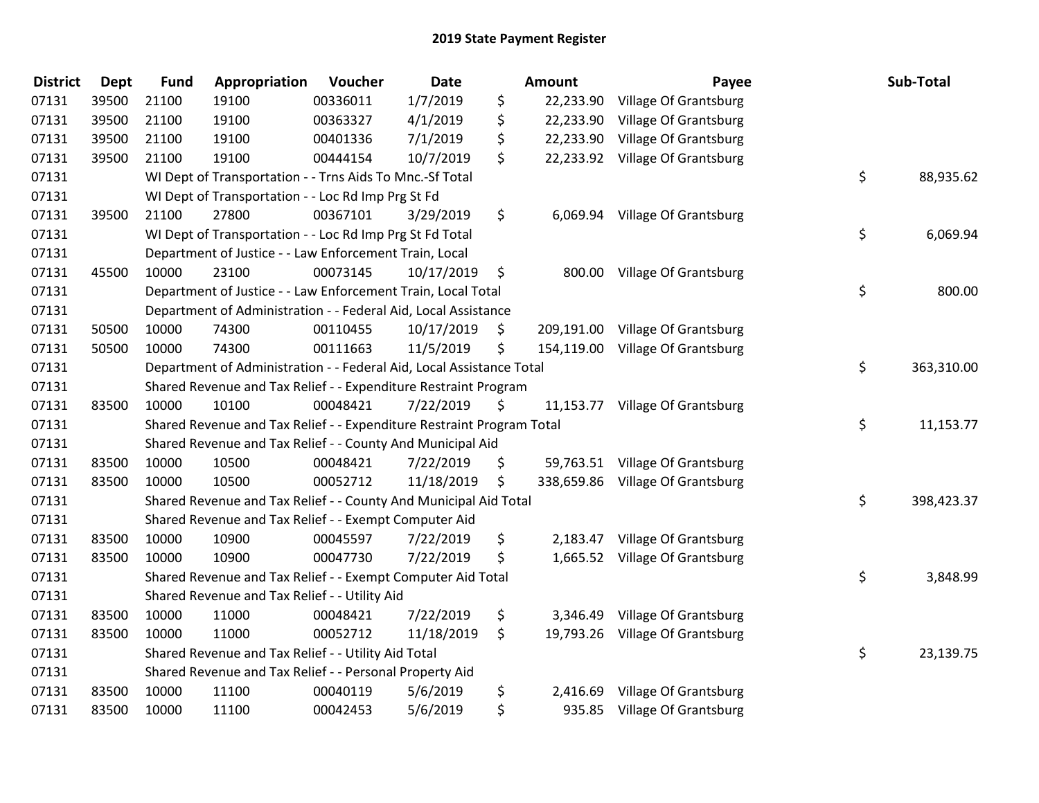| <b>District</b> | <b>Dept</b> | <b>Fund</b> | Appropriation                                                         | Voucher  | <b>Date</b> |    | <b>Amount</b> | Payee                            |    | Sub-Total  |
|-----------------|-------------|-------------|-----------------------------------------------------------------------|----------|-------------|----|---------------|----------------------------------|----|------------|
| 07131           | 39500       | 21100       | 19100                                                                 | 00336011 | 1/7/2019    | \$ |               | 22,233.90 Village Of Grantsburg  |    |            |
| 07131           | 39500       | 21100       | 19100                                                                 | 00363327 | 4/1/2019    | \$ |               | 22,233.90 Village Of Grantsburg  |    |            |
| 07131           | 39500       | 21100       | 19100                                                                 | 00401336 | 7/1/2019    | \$ |               | 22,233.90 Village Of Grantsburg  |    |            |
| 07131           | 39500       | 21100       | 19100                                                                 | 00444154 | 10/7/2019   | \$ |               | 22,233.92 Village Of Grantsburg  |    |            |
| 07131           |             |             | WI Dept of Transportation - - Trns Aids To Mnc.-Sf Total              |          |             |    |               |                                  | \$ | 88,935.62  |
| 07131           |             |             | WI Dept of Transportation - - Loc Rd Imp Prg St Fd                    |          |             |    |               |                                  |    |            |
| 07131           | 39500       | 21100       | 27800                                                                 | 00367101 | 3/29/2019   | \$ |               | 6,069.94 Village Of Grantsburg   |    |            |
| 07131           |             |             | WI Dept of Transportation - - Loc Rd Imp Prg St Fd Total              |          |             |    |               |                                  | \$ | 6,069.94   |
| 07131           |             |             | Department of Justice - - Law Enforcement Train, Local                |          |             |    |               |                                  |    |            |
| 07131           | 45500       | 10000       | 23100                                                                 | 00073145 | 10/17/2019  | \$ |               | 800.00 Village Of Grantsburg     |    |            |
| 07131           |             |             | Department of Justice - - Law Enforcement Train, Local Total          |          |             |    |               |                                  | \$ | 800.00     |
| 07131           |             |             | Department of Administration - - Federal Aid, Local Assistance        |          |             |    |               |                                  |    |            |
| 07131           | 50500       | 10000       | 74300                                                                 | 00110455 | 10/17/2019  | \$ |               | 209,191.00 Village Of Grantsburg |    |            |
| 07131           | 50500       | 10000       | 74300                                                                 | 00111663 | 11/5/2019   | \$ |               | 154,119.00 Village Of Grantsburg |    |            |
| 07131           |             |             | Department of Administration - - Federal Aid, Local Assistance Total  | \$       | 363,310.00  |    |               |                                  |    |            |
| 07131           |             |             | Shared Revenue and Tax Relief - - Expenditure Restraint Program       |          |             |    |               |                                  |    |            |
| 07131           | 83500       | 10000       | 10100                                                                 | 00048421 | 7/22/2019   | \$ |               | 11,153.77 Village Of Grantsburg  |    |            |
| 07131           |             |             | Shared Revenue and Tax Relief - - Expenditure Restraint Program Total |          |             |    |               |                                  | \$ | 11,153.77  |
| 07131           |             |             | Shared Revenue and Tax Relief - - County And Municipal Aid            |          |             |    |               |                                  |    |            |
| 07131           | 83500       | 10000       | 10500                                                                 | 00048421 | 7/22/2019   | \$ |               | 59,763.51 Village Of Grantsburg  |    |            |
| 07131           | 83500       | 10000       | 10500                                                                 | 00052712 | 11/18/2019  | \$ |               | 338,659.86 Village Of Grantsburg |    |            |
| 07131           |             |             | Shared Revenue and Tax Relief - - County And Municipal Aid Total      |          |             |    |               |                                  | \$ | 398,423.37 |
| 07131           |             |             | Shared Revenue and Tax Relief - - Exempt Computer Aid                 |          |             |    |               |                                  |    |            |
| 07131           | 83500       | 10000       | 10900                                                                 | 00045597 | 7/22/2019   | \$ |               | 2,183.47 Village Of Grantsburg   |    |            |
| 07131           | 83500       | 10000       | 10900                                                                 | 00047730 | 7/22/2019   | \$ |               | 1,665.52 Village Of Grantsburg   |    |            |
| 07131           |             |             | Shared Revenue and Tax Relief - - Exempt Computer Aid Total           |          |             |    |               |                                  | \$ | 3,848.99   |
| 07131           |             |             | Shared Revenue and Tax Relief - - Utility Aid                         |          |             |    |               |                                  |    |            |
| 07131           | 83500       | 10000       | 11000                                                                 | 00048421 | 7/22/2019   | \$ |               | 3,346.49 Village Of Grantsburg   |    |            |
| 07131           | 83500       | 10000       | 11000                                                                 | 00052712 | 11/18/2019  | \$ |               | 19,793.26 Village Of Grantsburg  |    |            |
| 07131           |             |             | Shared Revenue and Tax Relief - - Utility Aid Total                   |          |             |    |               |                                  | \$ | 23,139.75  |
| 07131           |             |             | Shared Revenue and Tax Relief - - Personal Property Aid               |          |             |    |               |                                  |    |            |
| 07131           | 83500       | 10000       | 11100                                                                 | 00040119 | 5/6/2019    | \$ | 2,416.69      | Village Of Grantsburg            |    |            |
| 07131           | 83500       | 10000       | 11100                                                                 | 00042453 | 5/6/2019    | \$ |               | 935.85 Village Of Grantsburg     |    |            |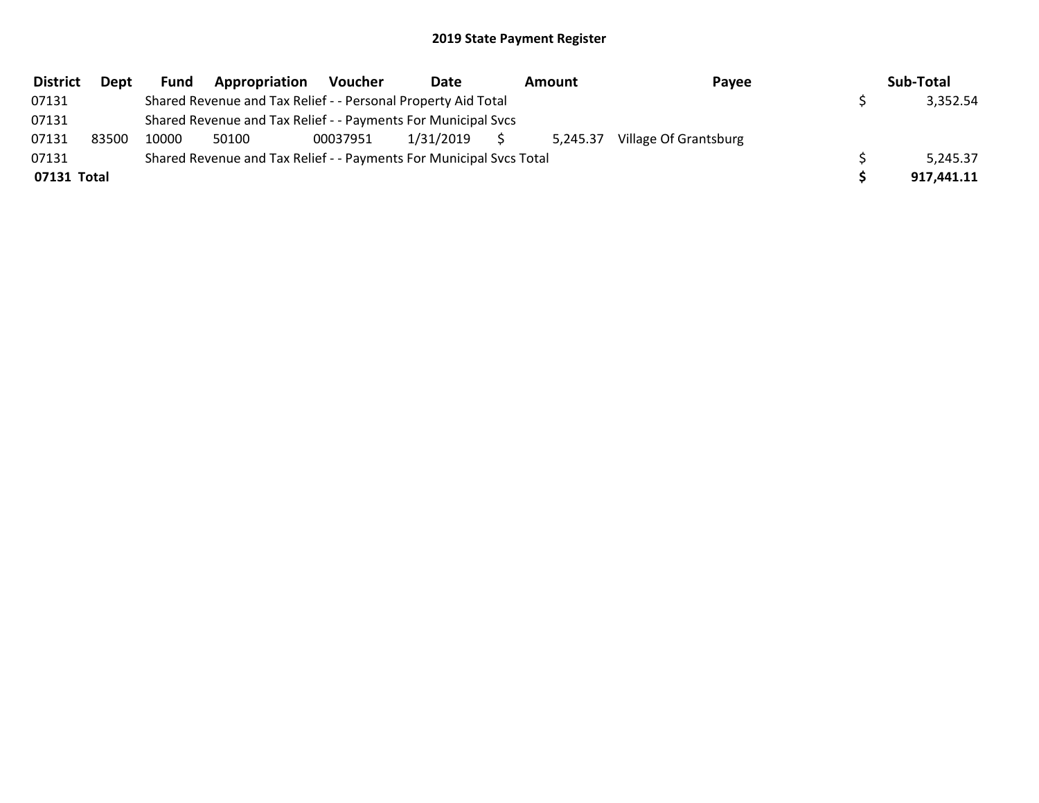| <b>District</b> | <b>Dept</b> | <b>Fund</b>                                                         | Appropriation                                                 | Voucher  | Date      | Amount<br>Payee |                       | Sub-Total |            |
|-----------------|-------------|---------------------------------------------------------------------|---------------------------------------------------------------|----------|-----------|-----------------|-----------------------|-----------|------------|
| 07131           |             |                                                                     | Shared Revenue and Tax Relief - - Personal Property Aid Total |          |           |                 |                       |           | 3,352.54   |
| 07131           |             |                                                                     | Shared Revenue and Tax Relief - - Payments For Municipal Svcs |          |           |                 |                       |           |            |
| 07131           | 83500       | 10000                                                               | 50100                                                         | 00037951 | 1/31/2019 | 5,245.37        | Village Of Grantsburg |           |            |
| 07131           |             | Shared Revenue and Tax Relief - - Payments For Municipal Svcs Total |                                                               |          | 5,245.37  |                 |                       |           |            |
| 07131 Total     |             |                                                                     |                                                               |          |           |                 |                       |           | 917,441.11 |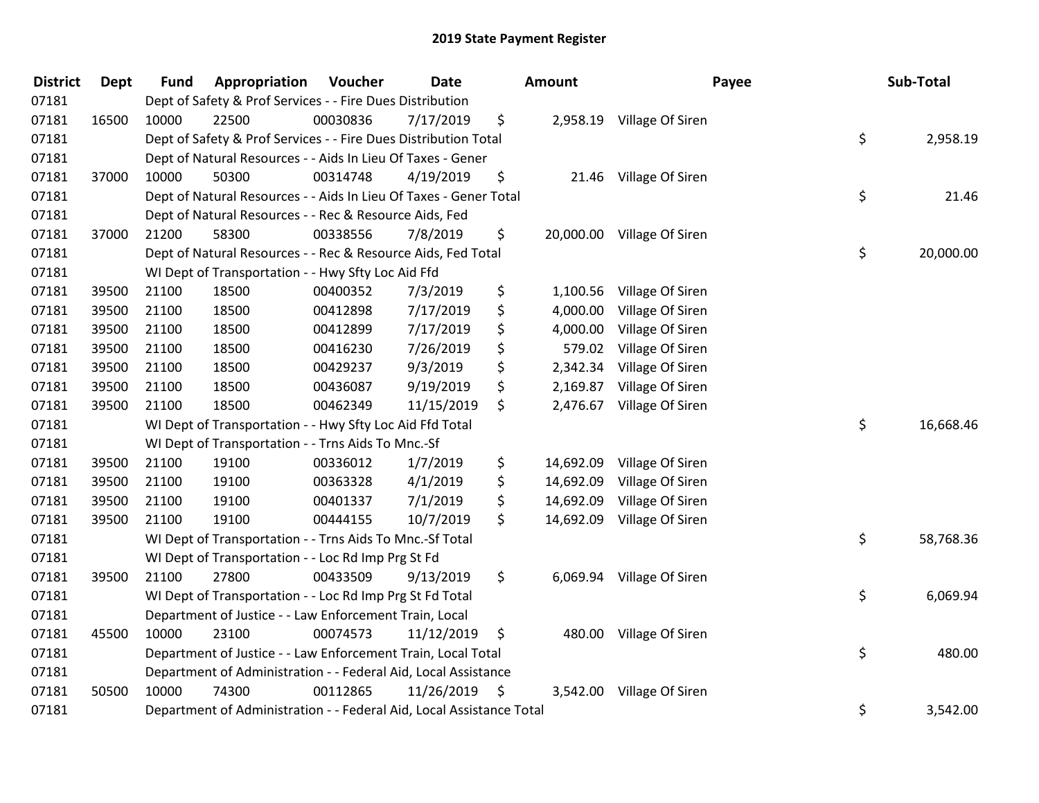| <b>District</b> | Dept  | <b>Fund</b>                                                        | Appropriation                                                        | Voucher  | Date       |    | <b>Amount</b> | Payee                     |        | Sub-Total |  |
|-----------------|-------|--------------------------------------------------------------------|----------------------------------------------------------------------|----------|------------|----|---------------|---------------------------|--------|-----------|--|
| 07181           |       |                                                                    | Dept of Safety & Prof Services - - Fire Dues Distribution            |          |            |    |               |                           |        |           |  |
| 07181           | 16500 | 10000                                                              | 22500                                                                | 00030836 | 7/17/2019  | \$ |               | 2,958.19 Village Of Siren |        |           |  |
| 07181           |       |                                                                    | Dept of Safety & Prof Services - - Fire Dues Distribution Total      |          |            |    |               |                           | \$     | 2,958.19  |  |
| 07181           |       |                                                                    | Dept of Natural Resources - - Aids In Lieu Of Taxes - Gener          |          |            |    |               |                           |        |           |  |
| 07181           | 37000 | 10000                                                              | 50300                                                                | 00314748 | 4/19/2019  | \$ |               | 21.46 Village Of Siren    |        |           |  |
| 07181           |       |                                                                    | Dept of Natural Resources - - Aids In Lieu Of Taxes - Gener Total    |          |            |    |               |                           | \$     | 21.46     |  |
| 07181           |       |                                                                    | Dept of Natural Resources - - Rec & Resource Aids, Fed               |          |            |    |               |                           |        |           |  |
| 07181           | 37000 | 21200                                                              | 58300                                                                | 00338556 | 7/8/2019   | \$ | 20,000.00     | Village Of Siren          |        |           |  |
| 07181           |       |                                                                    | Dept of Natural Resources - - Rec & Resource Aids, Fed Total         |          |            |    |               |                           | \$     | 20,000.00 |  |
| 07181           |       |                                                                    | WI Dept of Transportation - - Hwy Sfty Loc Aid Ffd                   |          |            |    |               |                           |        |           |  |
| 07181           | 39500 | 21100                                                              | 18500                                                                | 00400352 | 7/3/2019   | \$ | 1,100.56      | Village Of Siren          |        |           |  |
| 07181           | 39500 | 21100                                                              | 18500                                                                | 00412898 | 7/17/2019  | \$ | 4,000.00      | Village Of Siren          |        |           |  |
| 07181           | 39500 | 21100                                                              | 18500                                                                | 00412899 | 7/17/2019  | \$ | 4,000.00      | Village Of Siren          |        |           |  |
| 07181           | 39500 | 21100                                                              | 18500                                                                | 00416230 | 7/26/2019  | \$ | 579.02        | Village Of Siren          |        |           |  |
| 07181           | 39500 | 21100                                                              | 18500                                                                | 00429237 | 9/3/2019   | \$ | 2,342.34      | Village Of Siren          |        |           |  |
| 07181           | 39500 | 21100                                                              | 18500                                                                | 00436087 | 9/19/2019  | \$ | 2,169.87      | Village Of Siren          |        |           |  |
| 07181           | 39500 | 21100                                                              | 18500                                                                | 00462349 | 11/15/2019 | \$ | 2,476.67      | Village Of Siren          |        |           |  |
| 07181           |       |                                                                    | WI Dept of Transportation - - Hwy Sfty Loc Aid Ffd Total             |          |            |    |               |                           | \$     | 16,668.46 |  |
| 07181           |       |                                                                    | WI Dept of Transportation - - Trns Aids To Mnc.-Sf                   |          |            |    |               |                           |        |           |  |
| 07181           | 39500 | 21100                                                              | 19100                                                                | 00336012 | 1/7/2019   | \$ | 14,692.09     | Village Of Siren          |        |           |  |
| 07181           | 39500 | 21100                                                              | 19100                                                                | 00363328 | 4/1/2019   | \$ | 14,692.09     | Village Of Siren          |        |           |  |
| 07181           | 39500 | 21100                                                              | 19100                                                                | 00401337 | 7/1/2019   | \$ | 14,692.09     | Village Of Siren          |        |           |  |
| 07181           | 39500 | 21100                                                              | 19100                                                                | 00444155 | 10/7/2019  | \$ | 14,692.09     | Village Of Siren          |        |           |  |
| 07181           |       |                                                                    | WI Dept of Transportation - - Trns Aids To Mnc.-Sf Total             |          |            |    |               |                           | \$     | 58,768.36 |  |
| 07181           |       |                                                                    | WI Dept of Transportation - - Loc Rd Imp Prg St Fd                   |          |            |    |               |                           |        |           |  |
| 07181           | 39500 | 21100                                                              | 27800                                                                | 00433509 | 9/13/2019  | \$ | 6,069.94      | Village Of Siren          |        |           |  |
| 07181           |       |                                                                    | WI Dept of Transportation - - Loc Rd Imp Prg St Fd Total             |          |            |    |               |                           | \$     | 6,069.94  |  |
| 07181           |       |                                                                    | Department of Justice - - Law Enforcement Train, Local               |          |            |    |               |                           |        |           |  |
| 07181           | 45500 | 10000                                                              | 23100                                                                | 00074573 | 11/12/2019 | \$ | 480.00        | Village Of Siren          |        |           |  |
| 07181           |       | \$<br>Department of Justice - - Law Enforcement Train, Local Total |                                                                      |          |            |    |               |                           | 480.00 |           |  |
| 07181           |       |                                                                    | Department of Administration - - Federal Aid, Local Assistance       |          |            |    |               |                           |        |           |  |
| 07181           | 50500 | 10000                                                              | 74300                                                                | 00112865 | 11/26/2019 | \$ | 3,542.00      | Village Of Siren          |        |           |  |
| 07181           |       |                                                                    | Department of Administration - - Federal Aid, Local Assistance Total |          |            |    |               |                           | \$     | 3,542.00  |  |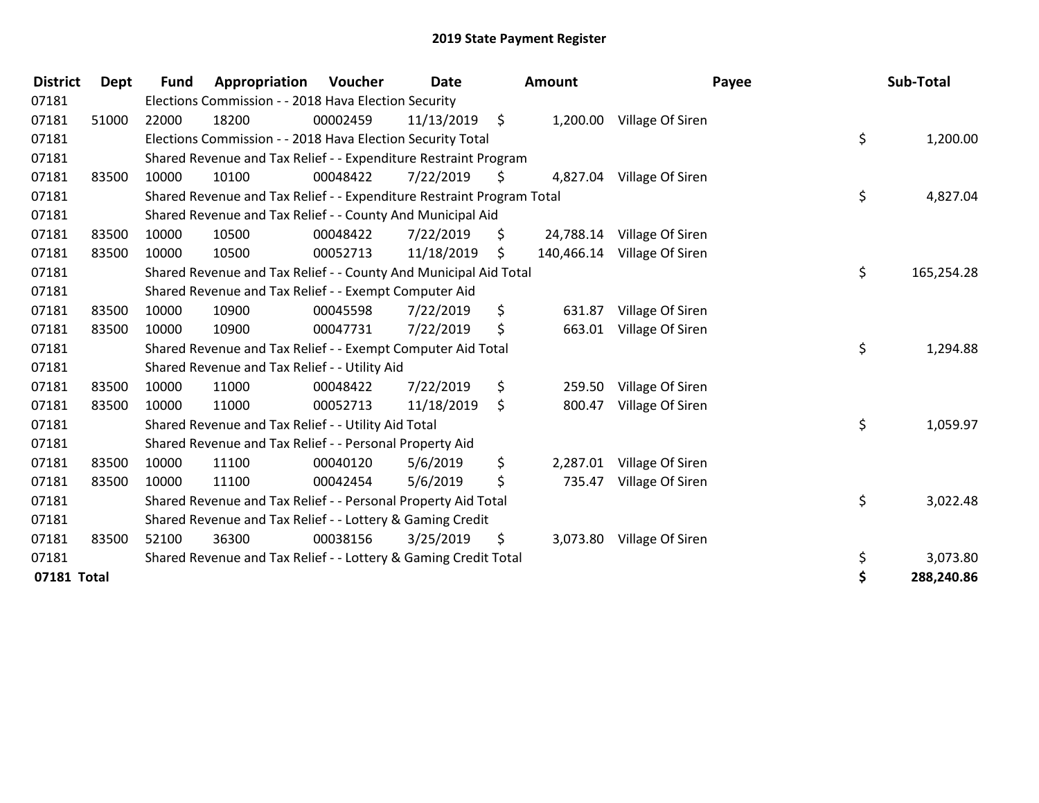| <b>District</b> | <b>Dept</b> | <b>Fund</b>                                               | Appropriation                                                         | <b>Voucher</b> | <b>Date</b> |    | Amount   | Payee                       |    | Sub-Total  |
|-----------------|-------------|-----------------------------------------------------------|-----------------------------------------------------------------------|----------------|-------------|----|----------|-----------------------------|----|------------|
| 07181           |             |                                                           | Elections Commission - - 2018 Hava Election Security                  |                |             |    |          |                             |    |            |
| 07181           | 51000       | 22000                                                     | 18200                                                                 | 00002459       | 11/13/2019  | \$ |          | 1,200.00 Village Of Siren   |    |            |
| 07181           |             |                                                           | Elections Commission - - 2018 Hava Election Security Total            |                |             |    |          |                             | \$ | 1,200.00   |
| 07181           |             |                                                           | Shared Revenue and Tax Relief - - Expenditure Restraint Program       |                |             |    |          |                             |    |            |
| 07181           | 83500       | 10000                                                     | 10100                                                                 | 00048422       | 7/22/2019   | \$ |          | 4,827.04 Village Of Siren   |    |            |
| 07181           |             |                                                           | Shared Revenue and Tax Relief - - Expenditure Restraint Program Total |                |             |    |          |                             | \$ | 4,827.04   |
| 07181           |             |                                                           | Shared Revenue and Tax Relief - - County And Municipal Aid            |                |             |    |          |                             |    |            |
| 07181           | 83500       | 10000                                                     | 10500                                                                 | 00048422       | 7/22/2019   | \$ |          | 24,788.14 Village Of Siren  |    |            |
| 07181           | 83500       | 10000                                                     | 10500                                                                 | 00052713       | 11/18/2019  | \$ |          | 140,466.14 Village Of Siren |    |            |
| 07181           |             |                                                           | Shared Revenue and Tax Relief - - County And Municipal Aid Total      |                |             |    |          |                             | \$ | 165,254.28 |
| 07181           |             |                                                           | Shared Revenue and Tax Relief - - Exempt Computer Aid                 |                |             |    |          |                             |    |            |
| 07181           | 83500       | 10000                                                     | 10900                                                                 | 00045598       | 7/22/2019   | \$ | 631.87   | Village Of Siren            |    |            |
| 07181           | 83500       | 10000                                                     | 10900                                                                 | 00047731       | 7/22/2019   | \$ |          | 663.01 Village Of Siren     |    |            |
| 07181           |             |                                                           | Shared Revenue and Tax Relief - - Exempt Computer Aid Total           |                |             |    |          |                             | \$ | 1,294.88   |
| 07181           |             |                                                           | Shared Revenue and Tax Relief - - Utility Aid                         |                |             |    |          |                             |    |            |
| 07181           | 83500       | 10000                                                     | 11000                                                                 | 00048422       | 7/22/2019   | \$ | 259.50   | Village Of Siren            |    |            |
| 07181           | 83500       | 10000                                                     | 11000                                                                 | 00052713       | 11/18/2019  | \$ | 800.47   | Village Of Siren            |    |            |
| 07181           |             |                                                           | Shared Revenue and Tax Relief - - Utility Aid Total                   |                |             |    |          |                             | \$ | 1,059.97   |
| 07181           |             |                                                           | Shared Revenue and Tax Relief - - Personal Property Aid               |                |             |    |          |                             |    |            |
| 07181           | 83500       | 10000                                                     | 11100                                                                 | 00040120       | 5/6/2019    | \$ | 2,287.01 | Village Of Siren            |    |            |
| 07181           | 83500       | 10000                                                     | 11100                                                                 | 00042454       | 5/6/2019    | \$ | 735.47   | Village Of Siren            |    |            |
| 07181           |             |                                                           | Shared Revenue and Tax Relief - - Personal Property Aid Total         |                |             |    |          |                             | \$ | 3,022.48   |
| 07181           |             | Shared Revenue and Tax Relief - - Lottery & Gaming Credit |                                                                       |                |             |    |          |                             |    |            |
| 07181           | 83500       | 52100                                                     | 36300                                                                 | 00038156       | 3/25/2019   | \$ |          | 3,073.80 Village Of Siren   |    |            |
| 07181           |             |                                                           | Shared Revenue and Tax Relief - - Lottery & Gaming Credit Total       |                |             |    |          |                             | \$ | 3,073.80   |
| 07181 Total     |             |                                                           |                                                                       |                |             |    |          |                             | \$ | 288,240.86 |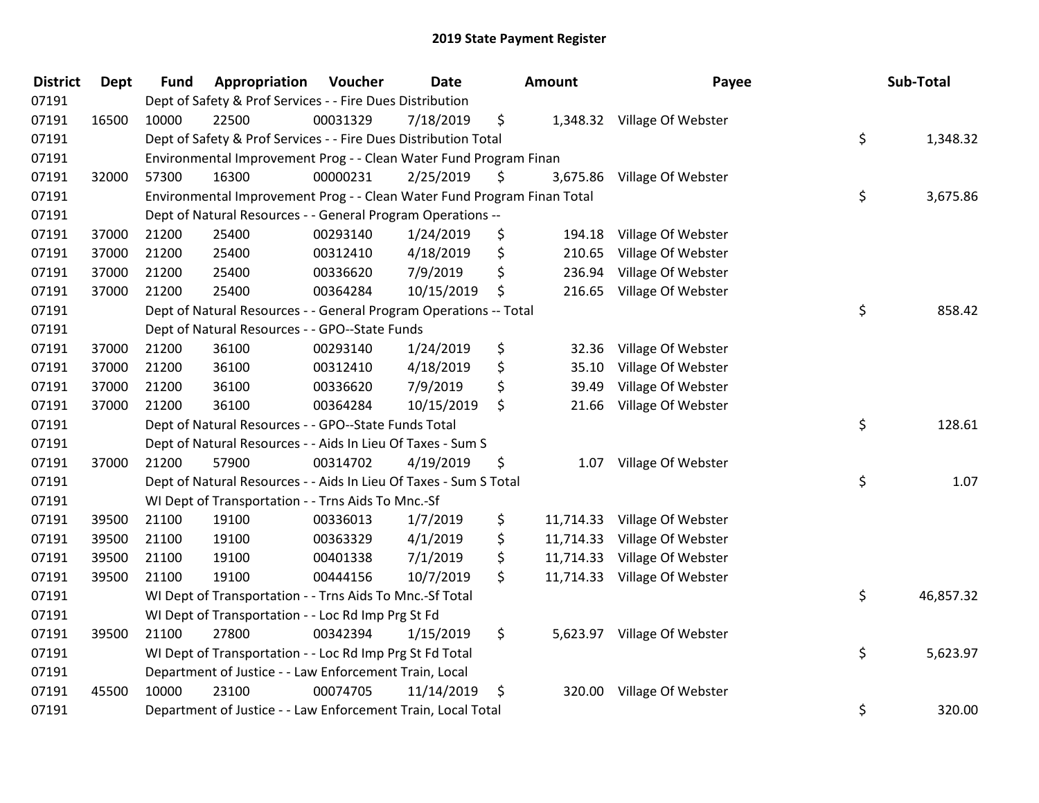| <b>District</b> | Dept  | <b>Fund</b>                                              | Appropriation                                                           | Voucher  | Date       |    | <b>Amount</b> | Payee                        | Sub-Total       |
|-----------------|-------|----------------------------------------------------------|-------------------------------------------------------------------------|----------|------------|----|---------------|------------------------------|-----------------|
| 07191           |       |                                                          | Dept of Safety & Prof Services - - Fire Dues Distribution               |          |            |    |               |                              |                 |
| 07191           | 16500 | 10000                                                    | 22500                                                                   | 00031329 | 7/18/2019  | \$ |               | 1,348.32 Village Of Webster  |                 |
| 07191           |       |                                                          | Dept of Safety & Prof Services - - Fire Dues Distribution Total         |          |            |    |               |                              | \$<br>1,348.32  |
| 07191           |       |                                                          | Environmental Improvement Prog - - Clean Water Fund Program Finan       |          |            |    |               |                              |                 |
| 07191           | 32000 | 57300                                                    | 16300                                                                   | 00000231 | 2/25/2019  | \$ |               | 3,675.86 Village Of Webster  |                 |
| 07191           |       |                                                          | Environmental Improvement Prog - - Clean Water Fund Program Finan Total |          |            |    |               |                              | \$<br>3,675.86  |
| 07191           |       |                                                          | Dept of Natural Resources - - General Program Operations --             |          |            |    |               |                              |                 |
| 07191           | 37000 | 21200                                                    | 25400                                                                   | 00293140 | 1/24/2019  | \$ | 194.18        | Village Of Webster           |                 |
| 07191           | 37000 | 21200                                                    | 25400                                                                   | 00312410 | 4/18/2019  | \$ | 210.65        | Village Of Webster           |                 |
| 07191           | 37000 | 21200                                                    | 25400                                                                   | 00336620 | 7/9/2019   | \$ | 236.94        | Village Of Webster           |                 |
| 07191           | 37000 | 21200                                                    | 25400                                                                   | 00364284 | 10/15/2019 | \$ |               | 216.65 Village Of Webster    |                 |
| 07191           |       |                                                          | Dept of Natural Resources - - General Program Operations -- Total       |          |            |    |               |                              | \$<br>858.42    |
| 07191           |       |                                                          | Dept of Natural Resources - - GPO--State Funds                          |          |            |    |               |                              |                 |
| 07191           | 37000 | 21200                                                    | 36100                                                                   | 00293140 | 1/24/2019  | \$ |               | 32.36 Village Of Webster     |                 |
| 07191           | 37000 | 21200                                                    | 36100                                                                   | 00312410 | 4/18/2019  | \$ | 35.10         | Village Of Webster           |                 |
| 07191           | 37000 | 21200                                                    | 36100                                                                   | 00336620 | 7/9/2019   | \$ | 39.49         | Village Of Webster           |                 |
| 07191           | 37000 | 21200                                                    | 36100                                                                   | 00364284 | 10/15/2019 | \$ | 21.66         | Village Of Webster           |                 |
| 07191           |       |                                                          | Dept of Natural Resources - - GPO--State Funds Total                    |          |            |    |               |                              | \$<br>128.61    |
| 07191           |       |                                                          | Dept of Natural Resources - - Aids In Lieu Of Taxes - Sum S             |          |            |    |               |                              |                 |
| 07191           | 37000 | 21200                                                    | 57900                                                                   | 00314702 | 4/19/2019  | \$ |               | 1.07 Village Of Webster      |                 |
| 07191           |       |                                                          | Dept of Natural Resources - - Aids In Lieu Of Taxes - Sum S Total       |          |            |    |               |                              | \$<br>1.07      |
| 07191           |       |                                                          | WI Dept of Transportation - - Trns Aids To Mnc.-Sf                      |          |            |    |               |                              |                 |
| 07191           | 39500 | 21100                                                    | 19100                                                                   | 00336013 | 1/7/2019   | \$ |               | 11,714.33 Village Of Webster |                 |
| 07191           | 39500 | 21100                                                    | 19100                                                                   | 00363329 | 4/1/2019   | \$ | 11,714.33     | Village Of Webster           |                 |
| 07191           | 39500 | 21100                                                    | 19100                                                                   | 00401338 | 7/1/2019   | \$ | 11,714.33     | Village Of Webster           |                 |
| 07191           | 39500 | 21100                                                    | 19100                                                                   | 00444156 | 10/7/2019  | \$ |               | 11,714.33 Village Of Webster |                 |
| 07191           |       |                                                          | WI Dept of Transportation - - Trns Aids To Mnc.-Sf Total                |          |            |    |               |                              | \$<br>46,857.32 |
| 07191           |       |                                                          | WI Dept of Transportation - - Loc Rd Imp Prg St Fd                      |          |            |    |               |                              |                 |
| 07191           | 39500 | 21100                                                    | 27800                                                                   | 00342394 | 1/15/2019  | \$ |               | 5,623.97 Village Of Webster  |                 |
| 07191           |       | WI Dept of Transportation - - Loc Rd Imp Prg St Fd Total |                                                                         |          |            |    |               |                              | \$<br>5,623.97  |
| 07191           |       |                                                          | Department of Justice - - Law Enforcement Train, Local                  |          |            |    |               |                              |                 |
| 07191           | 45500 | 10000                                                    | 23100                                                                   | 00074705 | 11/14/2019 | \$ |               | 320.00 Village Of Webster    |                 |
| 07191           |       |                                                          | Department of Justice - - Law Enforcement Train, Local Total            |          |            |    |               |                              | \$<br>320.00    |